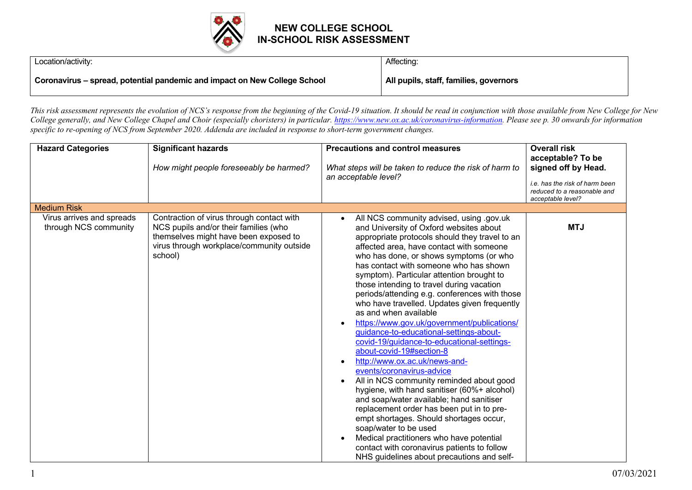

Location/activity:

Affecting:

**Coronavirus – spread, potential pandemic and impact on New College School**

**All pupils, staff, families, governors**

*This risk assessment represents the evolution of NCS's response from the beginning of the Covid-19 situation. It should be read in conjunction with those available from New College for New College generally, and New College Chapel and Choir (especially choristers) in particular. https://www.new.ox.ac.uk/coronavirus-information. Please see p. 30 onwards for information specific to re-opening of NCS from September 2020. Addenda are included in response to short-term government changes.*

| <b>Hazard Categories</b>                           | <b>Significant hazards</b><br>How might people foreseeably be harmed?                                                                                                               | <b>Precautions and control measures</b><br>What steps will be taken to reduce the risk of harm to<br>an acceptable level?                                                                                                                                                                                                                                                                                                                                                                                                                                                                                                                                                                                                                                                                                                                                                                                                                                                                                                                                                                                                                  | <b>Overall risk</b><br>acceptable? To be<br>signed off by Head.<br>i.e. has the risk of harm been<br>reduced to a reasonable and<br>acceptable level? |
|----------------------------------------------------|-------------------------------------------------------------------------------------------------------------------------------------------------------------------------------------|--------------------------------------------------------------------------------------------------------------------------------------------------------------------------------------------------------------------------------------------------------------------------------------------------------------------------------------------------------------------------------------------------------------------------------------------------------------------------------------------------------------------------------------------------------------------------------------------------------------------------------------------------------------------------------------------------------------------------------------------------------------------------------------------------------------------------------------------------------------------------------------------------------------------------------------------------------------------------------------------------------------------------------------------------------------------------------------------------------------------------------------------|-------------------------------------------------------------------------------------------------------------------------------------------------------|
| <b>Medium Risk</b>                                 |                                                                                                                                                                                     |                                                                                                                                                                                                                                                                                                                                                                                                                                                                                                                                                                                                                                                                                                                                                                                                                                                                                                                                                                                                                                                                                                                                            |                                                                                                                                                       |
| Virus arrives and spreads<br>through NCS community | Contraction of virus through contact with<br>NCS pupils and/or their families (who<br>themselves might have been exposed to<br>virus through workplace/community outside<br>school) | All NCS community advised, using .gov.uk<br>$\bullet$<br>and University of Oxford websites about<br>appropriate protocols should they travel to an<br>affected area, have contact with someone<br>who has done, or shows symptoms (or who<br>has contact with someone who has shown<br>symptom). Particular attention brought to<br>those intending to travel during vacation<br>periods/attending e.g. conferences with those<br>who have travelled. Updates given frequently<br>as and when available<br>https://www.gov.uk/government/publications/<br>guidance-to-educational-settings-about-<br>covid-19/guidance-to-educational-settings-<br>about-covid-19#section-8<br>http://www.ox.ac.uk/news-and-<br>events/coronavirus-advice<br>All in NCS community reminded about good<br>hygiene, with hand sanitiser (60%+ alcohol)<br>and soap/water available; hand sanitiser<br>replacement order has been put in to pre-<br>empt shortages. Should shortages occur,<br>soap/water to be used<br>Medical practitioners who have potential<br>contact with coronavirus patients to follow<br>NHS guidelines about precautions and self- | <b>MTJ</b>                                                                                                                                            |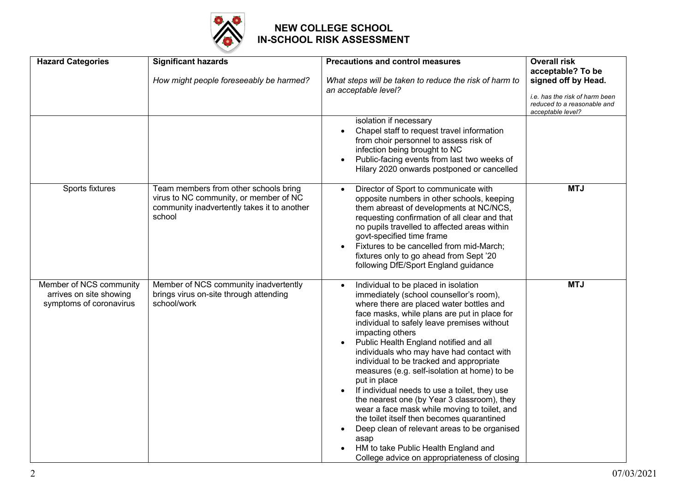

| <b>Hazard Categories</b>                                                      | <b>Significant hazards</b>                                                                                                               | <b>Precautions and control measures</b>                                                                                                                                                                                                                                                                                                                                                                                                                                                                                                                                                                                                                                                                                                                                                                      | <b>Overall risk</b>                                                                                                            |
|-------------------------------------------------------------------------------|------------------------------------------------------------------------------------------------------------------------------------------|--------------------------------------------------------------------------------------------------------------------------------------------------------------------------------------------------------------------------------------------------------------------------------------------------------------------------------------------------------------------------------------------------------------------------------------------------------------------------------------------------------------------------------------------------------------------------------------------------------------------------------------------------------------------------------------------------------------------------------------------------------------------------------------------------------------|--------------------------------------------------------------------------------------------------------------------------------|
|                                                                               | How might people foreseeably be harmed?                                                                                                  | What steps will be taken to reduce the risk of harm to<br>an acceptable level?                                                                                                                                                                                                                                                                                                                                                                                                                                                                                                                                                                                                                                                                                                                               | acceptable? To be<br>signed off by Head.<br>i.e. has the risk of harm been<br>reduced to a reasonable and<br>acceptable level? |
|                                                                               |                                                                                                                                          | isolation if necessary<br>Chapel staff to request travel information<br>from choir personnel to assess risk of<br>infection being brought to NC<br>Public-facing events from last two weeks of<br>Hilary 2020 onwards postponed or cancelled                                                                                                                                                                                                                                                                                                                                                                                                                                                                                                                                                                 |                                                                                                                                |
| Sports fixtures                                                               | Team members from other schools bring<br>virus to NC community, or member of NC<br>community inadvertently takes it to another<br>school | Director of Sport to communicate with<br>$\bullet$<br>opposite numbers in other schools, keeping<br>them abreast of developments at NC/NCS,<br>requesting confirmation of all clear and that<br>no pupils travelled to affected areas within<br>govt-specified time frame<br>Fixtures to be cancelled from mid-March;<br>fixtures only to go ahead from Sept '20<br>following DfE/Sport England guidance                                                                                                                                                                                                                                                                                                                                                                                                     | <b>MTJ</b>                                                                                                                     |
| Member of NCS community<br>arrives on site showing<br>symptoms of coronavirus | Member of NCS community inadvertently<br>brings virus on-site through attending<br>school/work                                           | Individual to be placed in isolation<br>immediately (school counsellor's room),<br>where there are placed water bottles and<br>face masks, while plans are put in place for<br>individual to safely leave premises without<br>impacting others<br>Public Health England notified and all<br>individuals who may have had contact with<br>individual to be tracked and appropriate<br>measures (e.g. self-isolation at home) to be<br>put in place<br>If individual needs to use a toilet, they use<br>the nearest one (by Year 3 classroom), they<br>wear a face mask while moving to toilet, and<br>the toilet itself then becomes quarantined<br>Deep clean of relevant areas to be organised<br>$\bullet$<br>asap<br>HM to take Public Health England and<br>College advice on appropriateness of closing | <b>MTJ</b>                                                                                                                     |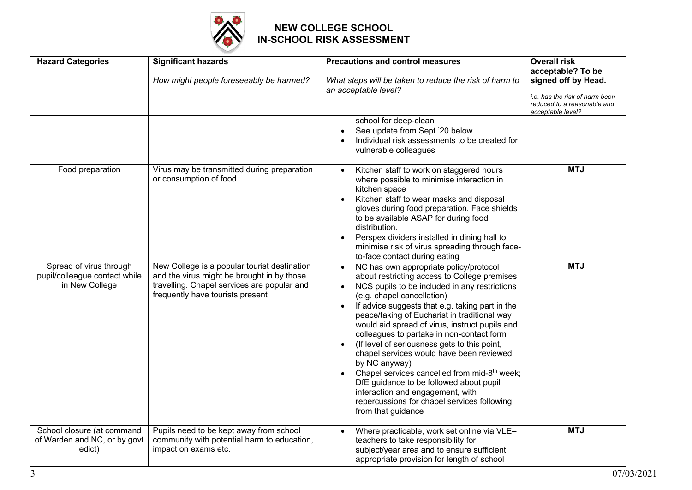

| <b>Hazard Categories</b>                                                   | <b>Significant hazards</b>                                                                                                                                                    | <b>Precautions and control measures</b>                                                                                                                                                                                                                                                                                                                                                                                                                                                                                                                                                                                                                                                                           | <b>Overall risk</b><br>acceptable? To be                                                                  |
|----------------------------------------------------------------------------|-------------------------------------------------------------------------------------------------------------------------------------------------------------------------------|-------------------------------------------------------------------------------------------------------------------------------------------------------------------------------------------------------------------------------------------------------------------------------------------------------------------------------------------------------------------------------------------------------------------------------------------------------------------------------------------------------------------------------------------------------------------------------------------------------------------------------------------------------------------------------------------------------------------|-----------------------------------------------------------------------------------------------------------|
|                                                                            | How might people foreseeably be harmed?                                                                                                                                       | What steps will be taken to reduce the risk of harm to<br>an acceptable level?                                                                                                                                                                                                                                                                                                                                                                                                                                                                                                                                                                                                                                    | signed off by Head.<br>i.e. has the risk of harm been<br>reduced to a reasonable and<br>acceptable level? |
|                                                                            |                                                                                                                                                                               | school for deep-clean<br>See update from Sept '20 below<br>Individual risk assessments to be created for<br>vulnerable colleagues                                                                                                                                                                                                                                                                                                                                                                                                                                                                                                                                                                                 |                                                                                                           |
| Food preparation                                                           | Virus may be transmitted during preparation<br>or consumption of food                                                                                                         | Kitchen staff to work on staggered hours<br>where possible to minimise interaction in<br>kitchen space<br>Kitchen staff to wear masks and disposal<br>gloves during food preparation. Face shields<br>to be available ASAP for during food<br>distribution.<br>Perspex dividers installed in dining hall to<br>minimise risk of virus spreading through face-<br>to-face contact during eating                                                                                                                                                                                                                                                                                                                    | <b>MTJ</b>                                                                                                |
| Spread of virus through<br>pupil/colleague contact while<br>in New College | New College is a popular tourist destination<br>and the virus might be brought in by those<br>travelling. Chapel services are popular and<br>frequently have tourists present | NC has own appropriate policy/protocol<br>$\bullet$<br>about restricting access to College premises<br>NCS pupils to be included in any restrictions<br>(e.g. chapel cancellation)<br>If advice suggests that e.g. taking part in the<br>peace/taking of Eucharist in traditional way<br>would aid spread of virus, instruct pupils and<br>colleagues to partake in non-contact form<br>(If level of seriousness gets to this point,<br>chapel services would have been reviewed<br>by NC anyway)<br>Chapel services cancelled from mid-8 <sup>th</sup> week;<br>DfE guidance to be followed about pupil<br>interaction and engagement, with<br>repercussions for chapel services following<br>from that guidance | <b>MTJ</b>                                                                                                |
| School closure (at command<br>of Warden and NC, or by govt<br>edict)       | Pupils need to be kept away from school<br>community with potential harm to education,<br>impact on exams etc.                                                                | Where practicable, work set online via VLE-<br>teachers to take responsibility for<br>subject/year area and to ensure sufficient<br>appropriate provision for length of school                                                                                                                                                                                                                                                                                                                                                                                                                                                                                                                                    | <b>MTJ</b>                                                                                                |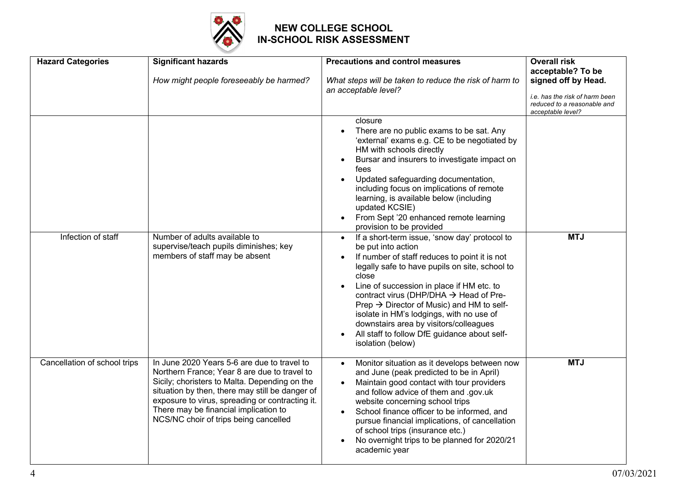

| <b>Hazard Categories</b>     | <b>Significant hazards</b><br>How might people foreseeably be harmed?                                                                                                                                                                                                                                                                | <b>Precautions and control measures</b><br>What steps will be taken to reduce the risk of harm to<br>an acceptable level?                                                                                                                                                                                                                                                                                                                                                                               | <b>Overall risk</b><br>acceptable? To be<br>signed off by Head.<br>i.e. has the risk of harm been<br>reduced to a reasonable and<br>acceptable level? |
|------------------------------|--------------------------------------------------------------------------------------------------------------------------------------------------------------------------------------------------------------------------------------------------------------------------------------------------------------------------------------|---------------------------------------------------------------------------------------------------------------------------------------------------------------------------------------------------------------------------------------------------------------------------------------------------------------------------------------------------------------------------------------------------------------------------------------------------------------------------------------------------------|-------------------------------------------------------------------------------------------------------------------------------------------------------|
|                              |                                                                                                                                                                                                                                                                                                                                      | closure<br>There are no public exams to be sat. Any<br>'external' exams e.g. CE to be negotiated by<br>HM with schools directly<br>Bursar and insurers to investigate impact on<br>$\bullet$<br>fees<br>Updated safeguarding documentation,<br>$\bullet$<br>including focus on implications of remote<br>learning, is available below (including<br>updated KCSIE)<br>From Sept '20 enhanced remote learning<br>provision to be provided                                                                |                                                                                                                                                       |
| Infection of staff           | Number of adults available to<br>supervise/teach pupils diminishes; key<br>members of staff may be absent                                                                                                                                                                                                                            | If a short-term issue, 'snow day' protocol to<br>$\bullet$<br>be put into action<br>If number of staff reduces to point it is not<br>legally safe to have pupils on site, school to<br>close<br>Line of succession in place if HM etc. to<br>contract virus (DHP/DHA → Head of Pre-<br>Prep $\rightarrow$ Director of Music) and HM to self-<br>isolate in HM's lodgings, with no use of<br>downstairs area by visitors/colleagues<br>All staff to follow DfE guidance about self-<br>isolation (below) | <b>MTJ</b>                                                                                                                                            |
| Cancellation of school trips | In June 2020 Years 5-6 are due to travel to<br>Northern France; Year 8 are due to travel to<br>Sicily; choristers to Malta. Depending on the<br>situation by then, there may still be danger of<br>exposure to virus, spreading or contracting it.<br>There may be financial implication to<br>NCS/NC choir of trips being cancelled | Monitor situation as it develops between now<br>$\bullet$<br>and June (peak predicted to be in April)<br>Maintain good contact with tour providers<br>and follow advice of them and .gov.uk<br>website concerning school trips<br>School finance officer to be informed, and<br>pursue financial implications, of cancellation<br>of school trips (insurance etc.)<br>No overnight trips to be planned for 2020/21<br>academic year                                                                     | <b>MTJ</b>                                                                                                                                            |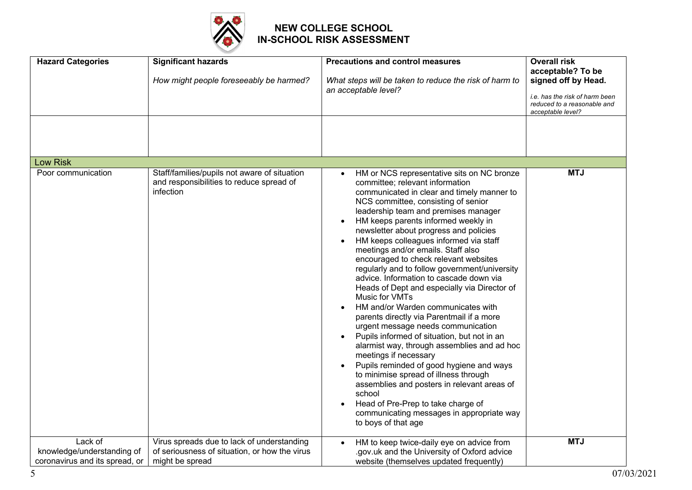

| <b>Hazard Categories</b>                                                | <b>Significant hazards</b>                                                                                     | <b>Precautions and control measures</b>                                                                                                                                                                                                                                                                                                                                                                                                                                                                                                                                                                                                                                                                                                                                                                                                                                                                                                                                                                                                                                                    | <b>Overall risk</b><br>acceptable? To be                                                  |
|-------------------------------------------------------------------------|----------------------------------------------------------------------------------------------------------------|--------------------------------------------------------------------------------------------------------------------------------------------------------------------------------------------------------------------------------------------------------------------------------------------------------------------------------------------------------------------------------------------------------------------------------------------------------------------------------------------------------------------------------------------------------------------------------------------------------------------------------------------------------------------------------------------------------------------------------------------------------------------------------------------------------------------------------------------------------------------------------------------------------------------------------------------------------------------------------------------------------------------------------------------------------------------------------------------|-------------------------------------------------------------------------------------------|
|                                                                         | How might people foreseeably be harmed?                                                                        | What steps will be taken to reduce the risk of harm to<br>an acceptable level?                                                                                                                                                                                                                                                                                                                                                                                                                                                                                                                                                                                                                                                                                                                                                                                                                                                                                                                                                                                                             | signed off by Head.                                                                       |
|                                                                         |                                                                                                                |                                                                                                                                                                                                                                                                                                                                                                                                                                                                                                                                                                                                                                                                                                                                                                                                                                                                                                                                                                                                                                                                                            | <i>i.e.</i> has the risk of harm been<br>reduced to a reasonable and<br>acceptable level? |
|                                                                         |                                                                                                                |                                                                                                                                                                                                                                                                                                                                                                                                                                                                                                                                                                                                                                                                                                                                                                                                                                                                                                                                                                                                                                                                                            |                                                                                           |
|                                                                         |                                                                                                                |                                                                                                                                                                                                                                                                                                                                                                                                                                                                                                                                                                                                                                                                                                                                                                                                                                                                                                                                                                                                                                                                                            |                                                                                           |
| Low Risk                                                                |                                                                                                                |                                                                                                                                                                                                                                                                                                                                                                                                                                                                                                                                                                                                                                                                                                                                                                                                                                                                                                                                                                                                                                                                                            |                                                                                           |
| Poor communication                                                      | Staff/families/pupils not aware of situation<br>and responsibilities to reduce spread of<br>infection          | HM or NCS representative sits on NC bronze<br>committee; relevant information<br>communicated in clear and timely manner to<br>NCS committee, consisting of senior<br>leadership team and premises manager<br>HM keeps parents informed weekly in<br>newsletter about progress and policies<br>HM keeps colleagues informed via staff<br>meetings and/or emails. Staff also<br>encouraged to check relevant websites<br>regularly and to follow government/university<br>advice. Information to cascade down via<br>Heads of Dept and especially via Director of<br>Music for VMTs<br>HM and/or Warden communicates with<br>parents directly via Parentmail if a more<br>urgent message needs communication<br>Pupils informed of situation, but not in an<br>alarmist way, through assemblies and ad hoc<br>meetings if necessary<br>Pupils reminded of good hygiene and ways<br>to minimise spread of illness through<br>assemblies and posters in relevant areas of<br>school<br>Head of Pre-Prep to take charge of<br>communicating messages in appropriate way<br>to boys of that age | <b>MTJ</b>                                                                                |
| Lack of<br>knowledge/understanding of<br>coronavirus and its spread, or | Virus spreads due to lack of understanding<br>of seriousness of situation, or how the virus<br>might be spread | HM to keep twice-daily eye on advice from<br>gov.uk and the University of Oxford advice<br>website (themselves updated frequently)                                                                                                                                                                                                                                                                                                                                                                                                                                                                                                                                                                                                                                                                                                                                                                                                                                                                                                                                                         | <b>MTJ</b>                                                                                |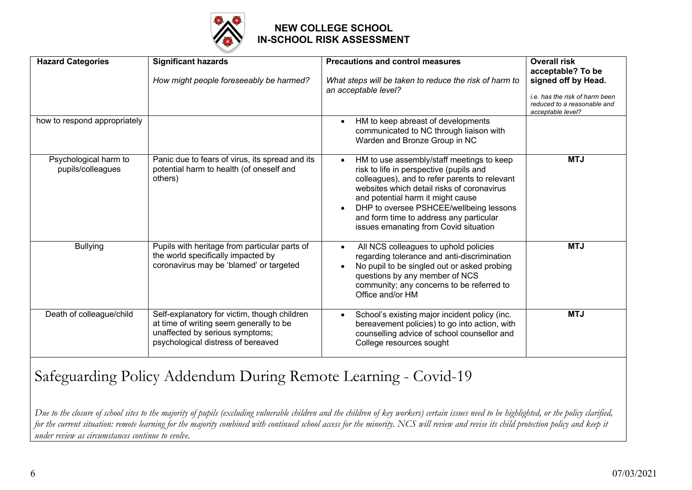

| <b>Hazard Categories</b>                   | <b>Significant hazards</b><br>How might people foreseeably be harmed?                                                                                            | <b>Precautions and control measures</b><br>What steps will be taken to reduce the risk of harm to<br>an acceptable level?                                                                                                                                                                                                                                            | <b>Overall risk</b><br>acceptable? To be<br>signed off by Head.<br>i.e. has the risk of harm been<br>reduced to a reasonable and<br>acceptable level? |
|--------------------------------------------|------------------------------------------------------------------------------------------------------------------------------------------------------------------|----------------------------------------------------------------------------------------------------------------------------------------------------------------------------------------------------------------------------------------------------------------------------------------------------------------------------------------------------------------------|-------------------------------------------------------------------------------------------------------------------------------------------------------|
| how to respond appropriately               |                                                                                                                                                                  | HM to keep abreast of developments<br>communicated to NC through liaison with<br>Warden and Bronze Group in NC                                                                                                                                                                                                                                                       |                                                                                                                                                       |
| Psychological harm to<br>pupils/colleagues | Panic due to fears of virus, its spread and its<br>potential harm to health (of oneself and<br>others)                                                           | HM to use assembly/staff meetings to keep<br>$\bullet$<br>risk to life in perspective (pupils and<br>colleagues), and to refer parents to relevant<br>websites which detail risks of coronavirus<br>and potential harm it might cause<br>DHP to oversee PSHCEE/wellbeing lessons<br>and form time to address any particular<br>issues emanating from Covid situation | <b>MTJ</b>                                                                                                                                            |
| <b>Bullying</b>                            | Pupils with heritage from particular parts of<br>the world specifically impacted by<br>coronavirus may be 'blamed' or targeted                                   | All NCS colleagues to uphold policies<br>regarding tolerance and anti-discrimination<br>No pupil to be singled out or asked probing<br>questions by any member of NCS<br>community; any concerns to be referred to<br>Office and/or HM                                                                                                                               | <b>MTJ</b>                                                                                                                                            |
| Death of colleague/child                   | Self-explanatory for victim, though children<br>at time of writing seem generally to be<br>unaffected by serious symptoms;<br>psychological distress of bereaved | School's existing major incident policy (inc.<br>bereavement policies) to go into action, with<br>counselling advice of school counsellor and<br>College resources sought                                                                                                                                                                                            | <b>MTJ</b>                                                                                                                                            |

# Safeguarding Policy Addendum During Remote Learning - Covid-19

Due to the closure of school sites to the majority of pupils (excluding vulnerable children and the children of key workers) certain issues need to be highlighted, or the policy clarified, for the current situation: remote learning for the majority combined with continued school access for the minority. NCS will review and revise its child protection policy and keep it *under review as circumstances continue to evolve.*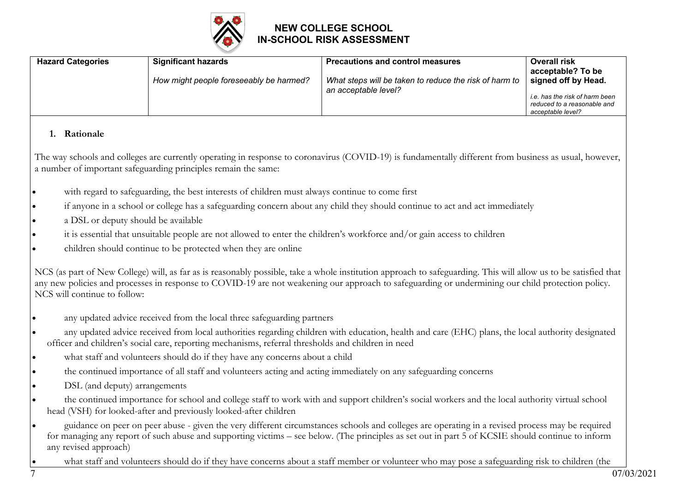

| <b>Hazard Categories</b> | <b>Significant hazards</b>                                     | <b>Precautions and control measures</b>                                                                                                                | <b>Overall risk</b>                   |  |  |
|--------------------------|----------------------------------------------------------------|--------------------------------------------------------------------------------------------------------------------------------------------------------|---------------------------------------|--|--|
|                          |                                                                |                                                                                                                                                        | acceptable? To be                     |  |  |
|                          | How might people foreseeably be harmed?                        | What steps will be taken to reduce the risk of harm to                                                                                                 | signed off by Head.                   |  |  |
|                          |                                                                | an acceptable level?                                                                                                                                   | <i>i.e.</i> has the risk of harm been |  |  |
|                          |                                                                |                                                                                                                                                        | reduced to a reasonable and           |  |  |
|                          |                                                                |                                                                                                                                                        | acceptable level?                     |  |  |
| <b>Rationale</b>         |                                                                |                                                                                                                                                        |                                       |  |  |
|                          | a number of important safeguarding principles remain the same: | The way schools and colleges are currently operating in response to coronavirus (COVID-19) is fundamentally different from business as usual, however, |                                       |  |  |

- with regard to safeguarding, the best interests of children must always continue to come first
- if anyone in a school or college has a safeguarding concern about any child they should continue to act and act immediately
- a DSL or deputy should be available
- it is essential that unsuitable people are not allowed to enter the children's workforce and/or gain access to children
- children should continue to be protected when they are online

NCS (as part of New College) will, as far as is reasonably possible, take a whole institution approach to safeguarding. This will allow us to be satisfied that any new policies and processes in response to COVID-19 are not weakening our approach to safeguarding or undermining our child protection policy. NCS will continue to follow:

- any updated advice received from the local three safeguarding partners
- any updated advice received from local authorities regarding children with education, health and care (EHC) plans, the local authority designated officer and children's social care, reporting mechanisms, referral thresholds and children in need
- what staff and volunteers should do if they have any concerns about a child
- the continued importance of all staff and volunteers acting and acting immediately on any safeguarding concerns
- DSL (and deputy) arrangements
- the continued importance for school and college staff to work with and support children's social workers and the local authority virtual school head (VSH) for looked-after and previously looked-after children
- guidance on peer on peer abuse given the very different circumstances schools and colleges are operating in a revised process may be required for managing any report of such abuse and supporting victims – see below. (The principles as set out in part 5 of KCSIE should continue to inform any revised approach)
	- what staff and volunteers should do if they have concerns about a staff member or volunteer who may pose a safeguarding risk to children (the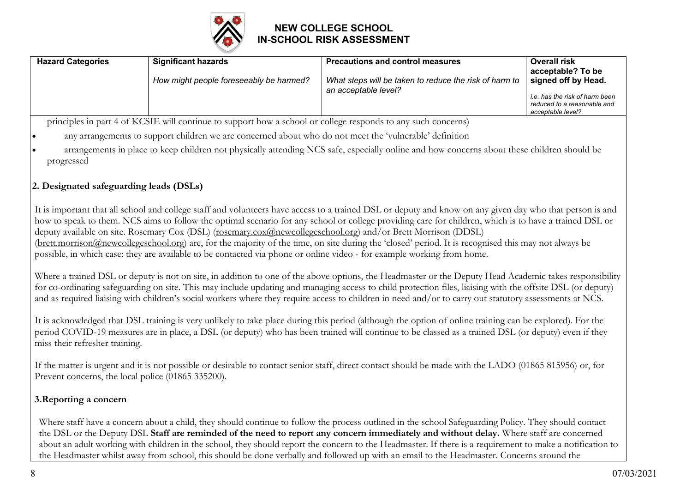

| How might people foreseeably be harmed?<br>What steps will be taken to reduce the risk of harm to<br>signed off by Head.<br>an acceptable level?<br>i.e. has the risk of harm been<br>reduced to a reasonable and<br>acceptable level? | <b>Hazard Categories</b> | <b>Significant hazards</b> | <b>Precautions and control measures</b> | <b>Overall risk</b><br>acceptable? To be |
|----------------------------------------------------------------------------------------------------------------------------------------------------------------------------------------------------------------------------------------|--------------------------|----------------------------|-----------------------------------------|------------------------------------------|
|                                                                                                                                                                                                                                        |                          |                            |                                         |                                          |

principles in part 4 of KCSIE will continue to support how a school or college responds to any such concerns)

- any arrangements to support children we are concerned about who do not meet the 'vulnerable' definition
- arrangements in place to keep children not physically attending NCS safe, especially online and how concerns about these children should be progressed

#### **2. Designated safeguarding leads (DSLs)**

It is important that all school and college staff and volunteers have access to a trained DSL or deputy and know on any given day who that person is and how to speak to them. NCS aims to follow the optimal scenario for any school or college providing care for children, which is to have a trained DSL or deputy available on site. Rosemary Cox (DSL) (rosemary.cox@newcollegeschool.org) and/or Brett Morrison (DDSL) (brett.morrison@newcollegeschool.org) are, for the majority of the time, on site during the 'closed' period. It is recognised this may not always be possible, in which case: they are available to be contacted via phone or online video - for example working from home.

Where a trained DSL or deputy is not on site, in addition to one of the above options, the Headmaster or the Deputy Head Academic takes responsibility for co-ordinating safeguarding on site. This may include updating and managing access to child protection files, liaising with the offsite DSL (or deputy) and as required liaising with children's social workers where they require access to children in need and/or to carry out statutory assessments at NCS.

It is acknowledged that DSL training is very unlikely to take place during this period (although the option of online training can be explored). For the period COVID-19 measures are in place, a DSL (or deputy) who has been trained will continue to be classed as a trained DSL (or deputy) even if they miss their refresher training.

If the matter is urgent and it is not possible or desirable to contact senior staff, direct contact should be made with the LADO (01865 815956) or, for Prevent concerns, the local police (01865 335200).

#### **3.Reporting a concern**

Where staff have a concern about a child, they should continue to follow the process outlined in the school Safeguarding Policy. They should contact the DSL or the Deputy DSL **Staff are reminded of the need to report any concern immediately and without delay.** Where staff are concerned about an adult working with children in the school, they should report the concern to the Headmaster. If there is a requirement to make a notification to the Headmaster whilst away from school, this should be done verbally and followed up with an email to the Headmaster. Concerns around the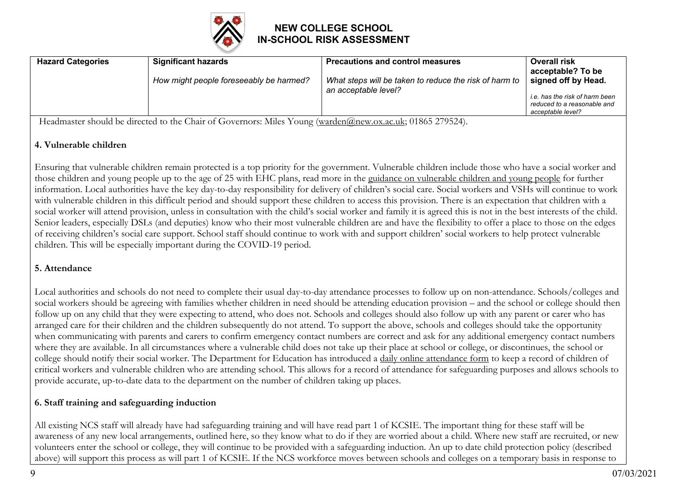

| How might people foreseeably be harmed?<br>What steps will be taken to reduce the risk of harm to<br>signed off by Head.<br>an acceptable level?<br>i.e. has the risk of harm been<br>reduced to a reasonable and<br>acceptable level? | <b>Hazard Categories</b> | <b>Significant hazards</b> | <b>Precautions and control measures</b> | <b>Overall risk</b><br>acceptable? To be |
|----------------------------------------------------------------------------------------------------------------------------------------------------------------------------------------------------------------------------------------|--------------------------|----------------------------|-----------------------------------------|------------------------------------------|
|                                                                                                                                                                                                                                        |                          |                            |                                         |                                          |

Headmaster should be directed to the Chair of Governors: Miles Young (warden@new.ox.ac.uk; 01865 279524).

#### **4. Vulnerable children**

Ensuring that vulnerable children remain protected is a top priority for the government. Vulnerable children include those who have a social worker and those children and young people up to the age of 25 with EHC plans, read more in the guidance on vulnerable children and young people for further information. Local authorities have the key day-to-day responsibility for delivery of children's social care. Social workers and VSHs will continue to work with vulnerable children in this difficult period and should support these children to access this provision. There is an expectation that children with a social worker will attend provision, unless in consultation with the child's social worker and family it is agreed this is not in the best interests of the child. Senior leaders, especially DSLs (and deputies) know who their most vulnerable children are and have the flexibility to offer a place to those on the edges of receiving children's social care support. School staff should continue to work with and support children' social workers to help protect vulnerable children. This will be especially important during the COVID-19 period.

#### **5. Attendance**

Local authorities and schools do not need to complete their usual day-to-day attendance processes to follow up on non-attendance. Schools/colleges and social workers should be agreeing with families whether children in need should be attending education provision – and the school or college should then follow up on any child that they were expecting to attend, who does not. Schools and colleges should also follow up with any parent or carer who has arranged care for their children and the children subsequently do not attend. To support the above, schools and colleges should take the opportunity when communicating with parents and carers to confirm emergency contact numbers are correct and ask for any additional emergency contact numbers where they are available. In all circumstances where a vulnerable child does not take up their place at school or college, or discontinues, the school or college should notify their social worker. The Department for Education has introduced a daily online attendance form to keep a record of children of critical workers and vulnerable children who are attending school. This allows for a record of attendance for safeguarding purposes and allows schools to provide accurate, up-to-date data to the department on the number of children taking up places.

#### **6. Staff training and safeguarding induction**

All existing NCS staff will already have had safeguarding training and will have read part 1 of KCSIE. The important thing for these staff will be awareness of any new local arrangements, outlined here, so they know what to do if they are worried about a child. Where new staff are recruited, or new volunteers enter the school or college, they will continue to be provided with a safeguarding induction. An up to date child protection policy (described above) will support this process as will part 1 of KCSIE. If the NCS workforce moves between schools and colleges on a temporary basis in response to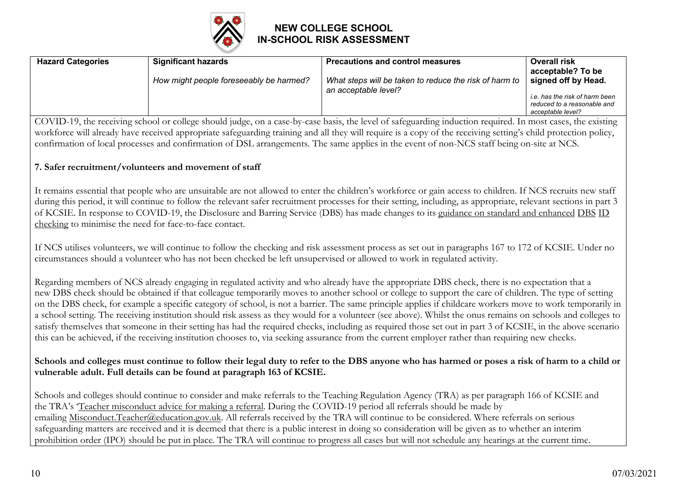

| <b>Hazard Categories</b> | <b>Significant hazards</b>              | <b>Precautions and control measures</b>                                        | <b>Overall risk</b>                                                                                                            |
|--------------------------|-----------------------------------------|--------------------------------------------------------------------------------|--------------------------------------------------------------------------------------------------------------------------------|
|                          | How might people foreseeably be harmed? | What steps will be taken to reduce the risk of harm to<br>an acceptable level? | acceptable? To be<br>signed off by Head.<br>i.e. has the risk of harm been<br>reduced to a reasonable and<br>acceptable level? |

COVID-19, the receiving school or college should judge, on a case-by-case basis, the level of safeguarding induction required. In most cases, the existing workforce will already have received appropriate safeguarding training and all they will require is a copy of the receiving setting's child protection policy, confirmation of local processes and confirmation of DSL arrangements. The same applies in the event of non-NCS staff being on-site at NCS.

#### **7. Safer recruitment/volunteers and movement of staff**

It remains essential that people who are unsuitable are not allowed to enter the children's workforce or gain access to children. If NCS recruits new staff during this period, it will continue to follow the relevant safer recruitment processes for their setting, including, as appropriate, relevant sections in part 3 of KCSIE. In response to COVID-19, the Disclosure and Barring Service (DBS) has made changes to its guidance on standard and enhanced DBS ID checking to minimise the need for face-to-face contact.

If NCS utilises volunteers, we will continue to follow the checking and risk assessment process as set out in paragraphs 167 to 172 of KCSIE. Under no circumstances should a volunteer who has not been checked be left unsupervised or allowed to work in regulated activity.

Regarding members of NCS already engaging in regulated activity and who already have the appropriate DBS check, there is no expectation that a new DBS check should be obtained if that colleague temporarily moves to another school or college to support the care of children. The type of setting on the DBS check, for example a specific category of school, is not a barrier. The same principle applies if childcare workers move to work temporarily in a school setting. The receiving institution should risk assess as they would for a volunteer (see above). Whilst the onus remains on schools and colleges to satisfy themselves that someone in their setting has had the required checks, including as required those set out in part 3 of KCSIE, in the above scenario this can be achieved, if the receiving institution chooses to, via seeking assurance from the current employer rather than requiring new checks.

#### **Schools and colleges must continue to follow their legal duty to refer to the DBS anyone who has harmed or poses a risk of harm to a child or vulnerable adult. Full details can be found at paragraph 163 of KCSIE.**

Schools and colleges should continue to consider and make referrals to the Teaching Regulation Agency (TRA) as per paragraph 166 of KCSIE and the TRA's 'Teacher misconduct advice for making a referral. During the COVID-19 period all referrals should be made by emailing Misconduct. Teacher@education.gov.uk. All referrals received by the TRA will continue to be considered. Where referrals on serious safeguarding matters are received and it is deemed that there is a public interest in doing so consideration will be given as to whether an interim prohibition order (IPO) should be put in place. The TRA will continue to progress all cases but will not schedule any hearings at the current time.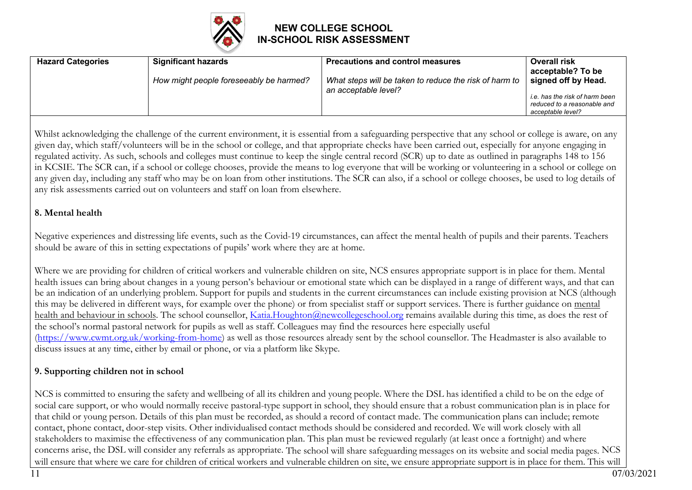

| <b>Hazard Categories</b> | <b>Significant hazards</b>              | <b>Precautions and control measures</b>                                        | <b>Overall risk</b><br>acceptable? To be                                                                  |
|--------------------------|-----------------------------------------|--------------------------------------------------------------------------------|-----------------------------------------------------------------------------------------------------------|
|                          | How might people foreseeably be harmed? | What steps will be taken to reduce the risk of harm to<br>an acceptable level? | signed off by Head.<br>i.e. has the risk of harm been<br>reduced to a reasonable and<br>acceptable level? |

Whilst acknowledging the challenge of the current environment, it is essential from a safeguarding perspective that any school or college is aware, on any given day, which staff/volunteers will be in the school or college, and that appropriate checks have been carried out, especially for anyone engaging in regulated activity. As such, schools and colleges must continue to keep the single central record (SCR) up to date as outlined in paragraphs 148 to 156 in KCSIE. The SCR can, if a school or college chooses, provide the means to log everyone that will be working or volunteering in a school or college on any given day, including any staff who may be on loan from other institutions. The SCR can also, if a school or college chooses, be used to log details of any risk assessments carried out on volunteers and staff on loan from elsewhere.

#### **8. Mental health**

Negative experiences and distressing life events, such as the Covid-19 circumstances, can affect the mental health of pupils and their parents. Teachers should be aware of this in setting expectations of pupils' work where they are at home.

Where we are providing for children of critical workers and vulnerable children on site, NCS ensures appropriate support is in place for them. Mental health issues can bring about changes in a young person's behaviour or emotional state which can be displayed in a range of different ways, and that can be an indication of an underlying problem. Support for pupils and students in the current circumstances can include existing provision at NCS (although this may be delivered in different ways, for example over the phone) or from specialist staff or support services. There is further guidance on mental health and behaviour in schools. The school counsellor, Katia.Houghton@newcollegeschool.org remains available during this time, as does the rest of the school's normal pastoral network for pupils as well as staff. Colleagues may find the resources here especially useful (https://www.cwmt.org.uk/working-from-home) as well as those resources already sent by the school counsellor. The Headmaster is also available to discuss issues at any time, either by email or phone, or via a platform like Skype.

#### **9. Supporting children not in school**

NCS is committed to ensuring the safety and wellbeing of all its children and young people. Where the DSL has identified a child to be on the edge of social care support, or who would normally receive pastoral-type support in school, they should ensure that a robust communication plan is in place for that child or young person. Details of this plan must be recorded, as should a record of contact made. The communication plans can include; remote contact, phone contact, door-step visits. Other individualised contact methods should be considered and recorded. We will work closely with all stakeholders to maximise the effectiveness of any communication plan. This plan must be reviewed regularly (at least once a fortnight) and where concerns arise, the DSL will consider any referrals as appropriate. The school will share safeguarding messages on its website and social media pages. NCS will ensure that where we care for children of critical workers and vulnerable children on site, we ensure appropriate support is in place for them. This will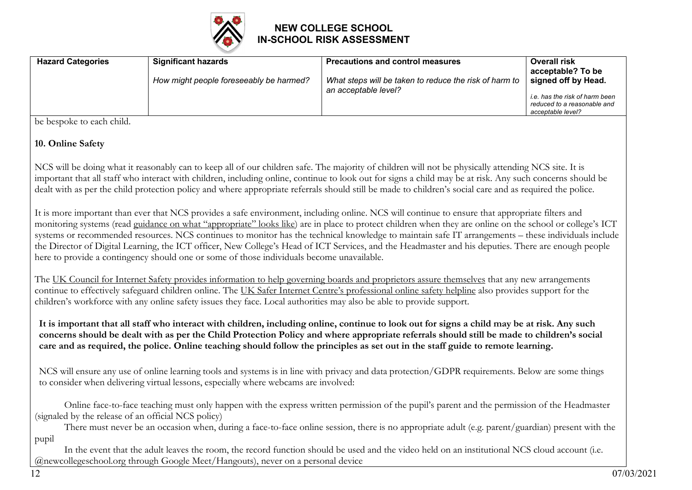

| <b>Significant hazards</b><br><b>Hazard Categories</b> | <b>Precautions and control measures</b>                                        | <b>Overall risk</b><br>acceptable? To be                                                                  |
|--------------------------------------------------------|--------------------------------------------------------------------------------|-----------------------------------------------------------------------------------------------------------|
| How might people foreseeably be harmed?                | What steps will be taken to reduce the risk of harm to<br>an acceptable level? | signed off by Head.<br>i.e. has the risk of harm been<br>reduced to a reasonable and<br>acceptable level? |

be bespoke to each child.

#### **10. Online Safety**

NCS will be doing what it reasonably can to keep all of our children safe. The majority of children will not be physically attending NCS site. It is important that all staff who interact with children, including online, continue to look out for signs a child may be at risk. Any such concerns should be dealt with as per the child protection policy and where appropriate referrals should still be made to children's social care and as required the police.

It is more important than ever that NCS provides a safe environment, including online. NCS will continue to ensure that appropriate filters and monitoring systems (read guidance on what "appropriate" looks like) are in place to protect children when they are online on the school or college's ICT systems or recommended resources. NCS continues to monitor has the technical knowledge to maintain safe IT arrangements – these individuals include the Director of Digital Learning, the ICT officer, New College's Head of ICT Services, and the Headmaster and his deputies. There are enough people here to provide a contingency should one or some of those individuals become unavailable.

The UK Council for Internet Safety provides information to help governing boards and proprietors assure themselves that any new arrangements continue to effectively safeguard children online. The UK Safer Internet Centre's professional online safety helpline also provides support for the children's workforce with any online safety issues they face. Local authorities may also be able to provide support.

It is important that all staff who interact with children, including online, continue to look out for signs a child may be at risk. Any such concerns should be dealt with as per the Child Protection Policy and where appropriate referrals should still be made to children's social care and as required, the police. Online teaching should follow the principles as set out in the staff guide to remote learning.

NCS will ensure any use of online learning tools and systems is in line with privacy and data protection/GDPR requirements. Below are some things to consider when delivering virtual lessons, especially where webcams are involved:

• Online face-to-face teaching must only happen with the express written permission of the pupil's parent and the permission of the Headmaster (signaled by the release of an official NCS policy)

• There must never be an occasion when, during a face-to-face online session, there is no appropriate adult (e.g. parent/guardian) present with the pupil

In the event that the adult leaves the room, the record function should be used and the video held on an institutional NCS cloud account (i.e. @newcollegeschool.org through Google Meet/Hangouts), never on a personal device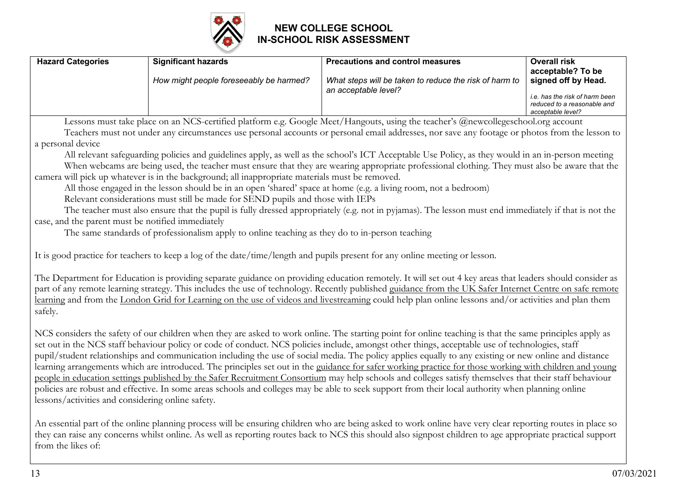

| <b>Hazard Categories</b>                          | <b>Significant hazards</b>                                                                                                  | <b>Precautions and control measures</b>                                                                                                                                                                                                                                                                                                                                                                                                                                                                                                                                                                                                                                                                                                                                                                                                                                                                                                         | <b>Overall risk</b><br>acceptable? To be                                           |
|---------------------------------------------------|-----------------------------------------------------------------------------------------------------------------------------|-------------------------------------------------------------------------------------------------------------------------------------------------------------------------------------------------------------------------------------------------------------------------------------------------------------------------------------------------------------------------------------------------------------------------------------------------------------------------------------------------------------------------------------------------------------------------------------------------------------------------------------------------------------------------------------------------------------------------------------------------------------------------------------------------------------------------------------------------------------------------------------------------------------------------------------------------|------------------------------------------------------------------------------------|
|                                                   | How might people foreseeably be harmed?                                                                                     | What steps will be taken to reduce the risk of harm to<br>an acceptable level?                                                                                                                                                                                                                                                                                                                                                                                                                                                                                                                                                                                                                                                                                                                                                                                                                                                                  | signed off by Head.                                                                |
|                                                   |                                                                                                                             |                                                                                                                                                                                                                                                                                                                                                                                                                                                                                                                                                                                                                                                                                                                                                                                                                                                                                                                                                 | i.e. has the risk of harm been<br>reduced to a reasonable and<br>acceptable level? |
|                                                   |                                                                                                                             | Lessons must take place on an NCS-certified platform e.g. Google Meet/Hangouts, using the teacher's @newcollegeschool.org account                                                                                                                                                                                                                                                                                                                                                                                                                                                                                                                                                                                                                                                                                                                                                                                                               |                                                                                    |
|                                                   |                                                                                                                             | Teachers must not under any circumstances use personal accounts or personal email addresses, nor save any footage or photos from the lesson to                                                                                                                                                                                                                                                                                                                                                                                                                                                                                                                                                                                                                                                                                                                                                                                                  |                                                                                    |
| a personal device                                 |                                                                                                                             |                                                                                                                                                                                                                                                                                                                                                                                                                                                                                                                                                                                                                                                                                                                                                                                                                                                                                                                                                 |                                                                                    |
|                                                   |                                                                                                                             | All relevant safeguarding policies and guidelines apply, as well as the school's ICT Acceptable Use Policy, as they would in an in-person meeting                                                                                                                                                                                                                                                                                                                                                                                                                                                                                                                                                                                                                                                                                                                                                                                               |                                                                                    |
|                                                   |                                                                                                                             | When webcams are being used, the teacher must ensure that they are wearing appropriate professional clothing. They must also be aware that the                                                                                                                                                                                                                                                                                                                                                                                                                                                                                                                                                                                                                                                                                                                                                                                                  |                                                                                    |
|                                                   | camera will pick up whatever is in the background; all inappropriate materials must be removed.                             |                                                                                                                                                                                                                                                                                                                                                                                                                                                                                                                                                                                                                                                                                                                                                                                                                                                                                                                                                 |                                                                                    |
|                                                   | All those engaged in the lesson should be in an open 'shared' space at home (e.g. a living room, not a bedroom)             |                                                                                                                                                                                                                                                                                                                                                                                                                                                                                                                                                                                                                                                                                                                                                                                                                                                                                                                                                 |                                                                                    |
|                                                   | Relevant considerations must still be made for SEND pupils and those with IEPs                                              |                                                                                                                                                                                                                                                                                                                                                                                                                                                                                                                                                                                                                                                                                                                                                                                                                                                                                                                                                 |                                                                                    |
|                                                   |                                                                                                                             | The teacher must also ensure that the pupil is fully dressed appropriately (e.g. not in pyjamas). The lesson must end immediately if that is not the                                                                                                                                                                                                                                                                                                                                                                                                                                                                                                                                                                                                                                                                                                                                                                                            |                                                                                    |
| case, and the parent must be notified immediately |                                                                                                                             |                                                                                                                                                                                                                                                                                                                                                                                                                                                                                                                                                                                                                                                                                                                                                                                                                                                                                                                                                 |                                                                                    |
|                                                   | The same standards of professionalism apply to online teaching as they do to in-person teaching                             |                                                                                                                                                                                                                                                                                                                                                                                                                                                                                                                                                                                                                                                                                                                                                                                                                                                                                                                                                 |                                                                                    |
|                                                   | It is good practice for teachers to keep a log of the date/time/length and pupils present for any online meeting or lesson. |                                                                                                                                                                                                                                                                                                                                                                                                                                                                                                                                                                                                                                                                                                                                                                                                                                                                                                                                                 |                                                                                    |
| safely.                                           |                                                                                                                             | The Department for Education is providing separate guidance on providing education remotely. It will set out 4 key areas that leaders should consider as<br>part of any remote learning strategy. This includes the use of technology. Recently published guidance from the UK Safer Internet Centre on safe remote<br>learning and from the London Grid for Learning on the use of videos and livestreaming could help plan online lessons and/or activities and plan them                                                                                                                                                                                                                                                                                                                                                                                                                                                                     |                                                                                    |
| lessons/activities and considering online safety. |                                                                                                                             | NCS considers the safety of our children when they are asked to work online. The starting point for online teaching is that the same principles apply as<br>set out in the NCS staff behaviour policy or code of conduct. NCS policies include, amongst other things, acceptable use of technologies, staff<br>pupil/student relationships and communication including the use of social media. The policy applies equally to any existing or new online and distance<br>learning arrangements which are introduced. The principles set out in the guidance for safer working practice for those working with children and young<br>people in education settings published by the Safer Recruitment Consortium may help schools and colleges satisfy themselves that their staff behaviour<br>policies are robust and effective. In some areas schools and colleges may be able to seek support from their local authority when planning online |                                                                                    |
|                                                   | the contract of the contract of the contract of the contract of the contract of the contract of the contract of             |                                                                                                                                                                                                                                                                                                                                                                                                                                                                                                                                                                                                                                                                                                                                                                                                                                                                                                                                                 |                                                                                    |

An essential part of the online planning process will be ensuring children who are being asked to work online have very clear reporting routes in place so they can raise any concerns whilst online. As well as reporting routes back to NCS this should also signpost children to age appropriate practical support from the likes of: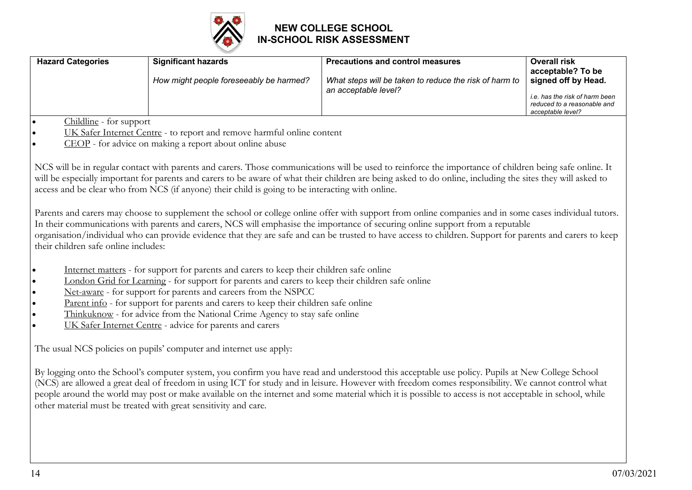

| <b>Hazard Categories</b>                         | <b>Significant hazards</b>                                                                                                                                                                                                                                                                                                                            | <b>Precautions and control measures</b>                                                                                                                                                                                                                                                                                                                                                                                                                         | <b>Overall risk</b><br>acceptable? To be                                           |
|--------------------------------------------------|-------------------------------------------------------------------------------------------------------------------------------------------------------------------------------------------------------------------------------------------------------------------------------------------------------------------------------------------------------|-----------------------------------------------------------------------------------------------------------------------------------------------------------------------------------------------------------------------------------------------------------------------------------------------------------------------------------------------------------------------------------------------------------------------------------------------------------------|------------------------------------------------------------------------------------|
|                                                  | How might people foreseeably be harmed?                                                                                                                                                                                                                                                                                                               | What steps will be taken to reduce the risk of harm to                                                                                                                                                                                                                                                                                                                                                                                                          | signed off by Head.                                                                |
|                                                  |                                                                                                                                                                                                                                                                                                                                                       | an acceptable level?                                                                                                                                                                                                                                                                                                                                                                                                                                            | i.e. has the risk of harm been<br>reduced to a reasonable and<br>acceptable level? |
| Childline - for support<br>$\bullet$             |                                                                                                                                                                                                                                                                                                                                                       |                                                                                                                                                                                                                                                                                                                                                                                                                                                                 |                                                                                    |
|                                                  | UK Safer Internet Centre - to report and remove harmful online content                                                                                                                                                                                                                                                                                |                                                                                                                                                                                                                                                                                                                                                                                                                                                                 |                                                                                    |
|                                                  | CEOP - for advice on making a report about online abuse                                                                                                                                                                                                                                                                                               |                                                                                                                                                                                                                                                                                                                                                                                                                                                                 |                                                                                    |
|                                                  | access and be clear who from NCS (if anyone) their child is going to be interacting with online.                                                                                                                                                                                                                                                      | NCS will be in regular contact with parents and carers. Those communications will be used to reinforce the importance of children being safe online. It<br>will be especially important for parents and carers to be aware of what their children are being asked to do online, including the sites they will asked to                                                                                                                                          |                                                                                    |
| their children safe online includes:             |                                                                                                                                                                                                                                                                                                                                                       | Parents and carers may choose to supplement the school or college online offer with support from online companies and in some cases individual tutors.<br>In their communications with parents and carers, NCS will emphasise the importance of securing online support from a reputable<br>organisation/individual who can provide evidence that they are safe and can be trusted to have access to children. Support for parents and carers to keep           |                                                                                    |
| $\bullet$<br>$\bullet$<br>$\bullet$<br>$\bullet$ | Internet matters - for support for parents and carers to keep their children safe online<br>London Grid for Learning - for support for parents and carers to keep their children safe online<br>Net-aware - for support for parents and careers from the NSPCC<br>Parent info - for support for parents and carers to keep their children safe online |                                                                                                                                                                                                                                                                                                                                                                                                                                                                 |                                                                                    |
| $\bullet$                                        | Thinkuknow - for advice from the National Crime Agency to stay safe online                                                                                                                                                                                                                                                                            |                                                                                                                                                                                                                                                                                                                                                                                                                                                                 |                                                                                    |
| $\bullet$                                        | UK Safer Internet Centre - advice for parents and carers                                                                                                                                                                                                                                                                                              |                                                                                                                                                                                                                                                                                                                                                                                                                                                                 |                                                                                    |
|                                                  | The usual NCS policies on pupils' computer and internet use apply:                                                                                                                                                                                                                                                                                    |                                                                                                                                                                                                                                                                                                                                                                                                                                                                 |                                                                                    |
|                                                  | other material must be treated with great sensitivity and care.                                                                                                                                                                                                                                                                                       | By logging onto the School's computer system, you confirm you have read and understood this acceptable use policy. Pupils at New College School<br>(NCS) are allowed a great deal of freedom in using ICT for study and in leisure. However with freedom comes responsibility. We cannot control what<br>people around the world may post or make available on the internet and some material which it is possible to access is not acceptable in school, while |                                                                                    |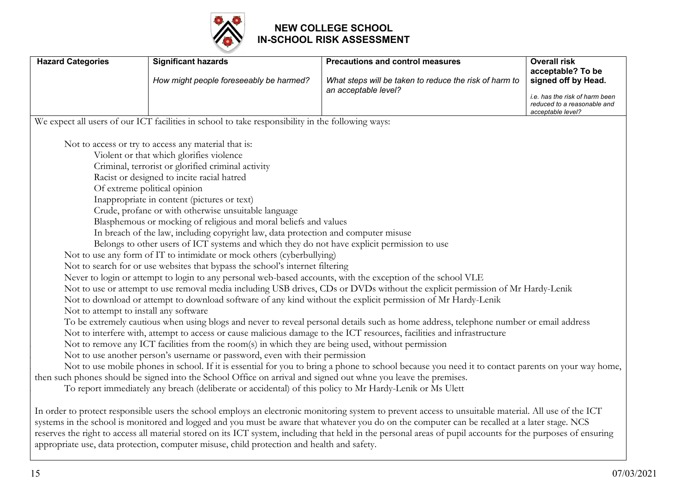

| <b>Hazard Categories</b>               | <b>Significant hazards</b>                                                                                      | <b>Precautions and control measures</b>                                                                                                                                                                                                                                                                                                                                                                                                                                 | <b>Overall risk</b><br>acceptable? To be                                           |
|----------------------------------------|-----------------------------------------------------------------------------------------------------------------|-------------------------------------------------------------------------------------------------------------------------------------------------------------------------------------------------------------------------------------------------------------------------------------------------------------------------------------------------------------------------------------------------------------------------------------------------------------------------|------------------------------------------------------------------------------------|
|                                        | How might people foreseeably be harmed?                                                                         | What steps will be taken to reduce the risk of harm to                                                                                                                                                                                                                                                                                                                                                                                                                  | signed off by Head.                                                                |
|                                        |                                                                                                                 | an acceptable level?                                                                                                                                                                                                                                                                                                                                                                                                                                                    | i.e. has the risk of harm been<br>reduced to a reasonable and<br>acceptable level? |
|                                        | We expect all users of our ICT facilities in school to take responsibility in the following ways:               |                                                                                                                                                                                                                                                                                                                                                                                                                                                                         |                                                                                    |
|                                        | Not to access or try to access any material that is:                                                            |                                                                                                                                                                                                                                                                                                                                                                                                                                                                         |                                                                                    |
|                                        | Violent or that which glorifies violence                                                                        |                                                                                                                                                                                                                                                                                                                                                                                                                                                                         |                                                                                    |
|                                        | Criminal, terrorist or glorified criminal activity                                                              |                                                                                                                                                                                                                                                                                                                                                                                                                                                                         |                                                                                    |
|                                        | Racist or designed to incite racial hatred                                                                      |                                                                                                                                                                                                                                                                                                                                                                                                                                                                         |                                                                                    |
|                                        | Of extreme political opinion                                                                                    |                                                                                                                                                                                                                                                                                                                                                                                                                                                                         |                                                                                    |
|                                        | Inappropriate in content (pictures or text)                                                                     |                                                                                                                                                                                                                                                                                                                                                                                                                                                                         |                                                                                    |
|                                        | Crude, profane or with otherwise unsuitable language                                                            |                                                                                                                                                                                                                                                                                                                                                                                                                                                                         |                                                                                    |
|                                        | Blasphemous or mocking of religious and moral beliefs and values                                                |                                                                                                                                                                                                                                                                                                                                                                                                                                                                         |                                                                                    |
|                                        | In breach of the law, including copyright law, data protection and computer misuse                              |                                                                                                                                                                                                                                                                                                                                                                                                                                                                         |                                                                                    |
|                                        | Belongs to other users of ICT systems and which they do not have explicit permission to use                     |                                                                                                                                                                                                                                                                                                                                                                                                                                                                         |                                                                                    |
|                                        | Not to use any form of IT to intimidate or mock others (cyberbullying)                                          |                                                                                                                                                                                                                                                                                                                                                                                                                                                                         |                                                                                    |
|                                        | Not to search for or use websites that bypass the school's internet filtering                                   |                                                                                                                                                                                                                                                                                                                                                                                                                                                                         |                                                                                    |
|                                        | Never to login or attempt to login to any personal web-based accounts, with the exception of the school VLE     |                                                                                                                                                                                                                                                                                                                                                                                                                                                                         |                                                                                    |
|                                        |                                                                                                                 | Not to use or attempt to use removal media including USB drives, CDs or DVDs without the explicit permission of Mr Hardy-Lenik                                                                                                                                                                                                                                                                                                                                          |                                                                                    |
|                                        |                                                                                                                 | Not to download or attempt to download software of any kind without the explicit permission of Mr Hardy-Lenik                                                                                                                                                                                                                                                                                                                                                           |                                                                                    |
| Not to attempt to install any software |                                                                                                                 |                                                                                                                                                                                                                                                                                                                                                                                                                                                                         |                                                                                    |
|                                        |                                                                                                                 | To be extremely cautious when using blogs and never to reveal personal details such as home address, telephone number or email address                                                                                                                                                                                                                                                                                                                                  |                                                                                    |
|                                        |                                                                                                                 | Not to interfere with, attempt to access or cause malicious damage to the ICT resources, facilities and infrastructure                                                                                                                                                                                                                                                                                                                                                  |                                                                                    |
|                                        | Not to remove any ICT facilities from the room(s) in which they are being used, without permission              |                                                                                                                                                                                                                                                                                                                                                                                                                                                                         |                                                                                    |
|                                        | Not to use another person's username or password, even with their permission                                    |                                                                                                                                                                                                                                                                                                                                                                                                                                                                         |                                                                                    |
|                                        |                                                                                                                 | Not to use mobile phones in school. If it is essential for you to bring a phone to school because you need it to contact parents on your way home,                                                                                                                                                                                                                                                                                                                      |                                                                                    |
|                                        | then such phones should be signed into the School Office on arrival and signed out whne you leave the premises. |                                                                                                                                                                                                                                                                                                                                                                                                                                                                         |                                                                                    |
|                                        | To report immediately any breach (deliberate or accidental) of this policy to Mr Hardy-Lenik or Ms Ulett        |                                                                                                                                                                                                                                                                                                                                                                                                                                                                         |                                                                                    |
|                                        | appropriate use, data protection, computer misuse, child protection and health and safety.                      | In order to protect responsible users the school employs an electronic monitoring system to prevent access to unsuitable material. All use of the ICT<br>systems in the school is monitored and logged and you must be aware that whatever you do on the computer can be recalled at a later stage. NCS<br>reserves the right to access all material stored on its ICT system, including that held in the personal areas of pupil accounts for the purposes of ensuring |                                                                                    |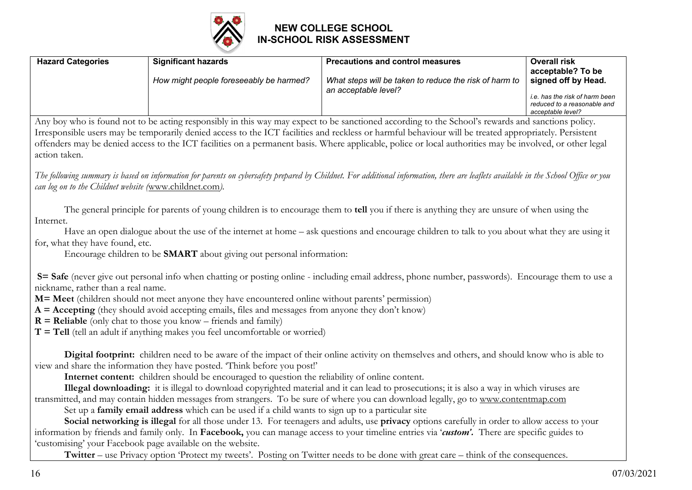

| <b>Hazard Categories</b>           | <b>Significant hazards</b>                                                                           | <b>Precautions and control measures</b>                                                                                                                                             | <b>Overall risk</b><br>acceptable? To be                                           |
|------------------------------------|------------------------------------------------------------------------------------------------------|-------------------------------------------------------------------------------------------------------------------------------------------------------------------------------------|------------------------------------------------------------------------------------|
|                                    | How might people foreseeably be harmed?                                                              | What steps will be taken to reduce the risk of harm to                                                                                                                              | signed off by Head.                                                                |
|                                    |                                                                                                      | an acceptable level?                                                                                                                                                                | i.e. has the risk of harm been<br>reduced to a reasonable and<br>acceptable level? |
|                                    |                                                                                                      | Any boy who is found not to be acting responsibly in this way may expect to be sanctioned according to the School's rewards and sanctions policy.                                   |                                                                                    |
|                                    |                                                                                                      | Irresponsible users may be temporarily denied access to the ICT facilities and reckless or harmful behaviour will be treated appropriately. Persistent                              |                                                                                    |
|                                    |                                                                                                      | offenders may be denied access to the ICT facilities on a permanent basis. Where applicable, police or local authorities may be involved, or other legal                            |                                                                                    |
| action taken.                      |                                                                                                      |                                                                                                                                                                                     |                                                                                    |
|                                    |                                                                                                      | The following summary is based on information for parents on cybersafety prepared by Childnet. For additional information, there are leaflets available in the School Office or you |                                                                                    |
|                                    | can log on to the Childnet website (www.childnet.com).                                               |                                                                                                                                                                                     |                                                                                    |
|                                    |                                                                                                      |                                                                                                                                                                                     |                                                                                    |
|                                    |                                                                                                      | The general principle for parents of young children is to encourage them to tell you if there is anything they are unsure of when using the                                         |                                                                                    |
| Internet.                          |                                                                                                      |                                                                                                                                                                                     |                                                                                    |
|                                    |                                                                                                      | Have an open dialogue about the use of the internet at home – ask questions and encourage children to talk to you about what they are using it                                      |                                                                                    |
| for, what they have found, etc.    |                                                                                                      |                                                                                                                                                                                     |                                                                                    |
|                                    | Encourage children to be <b>SMART</b> about giving out personal information:                         |                                                                                                                                                                                     |                                                                                    |
|                                    |                                                                                                      | S= Safe (never give out personal info when chatting or posting online - including email address, phone number, passwords). Encourage them to use a                                  |                                                                                    |
| nickname, rather than a real name. |                                                                                                      |                                                                                                                                                                                     |                                                                                    |
|                                    | M= Meet (children should not meet anyone they have encountered online without parents' permission)   |                                                                                                                                                                                     |                                                                                    |
|                                    | $A = Accepting$ (they should avoid accepting emails, files and messages from anyone they don't know) |                                                                                                                                                                                     |                                                                                    |
|                                    | $R =$ Reliable (only chat to those you know – friends and family)                                    |                                                                                                                                                                                     |                                                                                    |
|                                    | $T = Tel1$ (tell an adult if anything makes you feel uncomfortable or worried)                       |                                                                                                                                                                                     |                                                                                    |
|                                    |                                                                                                      | Digital footprint: children need to be aware of the impact of their online activity on themselves and others, and should know who is able to                                        |                                                                                    |
|                                    | view and share the information they have posted. 'Think before you post!'                            |                                                                                                                                                                                     |                                                                                    |
|                                    | Internet content: children should be encouraged to question the reliability of online content.       |                                                                                                                                                                                     |                                                                                    |
|                                    |                                                                                                      | Illegal downloading: it is illegal to download copyrighted material and it can lead to prosecutions; it is also a way in which viruses are                                          |                                                                                    |
|                                    |                                                                                                      | transmitted, and may contain hidden messages from strangers. To be sure of where you can download legally, go to www.contentmap.com                                                 |                                                                                    |
|                                    | Set up a family email address which can be used if a child wants to sign up to a particular site     |                                                                                                                                                                                     |                                                                                    |
|                                    |                                                                                                      | Social networking is illegal for all those under 13. For teenagers and adults, use privacy options carefully in order to allow access to your                                       |                                                                                    |
|                                    |                                                                                                      | information by friends and family only. In Facebook, you can manage access to your timeline entries via 'custom'. There are specific guides to                                      |                                                                                    |
|                                    | 'customising' your Facebook page available on the website.                                           |                                                                                                                                                                                     |                                                                                    |
|                                    |                                                                                                      | Twitter – use Privacy option 'Protect my tweets'. Posting on Twitter needs to be done with great care – think of the consequences.                                                  |                                                                                    |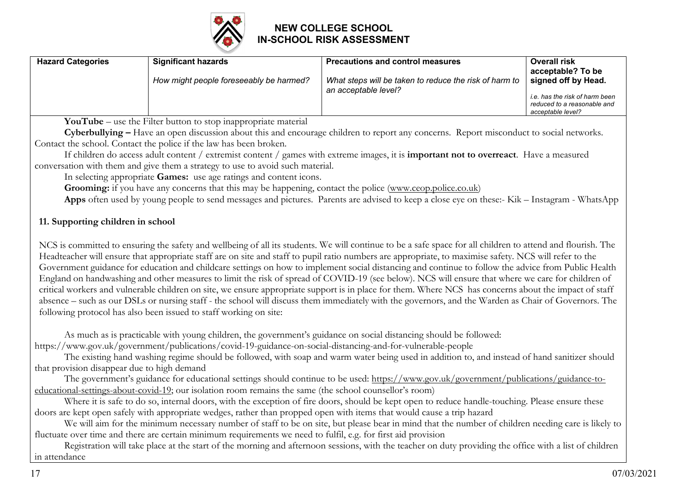

| <b>Hazard Categories</b> | <b>Significant hazards</b>              | <b>Precautions and control measures</b>                                        | <b>Overall risk</b><br>acceptable? To be                                                                  |
|--------------------------|-----------------------------------------|--------------------------------------------------------------------------------|-----------------------------------------------------------------------------------------------------------|
|                          | How might people foreseeably be harmed? | What steps will be taken to reduce the risk of harm to<br>an acceptable level? | signed off by Head.<br>i.e. has the risk of harm been<br>reduced to a reasonable and<br>acceptable level? |

• **YouTube** – use the Filter button to stop inappropriate material

• **Cyberbullying –** Have an open discussion about this and encourage children to report any concerns. Report misconduct to social networks. Contact the school. Contact the police if the law has been broken.

• If children do access adult content / extremist content / games with extreme images, it is **important not to overreact**. Have a measured conversation with them and give them a strategy to use to avoid such material.

• In selecting appropriate **Games:** use age ratings and content icons.

**Grooming:** if you have any concerns that this may be happening, contact the police (www.ceop.police.co.uk)

• **Apps** often used by young people to send messages and pictures. Parents are advised to keep a close eye on these:- Kik – Instagram - WhatsApp

#### **11. Supporting children in school**

NCS is committed to ensuring the safety and wellbeing of all its students. We will continue to be a safe space for all children to attend and flourish. The Headteacher will ensure that appropriate staff are on site and staff to pupil ratio numbers are appropriate, to maximise safety. NCS will refer to the Government guidance for education and childcare settings on how to implement social distancing and continue to follow the advice from Public Health England on handwashing and other measures to limit the risk of spread of COVID-19 (see below). NCS will ensure that where we care for children of critical workers and vulnerable children on site, we ensure appropriate support is in place for them. Where NCS has concerns about the impact of staff absence – such as our DSLs or nursing staff - the school will discuss them immediately with the governors, and the Warden as Chair of Governors. The following protocol has also been issued to staff working on site:

As much as is practicable with young children, the government's guidance on social distancing should be followed: https://www.gov.uk/government/publications/covid-19-guidance-on-social-distancing-and-for-vulnerable-people

• The existing hand washing regime should be followed, with soap and warm water being used in addition to, and instead of hand sanitizer should that provision disappear due to high demand

The government's guidance for educational settings should continue to be used: https://www.gov.uk/government/publications/guidance-toeducational-settings-about-covid-19; our isolation room remains the same (the school counsellor's room)

Where it is safe to do so, internal doors, with the exception of fire doors, should be kept open to reduce handle-touching. Please ensure these doors are kept open safely with appropriate wedges, rather than propped open with items that would cause a trip hazard

• We will aim for the minimum necessary number of staff to be on site, but please bear in mind that the number of children needing care is likely to fluctuate over time and there are certain minimum requirements we need to fulfil, e.g. for first aid provision

Registration will take place at the start of the morning and afternoon sessions, with the teacher on duty providing the office with a list of children in attendance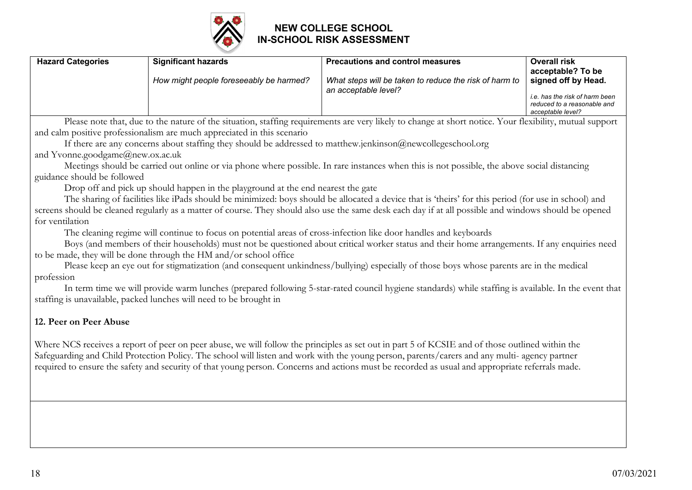

| <b>Hazard Categories</b> | <b>Significant hazards</b>              | <b>Precautions and control measures</b>                                        | <b>Overall risk</b>                                                                                                            |
|--------------------------|-----------------------------------------|--------------------------------------------------------------------------------|--------------------------------------------------------------------------------------------------------------------------------|
|                          | How might people foreseeably be harmed? | What steps will be taken to reduce the risk of harm to<br>an acceptable level? | acceptable? To be<br>signed off by Head.<br>i.e. has the risk of harm been<br>reduced to a reasonable and<br>acceptable level? |

• Please note that, due to the nature of the situation, staffing requirements are very likely to change at short notice. Your flexibility, mutual support and calm positive professionalism are much appreciated in this scenario

If there are any concerns about staffing they should be addressed to matthew.jenkinson@newcollegeschool.org and Yvonne.goodgame@new.ox.ac.uk

• Meetings should be carried out online or via phone where possible. In rare instances when this is not possible, the above social distancing guidance should be followed

• Drop off and pick up should happen in the playground at the end nearest the gate

• The sharing of facilities like iPads should be minimized: boys should be allocated a device that is 'theirs' for this period (for use in school) and screens should be cleaned regularly as a matter of course. They should also use the same desk each day if at all possible and windows should be opened for ventilation

• The cleaning regime will continue to focus on potential areas of cross-infection like door handles and keyboards

• Boys (and members of their households) must not be questioned about critical worker status and their home arrangements. If any enquiries need to be made, they will be done through the HM and/or school office

• Please keep an eye out for stigmatization (and consequent unkindness/bullying) especially of those boys whose parents are in the medical profession

• In term time we will provide warm lunches (prepared following 5-star-rated council hygiene standards) while staffing is available. In the event that staffing is unavailable, packed lunches will need to be brought in

#### **12. Peer on Peer Abuse**

Where NCS receives a report of peer on peer abuse, we will follow the principles as set out in part 5 of KCSIE and of those outlined within the Safeguarding and Child Protection Policy. The school will listen and work with the young person, parents/carers and any multi- agency partner required to ensure the safety and security of that young person. Concerns and actions must be recorded as usual and appropriate referrals made.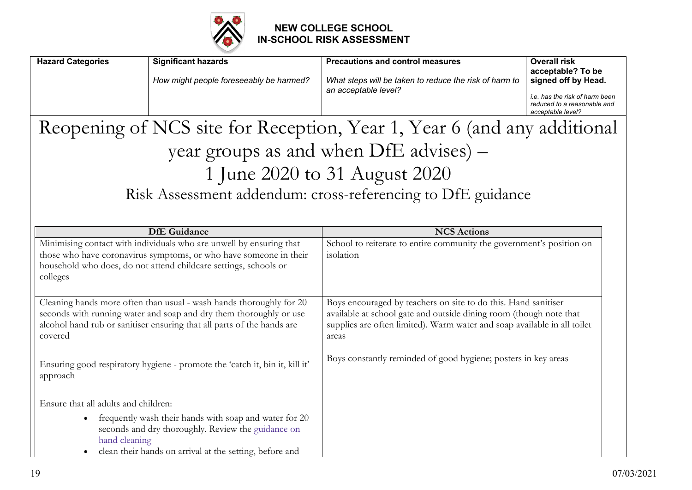

| <b>Hazard Categories</b>                                                                                                                                                                                                       | <b>Significant hazards</b>                                                                                                                                              | <b>Precautions and control measures</b>                                                                                                                                                                                   | <b>Overall risk</b>                                                                |
|--------------------------------------------------------------------------------------------------------------------------------------------------------------------------------------------------------------------------------|-------------------------------------------------------------------------------------------------------------------------------------------------------------------------|---------------------------------------------------------------------------------------------------------------------------------------------------------------------------------------------------------------------------|------------------------------------------------------------------------------------|
|                                                                                                                                                                                                                                | How might people foreseeably be harmed?                                                                                                                                 | What steps will be taken to reduce the risk of harm to<br>an acceptable level?                                                                                                                                            | acceptable? To be<br>signed off by Head.                                           |
|                                                                                                                                                                                                                                |                                                                                                                                                                         |                                                                                                                                                                                                                           | i.e. has the risk of harm been<br>reduced to a reasonable and<br>acceptable level? |
|                                                                                                                                                                                                                                |                                                                                                                                                                         | Reopening of NCS site for Reception, Year 1, Year 6 (and any additional                                                                                                                                                   |                                                                                    |
|                                                                                                                                                                                                                                |                                                                                                                                                                         | year groups as and when DfE advises) -                                                                                                                                                                                    |                                                                                    |
|                                                                                                                                                                                                                                |                                                                                                                                                                         | 1 June 2020 to 31 August 2020                                                                                                                                                                                             |                                                                                    |
|                                                                                                                                                                                                                                |                                                                                                                                                                         | Risk Assessment addendum: cross-referencing to DfE guidance                                                                                                                                                               |                                                                                    |
|                                                                                                                                                                                                                                |                                                                                                                                                                         |                                                                                                                                                                                                                           |                                                                                    |
|                                                                                                                                                                                                                                | <b>DfE</b> Guidance                                                                                                                                                     | <b>NCS Actions</b>                                                                                                                                                                                                        |                                                                                    |
| Minimising contact with individuals who are unwell by ensuring that<br>those who have coronavirus symptoms, or who have someone in their<br>household who does, do not attend childcare settings, schools or<br>colleges       |                                                                                                                                                                         | School to reiterate to entire community the government's position on<br>isolation                                                                                                                                         |                                                                                    |
| Cleaning hands more often than usual - wash hands thoroughly for 20<br>seconds with running water and soap and dry them thoroughly or use<br>alcohol hand rub or sanitiser ensuring that all parts of the hands are<br>covered |                                                                                                                                                                         | Boys encouraged by teachers on site to do this. Hand sanitiser<br>available at school gate and outside dining room (though note that<br>supplies are often limited). Warm water and soap available in all toilet<br>areas |                                                                                    |
| approach                                                                                                                                                                                                                       | Ensuring good respiratory hygiene - promote the 'catch it, bin it, kill it'                                                                                             | Boys constantly reminded of good hygiene; posters in key areas                                                                                                                                                            |                                                                                    |
| Ensure that all adults and children:<br>$\bullet$<br>hand cleaning                                                                                                                                                             | frequently wash their hands with soap and water for 20<br>seconds and dry thoroughly. Review the guidance on<br>clean their hands on arrival at the setting, before and |                                                                                                                                                                                                                           |                                                                                    |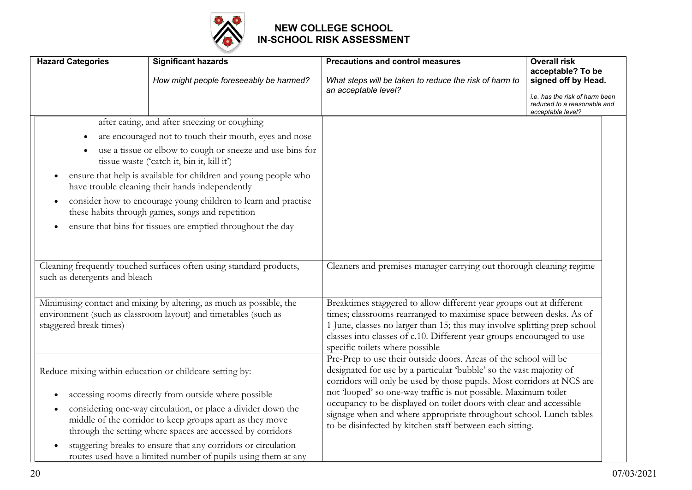

| <b>Hazard Categories</b>                                                                                                                                        | <b>Significant hazards</b>                                                                                                                                                             | <b>Precautions and control measures</b>                                                                                                                                                                                                                                                                                              | <b>Overall risk</b>                                                                |
|-----------------------------------------------------------------------------------------------------------------------------------------------------------------|----------------------------------------------------------------------------------------------------------------------------------------------------------------------------------------|--------------------------------------------------------------------------------------------------------------------------------------------------------------------------------------------------------------------------------------------------------------------------------------------------------------------------------------|------------------------------------------------------------------------------------|
|                                                                                                                                                                 | How might people foreseeably be harmed?                                                                                                                                                | What steps will be taken to reduce the risk of harm to<br>an acceptable level?                                                                                                                                                                                                                                                       | acceptable? To be<br>signed off by Head.                                           |
|                                                                                                                                                                 |                                                                                                                                                                                        |                                                                                                                                                                                                                                                                                                                                      | i.e. has the risk of harm been<br>reduced to a reasonable and<br>acceptable level? |
|                                                                                                                                                                 | after eating, and after sneezing or coughing                                                                                                                                           |                                                                                                                                                                                                                                                                                                                                      |                                                                                    |
| $\bullet$                                                                                                                                                       | are encouraged not to touch their mouth, eyes and nose                                                                                                                                 |                                                                                                                                                                                                                                                                                                                                      |                                                                                    |
| $\bullet$                                                                                                                                                       | use a tissue or elbow to cough or sneeze and use bins for<br>tissue waste ('catch it, bin it, kill it')                                                                                |                                                                                                                                                                                                                                                                                                                                      |                                                                                    |
|                                                                                                                                                                 | ensure that help is available for children and young people who<br>have trouble cleaning their hands independently                                                                     |                                                                                                                                                                                                                                                                                                                                      |                                                                                    |
|                                                                                                                                                                 | consider how to encourage young children to learn and practise<br>these habits through games, songs and repetition                                                                     |                                                                                                                                                                                                                                                                                                                                      |                                                                                    |
|                                                                                                                                                                 | ensure that bins for tissues are emptied throughout the day                                                                                                                            |                                                                                                                                                                                                                                                                                                                                      |                                                                                    |
|                                                                                                                                                                 |                                                                                                                                                                                        |                                                                                                                                                                                                                                                                                                                                      |                                                                                    |
| Cleaning frequently touched surfaces often using standard products,<br>such as detergents and bleach                                                            |                                                                                                                                                                                        | Cleaners and premises manager carrying out thorough cleaning regime                                                                                                                                                                                                                                                                  |                                                                                    |
| Minimising contact and mixing by altering, as much as possible, the<br>environment (such as classroom layout) and timetables (such as<br>staggered break times) |                                                                                                                                                                                        | Breaktimes staggered to allow different year groups out at different<br>times; classrooms rearranged to maximise space between desks. As of<br>1 June, classes no larger than 15; this may involve splitting prep school<br>classes into classes of c.10. Different year groups encouraged to use<br>specific toilets where possible |                                                                                    |
| Reduce mixing within education or childcare setting by:                                                                                                         |                                                                                                                                                                                        | Pre-Prep to use their outside doors. Areas of the school will be<br>designated for use by a particular 'bubble' so the vast majority of<br>corridors will only be used by those pupils. Most corridors at NCS are                                                                                                                    |                                                                                    |
|                                                                                                                                                                 | accessing rooms directly from outside where possible                                                                                                                                   | not 'looped' so one-way traffic is not possible. Maximum toilet                                                                                                                                                                                                                                                                      |                                                                                    |
|                                                                                                                                                                 | considering one-way circulation, or place a divider down the<br>middle of the corridor to keep groups apart as they move<br>through the setting where spaces are accessed by corridors | occupancy to be displayed on toilet doors with clear and accessible<br>signage when and where appropriate throughout school. Lunch tables<br>to be disinfected by kitchen staff between each sitting.                                                                                                                                |                                                                                    |
|                                                                                                                                                                 | staggering breaks to ensure that any corridors or circulation<br>routes used have a limited number of pupils using them at any                                                         |                                                                                                                                                                                                                                                                                                                                      |                                                                                    |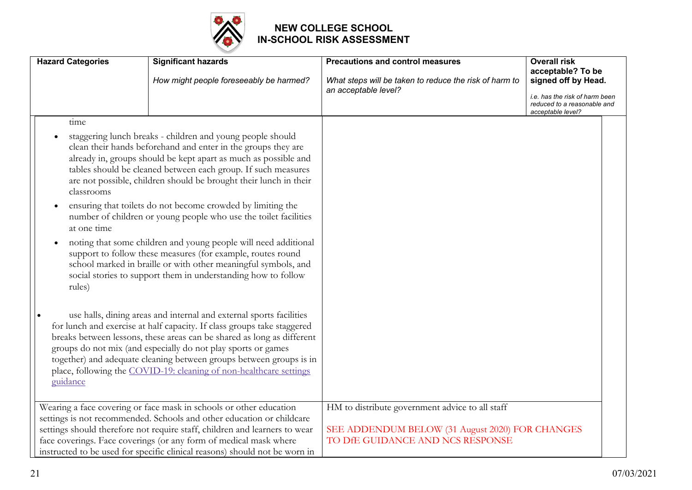

| <b>Hazard Categories</b>          | <b>Significant hazards</b><br>How might people foreseeably be harmed?                                                                                                                                                                                                                                                                                                                                                                                                   | <b>Precautions and control measures</b><br>What steps will be taken to reduce the risk of harm to                                      | <b>Overall risk</b><br>acceptable? To be<br>signed off by Head.                    |
|-----------------------------------|-------------------------------------------------------------------------------------------------------------------------------------------------------------------------------------------------------------------------------------------------------------------------------------------------------------------------------------------------------------------------------------------------------------------------------------------------------------------------|----------------------------------------------------------------------------------------------------------------------------------------|------------------------------------------------------------------------------------|
|                                   |                                                                                                                                                                                                                                                                                                                                                                                                                                                                         | an acceptable level?                                                                                                                   | i.e. has the risk of harm been<br>reduced to a reasonable and<br>acceptable level? |
| time<br>classrooms<br>at one time | staggering lunch breaks - children and young people should<br>clean their hands beforehand and enter in the groups they are<br>already in, groups should be kept apart as much as possible and<br>tables should be cleaned between each group. If such measures<br>are not possible, children should be brought their lunch in their<br>ensuring that toilets do not become crowded by limiting the<br>number of children or young people who use the toilet facilities |                                                                                                                                        |                                                                                    |
| rules)                            | noting that some children and young people will need additional<br>support to follow these measures (for example, routes round<br>school marked in braille or with other meaningful symbols, and<br>social stories to support them in understanding how to follow                                                                                                                                                                                                       |                                                                                                                                        |                                                                                    |
| guidance                          | use halls, dining areas and internal and external sports facilities<br>for lunch and exercise at half capacity. If class groups take staggered<br>breaks between lessons, these areas can be shared as long as different<br>groups do not mix (and especially do not play sports or games<br>together) and adequate cleaning between groups between groups is in<br>place, following the COVID-19: cleaning of non-healthcare settings                                  |                                                                                                                                        |                                                                                    |
|                                   | Wearing a face covering or face mask in schools or other education<br>settings is not recommended. Schools and other education or childcare<br>settings should therefore not require staff, children and learners to wear<br>face coverings. Face coverings (or any form of medical mask where<br>instructed to be used for specific clinical reasons) should not be worn in                                                                                            | HM to distribute government advice to all staff<br>SEE ADDENDUM BELOW (31 August 2020) FOR CHANGES<br>TO DIE GUIDANCE AND NCS RESPONSE |                                                                                    |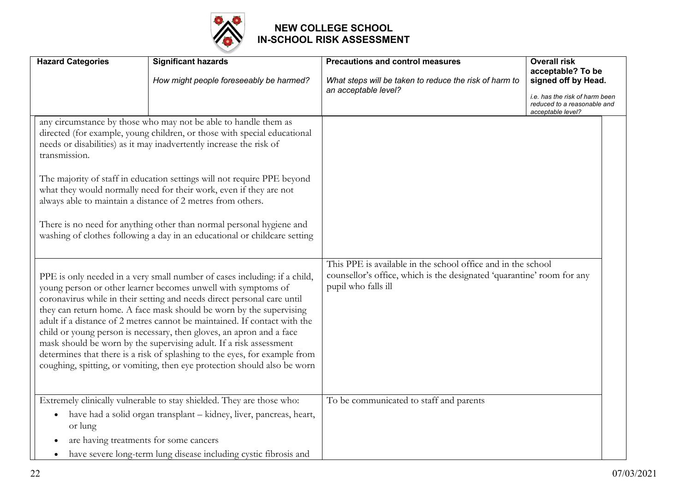

|                                                                                                                                                                                                                                                                                                                                                                                                                                                                                                                                                                                                                                                                                   | <b>Hazard Categories</b>                                       | <b>Significant hazards</b><br>How might people foreseeably be harmed?                                                                                                                                                                                                                                                                                                                                                                                                                                                                                                                   | <b>Precautions and control measures</b><br>What steps will be taken to reduce the risk of harm to<br>an acceptable level?                                     | <b>Overall risk</b><br>acceptable? To be<br>signed off by Head.<br>i.e. has the risk of harm been |
|-----------------------------------------------------------------------------------------------------------------------------------------------------------------------------------------------------------------------------------------------------------------------------------------------------------------------------------------------------------------------------------------------------------------------------------------------------------------------------------------------------------------------------------------------------------------------------------------------------------------------------------------------------------------------------------|----------------------------------------------------------------|-----------------------------------------------------------------------------------------------------------------------------------------------------------------------------------------------------------------------------------------------------------------------------------------------------------------------------------------------------------------------------------------------------------------------------------------------------------------------------------------------------------------------------------------------------------------------------------------|---------------------------------------------------------------------------------------------------------------------------------------------------------------|---------------------------------------------------------------------------------------------------|
|                                                                                                                                                                                                                                                                                                                                                                                                                                                                                                                                                                                                                                                                                   |                                                                |                                                                                                                                                                                                                                                                                                                                                                                                                                                                                                                                                                                         |                                                                                                                                                               | reduced to a reasonable and<br>acceptable level?                                                  |
|                                                                                                                                                                                                                                                                                                                                                                                                                                                                                                                                                                                                                                                                                   | transmission.                                                  | any circumstance by those who may not be able to handle them as<br>directed (for example, young children, or those with special educational<br>needs or disabilities) as it may inadvertently increase the risk of<br>The majority of staff in education settings will not require PPE beyond<br>what they would normally need for their work, even if they are not<br>always able to maintain a distance of 2 metres from others.<br>There is no need for anything other than normal personal hygiene and<br>washing of clothes following a day in an educational or childcare setting |                                                                                                                                                               |                                                                                                   |
| PPE is only needed in a very small number of cases including: if a child,<br>young person or other learner becomes unwell with symptoms of<br>coronavirus while in their setting and needs direct personal care until<br>they can return home. A face mask should be worn by the supervising<br>adult if a distance of 2 metres cannot be maintained. If contact with the<br>child or young person is necessary, then gloves, an apron and a face<br>mask should be worn by the supervising adult. If a risk assessment<br>determines that there is a risk of splashing to the eyes, for example from<br>coughing, spitting, or vomiting, then eye protection should also be worn |                                                                |                                                                                                                                                                                                                                                                                                                                                                                                                                                                                                                                                                                         | This PPE is available in the school office and in the school<br>counsellor's office, which is the designated 'quarantine' room for any<br>pupil who falls ill |                                                                                                   |
|                                                                                                                                                                                                                                                                                                                                                                                                                                                                                                                                                                                                                                                                                   | $\bullet$<br>or lung<br>are having treatments for some cancers | Extremely clinically vulnerable to stay shielded. They are those who:<br>have had a solid organ transplant - kidney, liver, pancreas, heart,<br>have severe long-term lung disease including cystic fibrosis and                                                                                                                                                                                                                                                                                                                                                                        | To be communicated to staff and parents                                                                                                                       |                                                                                                   |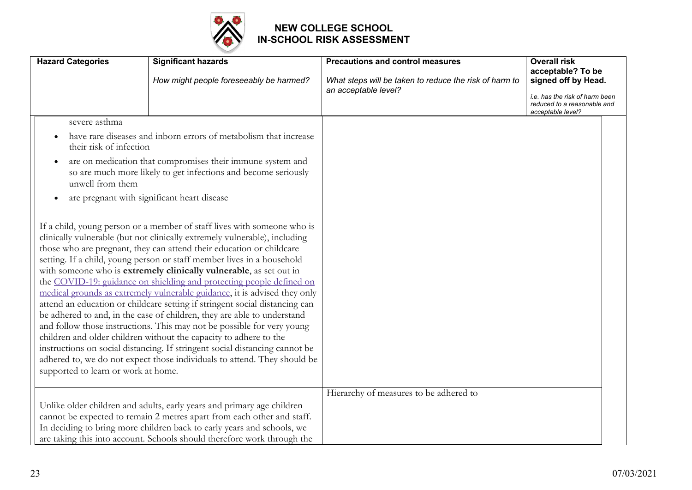

| <b>Hazard Categories</b>                                                                                                                                                                                                                                                                                                                                                                                                                                                                                                                                                                                                                                                                                                                                                                                                                                                                                                                                                                                                                      | <b>Significant hazards</b><br>How might people foreseeably be harmed?                                                                            | <b>Precautions and control measures</b>                                        | <b>Overall risk</b><br>acceptable? To be<br>signed off by Head.                    |
|-----------------------------------------------------------------------------------------------------------------------------------------------------------------------------------------------------------------------------------------------------------------------------------------------------------------------------------------------------------------------------------------------------------------------------------------------------------------------------------------------------------------------------------------------------------------------------------------------------------------------------------------------------------------------------------------------------------------------------------------------------------------------------------------------------------------------------------------------------------------------------------------------------------------------------------------------------------------------------------------------------------------------------------------------|--------------------------------------------------------------------------------------------------------------------------------------------------|--------------------------------------------------------------------------------|------------------------------------------------------------------------------------|
|                                                                                                                                                                                                                                                                                                                                                                                                                                                                                                                                                                                                                                                                                                                                                                                                                                                                                                                                                                                                                                               |                                                                                                                                                  | What steps will be taken to reduce the risk of harm to<br>an acceptable level? | i.e. has the risk of harm been<br>reduced to a reasonable and<br>acceptable level? |
| severe asthma                                                                                                                                                                                                                                                                                                                                                                                                                                                                                                                                                                                                                                                                                                                                                                                                                                                                                                                                                                                                                                 |                                                                                                                                                  |                                                                                |                                                                                    |
| their risk of infection                                                                                                                                                                                                                                                                                                                                                                                                                                                                                                                                                                                                                                                                                                                                                                                                                                                                                                                                                                                                                       | have rare diseases and inborn errors of metabolism that increase                                                                                 |                                                                                |                                                                                    |
| $\bullet$<br>unwell from them                                                                                                                                                                                                                                                                                                                                                                                                                                                                                                                                                                                                                                                                                                                                                                                                                                                                                                                                                                                                                 | are on medication that compromises their immune system and<br>so are much more likely to get infections and become seriously                     |                                                                                |                                                                                    |
|                                                                                                                                                                                                                                                                                                                                                                                                                                                                                                                                                                                                                                                                                                                                                                                                                                                                                                                                                                                                                                               | are pregnant with significant heart disease                                                                                                      |                                                                                |                                                                                    |
| If a child, young person or a member of staff lives with someone who is<br>clinically vulnerable (but not clinically extremely vulnerable), including<br>those who are pregnant, they can attend their education or childcare<br>setting. If a child, young person or staff member lives in a household<br>with someone who is extremely clinically vulnerable, as set out in<br>the COVID-19: guidance on shielding and protecting people defined on<br>medical grounds as extremely vulnerable guidance, it is advised they only<br>attend an education or childcare setting if stringent social distancing can<br>be adhered to and, in the case of children, they are able to understand<br>and follow those instructions. This may not be possible for very young<br>children and older children without the capacity to adhere to the<br>instructions on social distancing. If stringent social distancing cannot be<br>adhered to, we do not expect those individuals to attend. They should be<br>supported to learn or work at home. |                                                                                                                                                  |                                                                                |                                                                                    |
|                                                                                                                                                                                                                                                                                                                                                                                                                                                                                                                                                                                                                                                                                                                                                                                                                                                                                                                                                                                                                                               |                                                                                                                                                  | Hierarchy of measures to be adhered to                                         |                                                                                    |
|                                                                                                                                                                                                                                                                                                                                                                                                                                                                                                                                                                                                                                                                                                                                                                                                                                                                                                                                                                                                                                               | Unlike older children and adults, early years and primary age children<br>cannot be expected to remain 2 metres apart from each other and staff. |                                                                                |                                                                                    |
|                                                                                                                                                                                                                                                                                                                                                                                                                                                                                                                                                                                                                                                                                                                                                                                                                                                                                                                                                                                                                                               | In deciding to bring more children back to early years and schools, we                                                                           |                                                                                |                                                                                    |
|                                                                                                                                                                                                                                                                                                                                                                                                                                                                                                                                                                                                                                                                                                                                                                                                                                                                                                                                                                                                                                               | are taking this into account. Schools should therefore work through the                                                                          |                                                                                |                                                                                    |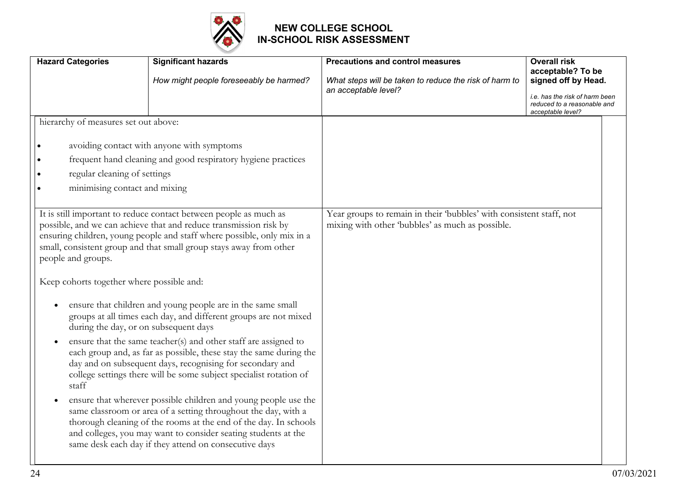

| <b>Hazard Categories</b>                                                                                          | <b>Significant hazards</b>                                                                                                                                                                                                                                                                                                                                                                                                                                                                                                                                                                                                                                                                                                                                                                                                                                                                                                                                                                                                                 | <b>Precautions and control measures</b>                                                                                 | <b>Overall risk</b>                                                                |
|-------------------------------------------------------------------------------------------------------------------|--------------------------------------------------------------------------------------------------------------------------------------------------------------------------------------------------------------------------------------------------------------------------------------------------------------------------------------------------------------------------------------------------------------------------------------------------------------------------------------------------------------------------------------------------------------------------------------------------------------------------------------------------------------------------------------------------------------------------------------------------------------------------------------------------------------------------------------------------------------------------------------------------------------------------------------------------------------------------------------------------------------------------------------------|-------------------------------------------------------------------------------------------------------------------------|------------------------------------------------------------------------------------|
|                                                                                                                   | How might people foreseeably be harmed?                                                                                                                                                                                                                                                                                                                                                                                                                                                                                                                                                                                                                                                                                                                                                                                                                                                                                                                                                                                                    | What steps will be taken to reduce the risk of harm to                                                                  | acceptable? To be<br>signed off by Head.                                           |
|                                                                                                                   |                                                                                                                                                                                                                                                                                                                                                                                                                                                                                                                                                                                                                                                                                                                                                                                                                                                                                                                                                                                                                                            | an acceptable level?                                                                                                    | i.e. has the risk of harm been<br>reduced to a reasonable and<br>acceptable level? |
| hierarchy of measures set out above:                                                                              |                                                                                                                                                                                                                                                                                                                                                                                                                                                                                                                                                                                                                                                                                                                                                                                                                                                                                                                                                                                                                                            |                                                                                                                         |                                                                                    |
|                                                                                                                   | avoiding contact with anyone with symptoms                                                                                                                                                                                                                                                                                                                                                                                                                                                                                                                                                                                                                                                                                                                                                                                                                                                                                                                                                                                                 |                                                                                                                         |                                                                                    |
|                                                                                                                   | frequent hand cleaning and good respiratory hygiene practices                                                                                                                                                                                                                                                                                                                                                                                                                                                                                                                                                                                                                                                                                                                                                                                                                                                                                                                                                                              |                                                                                                                         |                                                                                    |
| regular cleaning of settings                                                                                      |                                                                                                                                                                                                                                                                                                                                                                                                                                                                                                                                                                                                                                                                                                                                                                                                                                                                                                                                                                                                                                            |                                                                                                                         |                                                                                    |
| minimising contact and mixing                                                                                     |                                                                                                                                                                                                                                                                                                                                                                                                                                                                                                                                                                                                                                                                                                                                                                                                                                                                                                                                                                                                                                            |                                                                                                                         |                                                                                    |
| people and groups.<br>Keep cohorts together where possible and:<br>during the day, or on subsequent days<br>staff | It is still important to reduce contact between people as much as<br>possible, and we can achieve that and reduce transmission risk by<br>ensuring children, young people and staff where possible, only mix in a<br>small, consistent group and that small group stays away from other<br>ensure that children and young people are in the same small<br>groups at all times each day, and different groups are not mixed<br>ensure that the same teacher(s) and other staff are assigned to<br>each group and, as far as possible, these stay the same during the<br>day and on subsequent days, recognising for secondary and<br>college settings there will be some subject specialist rotation of<br>ensure that wherever possible children and young people use the<br>same classroom or area of a setting throughout the day, with a<br>thorough cleaning of the rooms at the end of the day. In schools<br>and colleges, you may want to consider seating students at the<br>same desk each day if they attend on consecutive days | Year groups to remain in their 'bubbles' with consistent staff, not<br>mixing with other 'bubbles' as much as possible. |                                                                                    |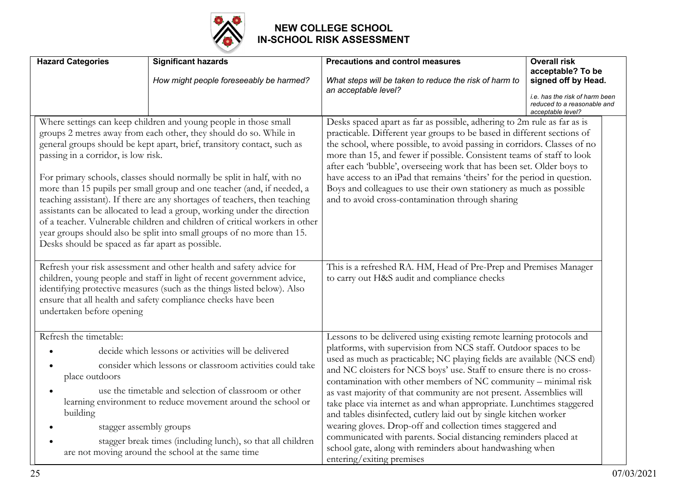

| <b>Hazard Categories</b>                                                                                                                                                                                                                                                                                                                                                                                                                                                                                                                                                                                                                                                                                                                                                                                                                                                                                                            | <b>Significant hazards</b><br>How might people foreseeably be harmed?                                                                                                                                                                                                                                                                                                                     | <b>Precautions and control measures</b><br>What steps will be taken to reduce the risk of harm to<br>an acceptable level?                                                                                                                                                                                                                                                                                                                                                                                                                                                                                                                                                                                                                                                                                        | <b>Overall risk</b><br>acceptable? To be<br>signed off by Head.<br>i.e. has the risk of harm been<br>reduced to a reasonable and |
|-------------------------------------------------------------------------------------------------------------------------------------------------------------------------------------------------------------------------------------------------------------------------------------------------------------------------------------------------------------------------------------------------------------------------------------------------------------------------------------------------------------------------------------------------------------------------------------------------------------------------------------------------------------------------------------------------------------------------------------------------------------------------------------------------------------------------------------------------------------------------------------------------------------------------------------|-------------------------------------------------------------------------------------------------------------------------------------------------------------------------------------------------------------------------------------------------------------------------------------------------------------------------------------------------------------------------------------------|------------------------------------------------------------------------------------------------------------------------------------------------------------------------------------------------------------------------------------------------------------------------------------------------------------------------------------------------------------------------------------------------------------------------------------------------------------------------------------------------------------------------------------------------------------------------------------------------------------------------------------------------------------------------------------------------------------------------------------------------------------------------------------------------------------------|----------------------------------------------------------------------------------------------------------------------------------|
| Where settings can keep children and young people in those small<br>groups 2 metres away from each other, they should do so. While in<br>general groups should be kept apart, brief, transitory contact, such as<br>passing in a corridor, is low risk.<br>For primary schools, classes should normally be split in half, with no<br>more than 15 pupils per small group and one teacher (and, if needed, a<br>teaching assistant). If there are any shortages of teachers, then teaching<br>assistants can be allocated to lead a group, working under the direction<br>of a teacher. Vulnerable children and children of critical workers in other<br>year groups should also be split into small groups of no more than 15.<br>Desks should be spaced as far apart as possible.<br>Refresh your risk assessment and other health and safety advice for<br>children, young people and staff in light of recent government advice, |                                                                                                                                                                                                                                                                                                                                                                                           | acceptable level?<br>Desks spaced apart as far as possible, adhering to 2m rule as far as is<br>practicable. Different year groups to be based in different sections of<br>the school, where possible, to avoid passing in corridors. Classes of no<br>more than 15, and fewer if possible. Consistent teams of staff to look<br>after each 'bubble', overseeing work that has been set. Older boys to<br>have access to an iPad that remains 'theirs' for the period in question.<br>Boys and colleagues to use their own stationery as much as possible<br>and to avoid cross-contamination through sharing<br>This is a refreshed RA. HM, Head of Pre-Prep and Premises Manager<br>to carry out H&S audit and compliance checks                                                                               |                                                                                                                                  |
| identifying protective measures (such as the things listed below). Also<br>ensure that all health and safety compliance checks have been<br>undertaken before opening                                                                                                                                                                                                                                                                                                                                                                                                                                                                                                                                                                                                                                                                                                                                                               |                                                                                                                                                                                                                                                                                                                                                                                           |                                                                                                                                                                                                                                                                                                                                                                                                                                                                                                                                                                                                                                                                                                                                                                                                                  |                                                                                                                                  |
| Refresh the timetable:<br>place outdoors<br>building                                                                                                                                                                                                                                                                                                                                                                                                                                                                                                                                                                                                                                                                                                                                                                                                                                                                                | decide which lessons or activities will be delivered<br>consider which lessons or classroom activities could take<br>use the timetable and selection of classroom or other<br>learning environment to reduce movement around the school or<br>stagger assembly groups<br>stagger break times (including lunch), so that all children<br>are not moving around the school at the same time | Lessons to be delivered using existing remote learning protocols and<br>platforms, with supervision from NCS staff. Outdoor spaces to be<br>used as much as practicable; NC playing fields are available (NCS end)<br>and NC cloisters for NCS boys' use. Staff to ensure there is no cross-<br>contamination with other members of NC community - minimal risk<br>as vast majority of that community are not present. Assemblies will<br>take place via internet as and whan appropriate. Lunchtimes staggered<br>and tables disinfected, cutlery laid out by single kitchen worker<br>wearing gloves. Drop-off and collection times staggered and<br>communicated with parents. Social distancing reminders placed at<br>school gate, along with reminders about handwashing when<br>entering/exiting premises |                                                                                                                                  |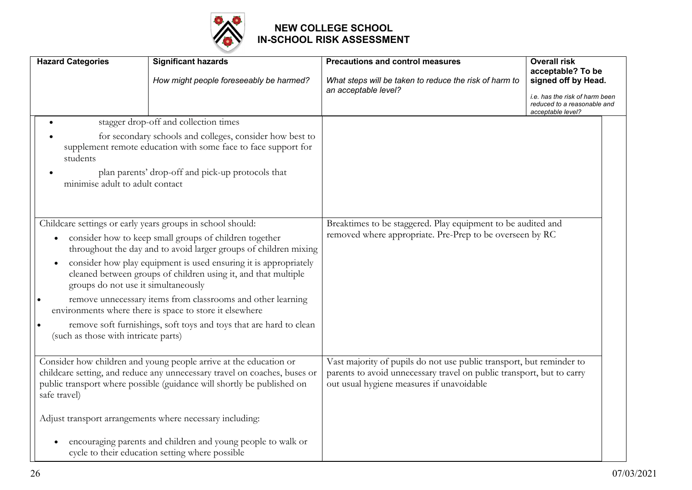

|                                                                                                                                                                                                                                                                                                                                                                                                                                                                                                                                                                                                                            | <b>Hazard Categories</b>                    | <b>Significant hazards</b><br>How might people foreseeably be harmed?                                                                                                                                                                                                                                                                                                                                   | <b>Precautions and control measures</b><br>What steps will be taken to reduce the risk of harm to<br>an acceptable level?                                                                  | <b>Overall risk</b><br>acceptable? To be<br>signed off by Head.<br>i.e. has the risk of harm been<br>reduced to a reasonable and<br>acceptable level? |
|----------------------------------------------------------------------------------------------------------------------------------------------------------------------------------------------------------------------------------------------------------------------------------------------------------------------------------------------------------------------------------------------------------------------------------------------------------------------------------------------------------------------------------------------------------------------------------------------------------------------------|---------------------------------------------|---------------------------------------------------------------------------------------------------------------------------------------------------------------------------------------------------------------------------------------------------------------------------------------------------------------------------------------------------------------------------------------------------------|--------------------------------------------------------------------------------------------------------------------------------------------------------------------------------------------|-------------------------------------------------------------------------------------------------------------------------------------------------------|
|                                                                                                                                                                                                                                                                                                                                                                                                                                                                                                                                                                                                                            | students<br>minimise adult to adult contact | stagger drop-off and collection times<br>for secondary schools and colleges, consider how best to<br>supplement remote education with some face to face support for<br>plan parents' drop-off and pick-up protocols that                                                                                                                                                                                |                                                                                                                                                                                            |                                                                                                                                                       |
| Childcare settings or early years groups in school should:<br>consider how to keep small groups of children together<br>$\bullet$<br>throughout the day and to avoid larger groups of children mixing<br>consider how play equipment is used ensuring it is appropriately<br>cleaned between groups of children using it, and that multiple<br>groups do not use it simultaneously<br>remove unnecessary items from classrooms and other learning<br>environments where there is space to store it elsewhere<br>remove soft furnishings, soft toys and toys that are hard to clean<br>(such as those with intricate parts) |                                             |                                                                                                                                                                                                                                                                                                                                                                                                         | Breaktimes to be staggered. Play equipment to be audited and<br>removed where appropriate. Pre-Prep to be overseen by RC                                                                   |                                                                                                                                                       |
|                                                                                                                                                                                                                                                                                                                                                                                                                                                                                                                                                                                                                            | safe travel)                                | Consider how children and young people arrive at the education or<br>childcare setting, and reduce any unnecessary travel on coaches, buses or<br>public transport where possible (guidance will shortly be published on<br>Adjust transport arrangements where necessary including:<br>encouraging parents and children and young people to walk or<br>cycle to their education setting where possible | Vast majority of pupils do not use public transport, but reminder to<br>parents to avoid unnecessary travel on public transport, but to carry<br>out usual hygiene measures if unavoidable |                                                                                                                                                       |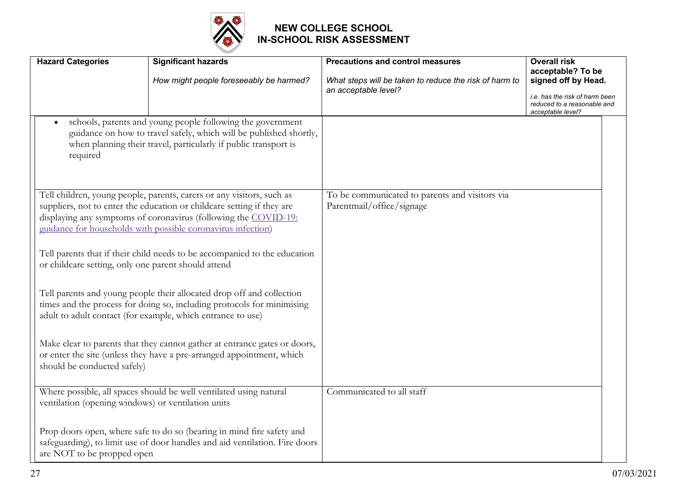

| <b>Hazard Categories</b>                            | <b>Significant hazards</b>                                                                                                                                                                                                                                                         | <b>Precautions and control measures</b>                                     | <b>Overall risk</b>                                                                |
|-----------------------------------------------------|------------------------------------------------------------------------------------------------------------------------------------------------------------------------------------------------------------------------------------------------------------------------------------|-----------------------------------------------------------------------------|------------------------------------------------------------------------------------|
|                                                     | How might people foreseeably be harmed?                                                                                                                                                                                                                                            | What steps will be taken to reduce the risk of harm to                      | acceptable? To be<br>signed off by Head.                                           |
|                                                     |                                                                                                                                                                                                                                                                                    | an acceptable level?                                                        | i.e. has the risk of harm been<br>reduced to a reasonable and<br>acceptable level? |
| $\bullet$<br>required                               | schools, parents and young people following the government<br>guidance on how to travel safely, which will be published shortly,<br>when planning their travel, particularly if public transport is                                                                                |                                                                             |                                                                                    |
|                                                     | Tell children, young people, parents, carers or any visitors, such as<br>suppliers, not to enter the education or childcare setting if they are<br>displaying any symptoms of coronavirus (following the COVID-19:<br>guidance for households with possible coronavirus infection) | To be communicated to parents and visitors via<br>Parentmail/office/signage |                                                                                    |
| or childcare setting, only one parent should attend | Tell parents that if their child needs to be accompanied to the education                                                                                                                                                                                                          |                                                                             |                                                                                    |
|                                                     | Tell parents and young people their allocated drop off and collection<br>times and the process for doing so, including protocols for minimising<br>adult to adult contact (for example, which entrance to use)                                                                     |                                                                             |                                                                                    |
| should be conducted safely)                         | Make clear to parents that they cannot gather at entrance gates or doors,<br>or enter the site (unless they have a pre-arranged appointment, which                                                                                                                                 |                                                                             |                                                                                    |
| ventilation (opening windows) or ventilation units  | Where possible, all spaces should be well ventilated using natural                                                                                                                                                                                                                 | Communicated to all staff                                                   |                                                                                    |
| are NOT to be propped open                          | Prop doors open, where safe to do so (bearing in mind fire safety and<br>safeguarding), to limit use of door handles and aid ventilation. Fire doors                                                                                                                               |                                                                             |                                                                                    |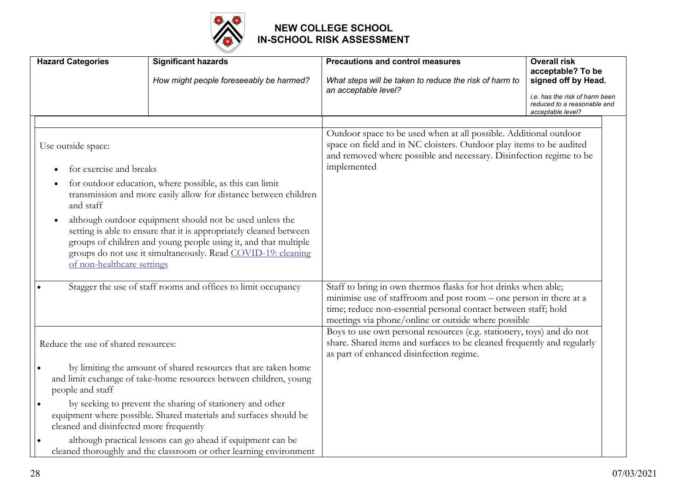

| <b>Hazard Categories</b>                                                                                                                                                                                                                                                                                     | <b>Significant hazards</b>                                                                                                          | <b>Precautions and control measures</b>                                                                                                                                                                                                                        | <b>Overall risk</b><br>acceptable? To be                                           |
|--------------------------------------------------------------------------------------------------------------------------------------------------------------------------------------------------------------------------------------------------------------------------------------------------------------|-------------------------------------------------------------------------------------------------------------------------------------|----------------------------------------------------------------------------------------------------------------------------------------------------------------------------------------------------------------------------------------------------------------|------------------------------------------------------------------------------------|
|                                                                                                                                                                                                                                                                                                              | How might people foreseeably be harmed?                                                                                             | What steps will be taken to reduce the risk of harm to<br>an acceptable level?                                                                                                                                                                                 | signed off by Head.                                                                |
|                                                                                                                                                                                                                                                                                                              |                                                                                                                                     |                                                                                                                                                                                                                                                                | i.e. has the risk of harm been<br>reduced to a reasonable and<br>acceptable level? |
| Use outside space:                                                                                                                                                                                                                                                                                           |                                                                                                                                     | Outdoor space to be used when at all possible. Additional outdoor<br>space on field and in NC cloisters. Outdoor play items to be audited<br>and removed where possible and necessary. Disinfection regime to be                                               |                                                                                    |
| for exercise and breaks                                                                                                                                                                                                                                                                                      |                                                                                                                                     | implemented                                                                                                                                                                                                                                                    |                                                                                    |
| and staff                                                                                                                                                                                                                                                                                                    | for outdoor education, where possible, as this can limit<br>transmission and more easily allow for distance between children        |                                                                                                                                                                                                                                                                |                                                                                    |
| although outdoor equipment should not be used unless the<br>$\bullet$<br>setting is able to ensure that it is appropriately cleaned between<br>groups of children and young people using it, and that multiple<br>groups do not use it simultaneously. Read COVID-19: cleaning<br>of non-healthcare settings |                                                                                                                                     |                                                                                                                                                                                                                                                                |                                                                                    |
| Stagger the use of staff rooms and offices to limit occupancy                                                                                                                                                                                                                                                |                                                                                                                                     | Staff to bring in own thermos flasks for hot drinks when able;<br>minimise use of staffroom and post room – one person in there at a<br>time; reduce non-essential personal contact between staff; hold<br>meetings via phone/online or outside where possible |                                                                                    |
| Reduce the use of shared resources:                                                                                                                                                                                                                                                                          |                                                                                                                                     | Boys to use own personal resources (e.g. stationery, toys) and do not<br>share. Shared items and surfaces to be cleaned frequently and regularly<br>as part of enhanced disinfection regime.                                                                   |                                                                                    |
| people and staff                                                                                                                                                                                                                                                                                             | by limiting the amount of shared resources that are taken home<br>and limit exchange of take-home resources between children, young |                                                                                                                                                                                                                                                                |                                                                                    |
| $\bullet$<br>cleaned and disinfected more frequently                                                                                                                                                                                                                                                         | by seeking to prevent the sharing of stationery and other<br>equipment where possible. Shared materials and surfaces should be      |                                                                                                                                                                                                                                                                |                                                                                    |
| $\bullet$                                                                                                                                                                                                                                                                                                    | although practical lessons can go ahead if equipment can be<br>cleaned thoroughly and the classroom or other learning environment   |                                                                                                                                                                                                                                                                |                                                                                    |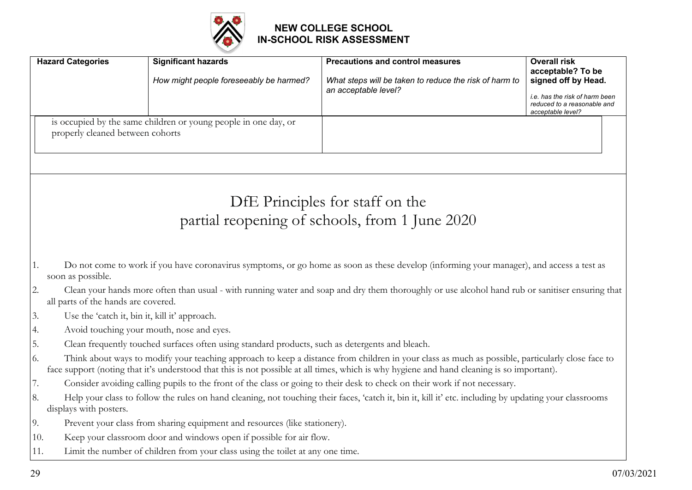

|     | <b>Hazard Categories</b>                      | <b>Significant hazards</b>                                                                      | <b>Precautions and control measures</b>                                                                                                                | <b>Overall risk</b>                      |
|-----|-----------------------------------------------|-------------------------------------------------------------------------------------------------|--------------------------------------------------------------------------------------------------------------------------------------------------------|------------------------------------------|
|     |                                               | How might people foreseeably be harmed?                                                         | What steps will be taken to reduce the risk of harm to                                                                                                 | acceptable? To be<br>signed off by Head. |
|     |                                               |                                                                                                 | an acceptable level?                                                                                                                                   | i.e. has the risk of harm been           |
|     |                                               |                                                                                                 |                                                                                                                                                        | reduced to a reasonable and              |
|     |                                               | is occupied by the same children or young people in one day, or                                 |                                                                                                                                                        | acceptable level?                        |
|     | properly cleaned between cohorts              |                                                                                                 |                                                                                                                                                        |                                          |
|     |                                               |                                                                                                 |                                                                                                                                                        |                                          |
|     |                                               |                                                                                                 |                                                                                                                                                        |                                          |
|     |                                               |                                                                                                 |                                                                                                                                                        |                                          |
|     |                                               |                                                                                                 |                                                                                                                                                        |                                          |
|     |                                               |                                                                                                 | DfE Principles for staff on the                                                                                                                        |                                          |
|     |                                               |                                                                                                 | partial reopening of schools, from 1 June 2020                                                                                                         |                                          |
|     |                                               |                                                                                                 |                                                                                                                                                        |                                          |
|     |                                               |                                                                                                 |                                                                                                                                                        |                                          |
| 1.  |                                               |                                                                                                 | Do not come to work if you have coronavirus symptoms, or go home as soon as these develop (informing your manager), and access a test as               |                                          |
|     | soon as possible.                             |                                                                                                 |                                                                                                                                                        |                                          |
| 2.  |                                               |                                                                                                 | Clean your hands more often than usual - with running water and soap and dry them thoroughly or use alcohol hand rub or sanitiser ensuring that        |                                          |
|     | all parts of the hands are covered.           |                                                                                                 |                                                                                                                                                        |                                          |
| 3.  | Use the 'catch it, bin it, kill it' approach. |                                                                                                 |                                                                                                                                                        |                                          |
| 4.  |                                               | Avoid touching your mouth, nose and eyes.                                                       |                                                                                                                                                        |                                          |
| 5.  |                                               | Clean frequently touched surfaces often using standard products, such as detergents and bleach. |                                                                                                                                                        |                                          |
| 6.  |                                               |                                                                                                 | Think about ways to modify your teaching approach to keep a distance from children in your class as much as possible, particularly close face to       |                                          |
|     |                                               |                                                                                                 | face support (noting that it's understood that this is not possible at all times, which is why hygiene and hand cleaning is so important).             |                                          |
| 7.  |                                               |                                                                                                 | Consider avoiding calling pupils to the front of the class or going to their desk to check on their work if not necessary.                             |                                          |
| 8.  |                                               |                                                                                                 | Help your class to follow the rules on hand cleaning, not touching their faces, 'catch it, bin it, kill it' etc. including by updating your classrooms |                                          |
|     | displays with posters.                        |                                                                                                 |                                                                                                                                                        |                                          |
| 9.  |                                               | Prevent your class from sharing equipment and resources (like stationery).                      |                                                                                                                                                        |                                          |
| 10. |                                               | Keep your classroom door and windows open if possible for air flow.                             |                                                                                                                                                        |                                          |
| 11. |                                               | Limit the number of children from your class using the toilet at any one time.                  |                                                                                                                                                        |                                          |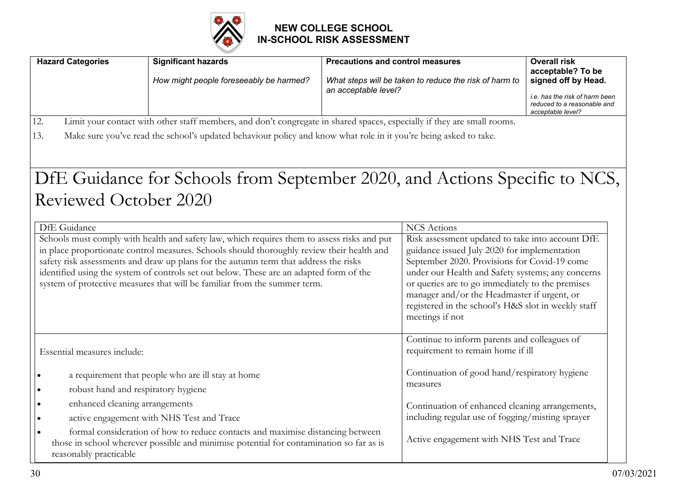

| <b>Hazard Categories</b>                                 | <b>Significant hazards</b><br>How might people foreseeably be harmed?                                                                                                                                                                                                                                                                                                                                                                                     | <b>Precautions and control measures</b><br>an acceptable level? | What steps will be taken to reduce the risk of harm to                                                                                                                                                                                                                                                                                                                                                   | <b>Overall risk</b><br>acceptable? To be<br>signed off by Head.<br>i.e. has the risk of harm been<br>reduced to a reasonable and<br>acceptable level? |
|----------------------------------------------------------|-----------------------------------------------------------------------------------------------------------------------------------------------------------------------------------------------------------------------------------------------------------------------------------------------------------------------------------------------------------------------------------------------------------------------------------------------------------|-----------------------------------------------------------------|----------------------------------------------------------------------------------------------------------------------------------------------------------------------------------------------------------------------------------------------------------------------------------------------------------------------------------------------------------------------------------------------------------|-------------------------------------------------------------------------------------------------------------------------------------------------------|
| 12.<br>13.                                               | Limit your contact with other staff members, and don't congregate in shared spaces, especially if they are small rooms.<br>Make sure you've read the school's updated behaviour policy and know what role in it you're being asked to take.                                                                                                                                                                                                               |                                                                 |                                                                                                                                                                                                                                                                                                                                                                                                          |                                                                                                                                                       |
| <b>Reviewed October 2020</b>                             | DfE Guidance for Schools from September 2020, and Actions Specific to NCS,                                                                                                                                                                                                                                                                                                                                                                                |                                                                 |                                                                                                                                                                                                                                                                                                                                                                                                          |                                                                                                                                                       |
| DfE Guidance                                             | Schools must comply with health and safety law, which requires them to assess risks and put<br>in place proportionate control measures. Schools should thoroughly review their health and<br>safety risk assessments and draw up plans for the autumn term that address the risks<br>identified using the system of controls set out below. These are an adapted form of the<br>system of protective measures that will be familiar from the summer term. |                                                                 | <b>NCS</b> Actions<br>Risk assessment updated to take into account DfE<br>guidance issued July 2020 for implementation<br>September 2020. Provisions for Covid-19 come<br>under our Health and Safety systems; any concerns<br>or queries are to go immediately to the premises<br>manager and/or the Headmaster if urgent, or<br>registered in the school's H&S slot in weekly staff<br>meetings if not |                                                                                                                                                       |
| Essential measures include:                              |                                                                                                                                                                                                                                                                                                                                                                                                                                                           |                                                                 | Continue to inform parents and colleagues of<br>requirement to remain home if ill                                                                                                                                                                                                                                                                                                                        |                                                                                                                                                       |
| robust hand and respiratory hygiene<br>$\bullet$         | a requirement that people who are ill stay at home                                                                                                                                                                                                                                                                                                                                                                                                        |                                                                 | Continuation of good hand/respiratory hygiene<br>measures                                                                                                                                                                                                                                                                                                                                                |                                                                                                                                                       |
| enhanced cleaning arrangements<br>$\bullet$<br>$\bullet$ | active engagement with NHS Test and Trace<br>formal consideration of how to reduce contacts and maximise distancing between<br>those in school wherever possible and minimise potential for contamination so far as is                                                                                                                                                                                                                                    |                                                                 | Continuation of enhanced cleaning arrangements,<br>including regular use of fogging/misting sprayer<br>Active engagement with NHS Test and Trace                                                                                                                                                                                                                                                         |                                                                                                                                                       |
| reasonably practicable                                   |                                                                                                                                                                                                                                                                                                                                                                                                                                                           |                                                                 |                                                                                                                                                                                                                                                                                                                                                                                                          |                                                                                                                                                       |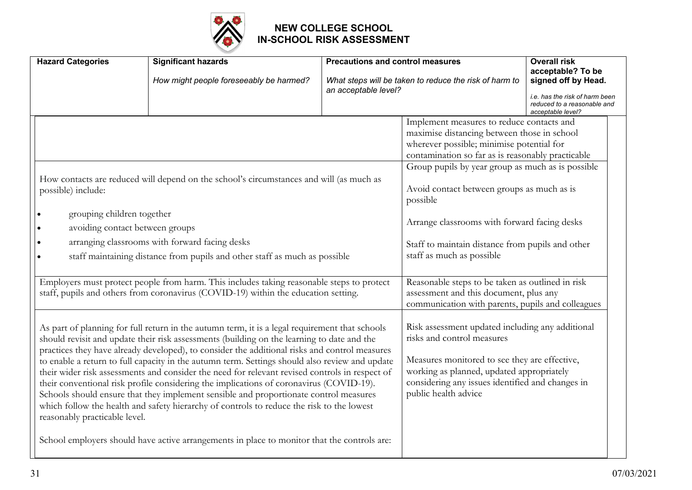

| <b>Hazard Categories</b>                                                                                                                                                                                                                                                                                                                                                                                                                                                                          | <b>Significant hazards</b><br>How might people foreseeably be harmed?                                                                                                                                                                                                                                                                                                                                                                                                                                                                                                                                                                                                                                                                                                                                                                                                             | <b>Precautions and control measures</b><br>an acceptable level?                                                                                                                                                                                                                                                                                                                                                                                                                                                                          | What steps will be taken to reduce the risk of harm to                                                                                                                                                                                                                                                        | <b>Overall risk</b><br>acceptable? To be<br>signed off by Head.<br>i.e. has the risk of harm been<br>reduced to a reasonable and<br>acceptable level? |
|---------------------------------------------------------------------------------------------------------------------------------------------------------------------------------------------------------------------------------------------------------------------------------------------------------------------------------------------------------------------------------------------------------------------------------------------------------------------------------------------------|-----------------------------------------------------------------------------------------------------------------------------------------------------------------------------------------------------------------------------------------------------------------------------------------------------------------------------------------------------------------------------------------------------------------------------------------------------------------------------------------------------------------------------------------------------------------------------------------------------------------------------------------------------------------------------------------------------------------------------------------------------------------------------------------------------------------------------------------------------------------------------------|------------------------------------------------------------------------------------------------------------------------------------------------------------------------------------------------------------------------------------------------------------------------------------------------------------------------------------------------------------------------------------------------------------------------------------------------------------------------------------------------------------------------------------------|---------------------------------------------------------------------------------------------------------------------------------------------------------------------------------------------------------------------------------------------------------------------------------------------------------------|-------------------------------------------------------------------------------------------------------------------------------------------------------|
| How contacts are reduced will depend on the school's circumstances and will (as much as<br>possible) include:<br>grouping children together<br>avoiding contact between groups<br>arranging classrooms with forward facing desks<br>staff maintaining distance from pupils and other staff as much as possible<br>Employers must protect people from harm. This includes taking reasonable steps to protect<br>staff, pupils and others from coronavirus (COVID-19) within the education setting. |                                                                                                                                                                                                                                                                                                                                                                                                                                                                                                                                                                                                                                                                                                                                                                                                                                                                                   | Implement measures to reduce contacts and<br>maximise distancing between those in school<br>wherever possible; minimise potential for<br>contamination so far as is reasonably practicable<br>Group pupils by year group as much as is possible<br>Avoid contact between groups as much as is<br>possible<br>Arrange classrooms with forward facing desks<br>Staff to maintain distance from pupils and other<br>staff as much as possible<br>Reasonable steps to be taken as outlined in risk<br>assessment and this document, plus any |                                                                                                                                                                                                                                                                                                               |                                                                                                                                                       |
| reasonably practicable level.                                                                                                                                                                                                                                                                                                                                                                                                                                                                     | As part of planning for full return in the autumn term, it is a legal requirement that schools<br>should revisit and update their risk assessments (building on the learning to date and the<br>practices they have already developed), to consider the additional risks and control measures<br>to enable a return to full capacity in the autumn term. Settings should also review and update<br>their wider risk assessments and consider the need for relevant revised controls in respect of<br>their conventional risk profile considering the implications of coronavirus (COVID-19).<br>Schools should ensure that they implement sensible and proportionate control measures<br>which follow the health and safety hierarchy of controls to reduce the risk to the lowest<br>School employers should have active arrangements in place to monitor that the controls are: |                                                                                                                                                                                                                                                                                                                                                                                                                                                                                                                                          | communication with parents, pupils and colleagues<br>Risk assessment updated including any additional<br>risks and control measures<br>Measures monitored to see they are effective,<br>working as planned, updated appropriately<br>considering any issues identified and changes in<br>public health advice |                                                                                                                                                       |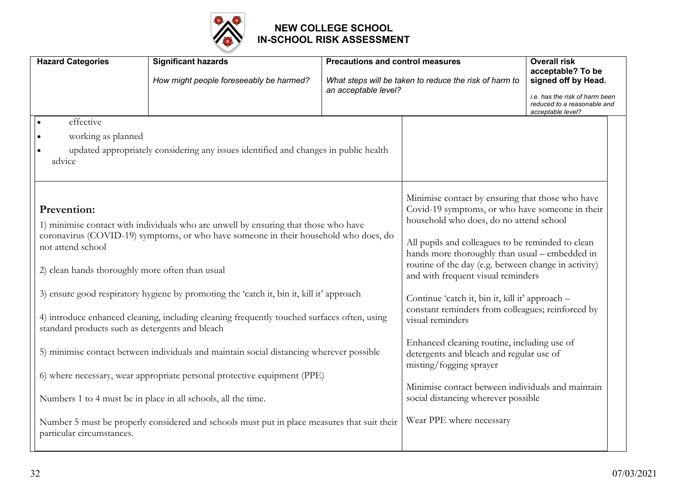

| <b>Hazard Categories</b>                                                                 | <b>Significant hazards</b><br>How might people foreseeably be harmed?                                                                                                       | <b>Precautions and control measures</b><br>What steps will be taken to reduce the risk of harm to<br>an acceptable level? |                                                                                                                                                                                                                                                                                                                                                     | <b>Overall risk</b><br>acceptable? To be<br>signed off by Head.                    |
|------------------------------------------------------------------------------------------|-----------------------------------------------------------------------------------------------------------------------------------------------------------------------------|---------------------------------------------------------------------------------------------------------------------------|-----------------------------------------------------------------------------------------------------------------------------------------------------------------------------------------------------------------------------------------------------------------------------------------------------------------------------------------------------|------------------------------------------------------------------------------------|
|                                                                                          |                                                                                                                                                                             |                                                                                                                           |                                                                                                                                                                                                                                                                                                                                                     | i.e. has the risk of harm been<br>reduced to a reasonable and<br>acceptable level? |
| effective<br>working as planned<br>advice                                                | updated appropriately considering any issues identified and changes in public health                                                                                        |                                                                                                                           |                                                                                                                                                                                                                                                                                                                                                     |                                                                                    |
| Prevention:<br>not attend school<br>2) clean hands thoroughly more often than usual      | 1) minimise contact with individuals who are unwell by ensuring that those who have<br>coronavirus (COVID-19) symptoms, or who have someone in their household who does, do |                                                                                                                           | Minimise contact by ensuring that those who have<br>Covid-19 symptoms, or who have someone in their<br>household who does, do no attend school<br>All pupils and colleagues to be reminded to clean<br>hands more thoroughly than usual - embedded in<br>routine of the day (e.g. between change in activity)<br>and with frequent visual reminders |                                                                                    |
|                                                                                          | 3) ensure good respiratory hygiene by promoting the 'catch it, bin it, kill it' approach                                                                                    |                                                                                                                           | Continue 'catch it, bin it, kill it' approach -<br>constant reminders from colleagues; reinforced by                                                                                                                                                                                                                                                |                                                                                    |
| standard products such as detergents and bleach                                          | 4) introduce enhanced cleaning, including cleaning frequently touched surfaces often, using                                                                                 |                                                                                                                           | visual reminders                                                                                                                                                                                                                                                                                                                                    |                                                                                    |
| 5) minimise contact between individuals and maintain social distancing wherever possible |                                                                                                                                                                             |                                                                                                                           | Enhanced cleaning routine, including use of<br>detergents and bleach and regular use of<br>misting/fogging sprayer                                                                                                                                                                                                                                  |                                                                                    |
|                                                                                          | 6) where necessary, wear appropriate personal protective equipment (PPE)                                                                                                    |                                                                                                                           |                                                                                                                                                                                                                                                                                                                                                     |                                                                                    |
|                                                                                          | Numbers 1 to 4 must be in place in all schools, all the time.                                                                                                               |                                                                                                                           | Minimise contact between individuals and maintain<br>social distancing wherever possible                                                                                                                                                                                                                                                            |                                                                                    |
| particular circumstances.                                                                | Number 5 must be properly considered and schools must put in place measures that suit their                                                                                 |                                                                                                                           | Wear PPE where necessary                                                                                                                                                                                                                                                                                                                            |                                                                                    |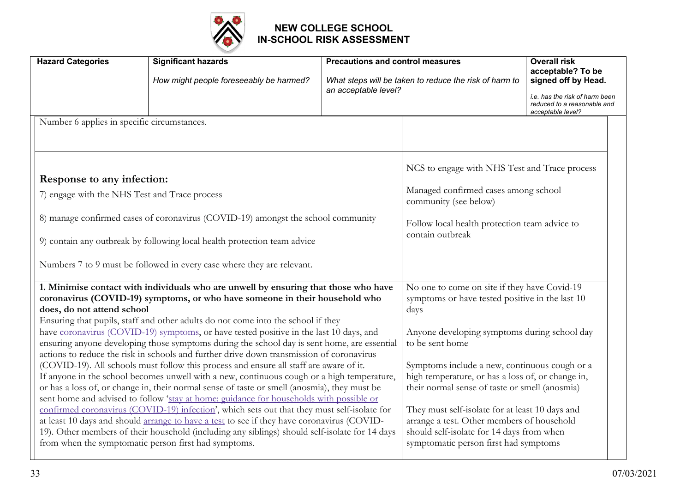

| <b>Hazard Categories</b>                                                                                                   | <b>Significant hazards</b><br>How might people foreseeably be harmed?                                                                                                                                                                                                                                                                                                                                                                                                                                                                                                                                                                                                                                                                                                                                                                                                                                                                                                                                                                                                                                                                                                                                                                                                                                                                                           | <b>Precautions and control measures</b><br>an acceptable level? | What steps will be taken to reduce the risk of harm to                                                                                                                                                                                                                                                                                                                                                                                                                                                                    | <b>Overall risk</b><br>acceptable? To be<br>signed off by Head.<br>i.e. has the risk of harm been<br>reduced to a reasonable and<br>acceptable level? |
|----------------------------------------------------------------------------------------------------------------------------|-----------------------------------------------------------------------------------------------------------------------------------------------------------------------------------------------------------------------------------------------------------------------------------------------------------------------------------------------------------------------------------------------------------------------------------------------------------------------------------------------------------------------------------------------------------------------------------------------------------------------------------------------------------------------------------------------------------------------------------------------------------------------------------------------------------------------------------------------------------------------------------------------------------------------------------------------------------------------------------------------------------------------------------------------------------------------------------------------------------------------------------------------------------------------------------------------------------------------------------------------------------------------------------------------------------------------------------------------------------------|-----------------------------------------------------------------|---------------------------------------------------------------------------------------------------------------------------------------------------------------------------------------------------------------------------------------------------------------------------------------------------------------------------------------------------------------------------------------------------------------------------------------------------------------------------------------------------------------------------|-------------------------------------------------------------------------------------------------------------------------------------------------------|
| Number 6 applies in specific circumstances.<br>Response to any infection:<br>7) engage with the NHS Test and Trace process | 8) manage confirmed cases of coronavirus (COVID-19) amongst the school community<br>9) contain any outbreak by following local health protection team advice                                                                                                                                                                                                                                                                                                                                                                                                                                                                                                                                                                                                                                                                                                                                                                                                                                                                                                                                                                                                                                                                                                                                                                                                    |                                                                 | NCS to engage with NHS Test and Trace process<br>Managed confirmed cases among school<br>community (see below)<br>Follow local health protection team advice to<br>contain outbreak                                                                                                                                                                                                                                                                                                                                       |                                                                                                                                                       |
| does, do not attend school                                                                                                 | Numbers 7 to 9 must be followed in every case where they are relevant.<br>1. Minimise contact with individuals who are unwell by ensuring that those who have<br>coronavirus (COVID-19) symptoms, or who have someone in their household who<br>Ensuring that pupils, staff and other adults do not come into the school if they<br>have coronavirus (COVID-19) symptoms, or have tested positive in the last 10 days, and<br>ensuring anyone developing those symptoms during the school day is sent home, are essential<br>actions to reduce the risk in schools and further drive down transmission of coronavirus<br>(COVID-19). All schools must follow this process and ensure all staff are aware of it.<br>If anyone in the school becomes unwell with a new, continuous cough or a high temperature,<br>or has a loss of, or change in, their normal sense of taste or smell (anosmia), they must be<br>sent home and advised to follow 'stay at home: guidance for households with possible or<br>confirmed coronavirus (COVID-19) infection', which sets out that they must self-isolate for<br>at least 10 days and should arrange to have a test to see if they have coronavirus (COVID-<br>19). Other members of their household (including any siblings) should self-isolate for 14 days<br>from when the symptomatic person first had symptoms. |                                                                 | No one to come on site if they have Covid-19<br>symptoms or have tested positive in the last 10<br>days<br>Anyone developing symptoms during school day<br>to be sent home<br>Symptoms include a new, continuous cough or a<br>high temperature, or has a loss of, or change in,<br>their normal sense of taste or smell (anosmia)<br>They must self-isolate for at least 10 days and<br>arrange a test. Other members of household<br>should self-isolate for 14 days from when<br>symptomatic person first had symptoms |                                                                                                                                                       |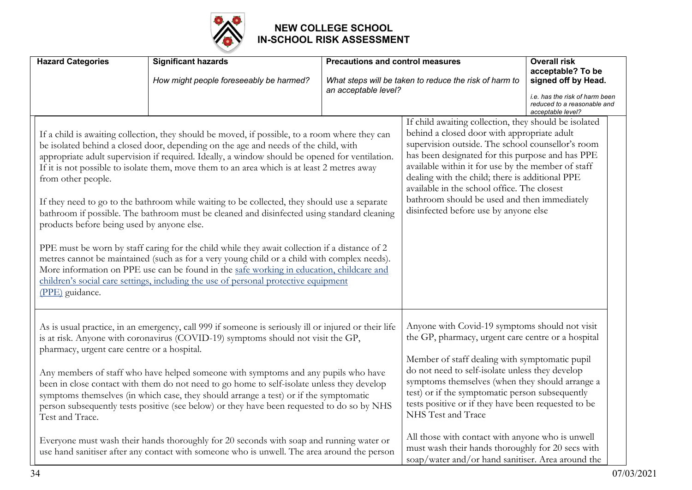

| <b>Hazard Categories</b>                                                            | <b>Significant hazards</b><br>How might people foreseeably be harmed?                                                                                                                                                                                                                                                                                                                                                                                                                                                                                                                                                                                                                                                                                                                                                                                                                                                                                                   | <b>Precautions and control measures</b><br>an acceptable level? | What steps will be taken to reduce the risk of harm to                                                                                                                                                                                                                                                                                                                                                                                                                                                | <b>Overall risk</b><br>acceptable? To be<br>signed off by Head.<br><i>i.e.</i> has the risk of harm been<br>reduced to a reasonable and<br>acceptable level? |
|-------------------------------------------------------------------------------------|-------------------------------------------------------------------------------------------------------------------------------------------------------------------------------------------------------------------------------------------------------------------------------------------------------------------------------------------------------------------------------------------------------------------------------------------------------------------------------------------------------------------------------------------------------------------------------------------------------------------------------------------------------------------------------------------------------------------------------------------------------------------------------------------------------------------------------------------------------------------------------------------------------------------------------------------------------------------------|-----------------------------------------------------------------|-------------------------------------------------------------------------------------------------------------------------------------------------------------------------------------------------------------------------------------------------------------------------------------------------------------------------------------------------------------------------------------------------------------------------------------------------------------------------------------------------------|--------------------------------------------------------------------------------------------------------------------------------------------------------------|
| from other people.<br>products before being used by anyone else.<br>(PPE) guidance. | If a child is awaiting collection, they should be moved, if possible, to a room where they can<br>be isolated behind a closed door, depending on the age and needs of the child, with<br>appropriate adult supervision if required. Ideally, a window should be opened for ventilation.<br>If it is not possible to isolate them, move them to an area which is at least 2 metres away<br>If they need to go to the bathroom while waiting to be collected, they should use a separate<br>bathroom if possible. The bathroom must be cleaned and disinfected using standard cleaning<br>PPE must be worn by staff caring for the child while they await collection if a distance of 2<br>metres cannot be maintained (such as for a very young child or a child with complex needs).<br>More information on PPE use can be found in the safe working in education, childcare and<br>children's social care settings, including the use of personal protective equipment |                                                                 | If child awaiting collection, they should be isolated<br>behind a closed door with appropriate adult<br>supervision outside. The school counsellor's room<br>has been designated for this purpose and has PPE<br>available within it for use by the member of staff<br>dealing with the child; there is additional PPE<br>available in the school office. The closest<br>bathroom should be used and then immediately<br>disinfected before use by anyone else                                        |                                                                                                                                                              |
| pharmacy, urgent care centre or a hospital.<br>Test and Trace.                      | As is usual practice, in an emergency, call 999 if someone is seriously ill or injured or their life<br>is at risk. Anyone with coronavirus (COVID-19) symptoms should not visit the GP,<br>Any members of staff who have helped someone with symptoms and any pupils who have<br>been in close contact with them do not need to go home to self-isolate unless they develop<br>symptoms themselves (in which case, they should arrange a test) or if the symptomatic<br>person subsequently tests positive (see below) or they have been requested to do so by NHS<br>Everyone must wash their hands thoroughly for 20 seconds with soap and running water or<br>use hand sanitiser after any contact with someone who is unwell. The area around the person                                                                                                                                                                                                           |                                                                 | Anyone with Covid-19 symptoms should not visit<br>the GP, pharmacy, urgent care centre or a hospital<br>Member of staff dealing with symptomatic pupil<br>do not need to self-isolate unless they develop<br>symptoms themselves (when they should arrange a<br>test) or if the symptomatic person subsequently<br>tests positive or if they have been requested to be<br>NHS Test and Trace<br>All those with contact with anyone who is unwell<br>must wash their hands thoroughly for 20 secs with |                                                                                                                                                              |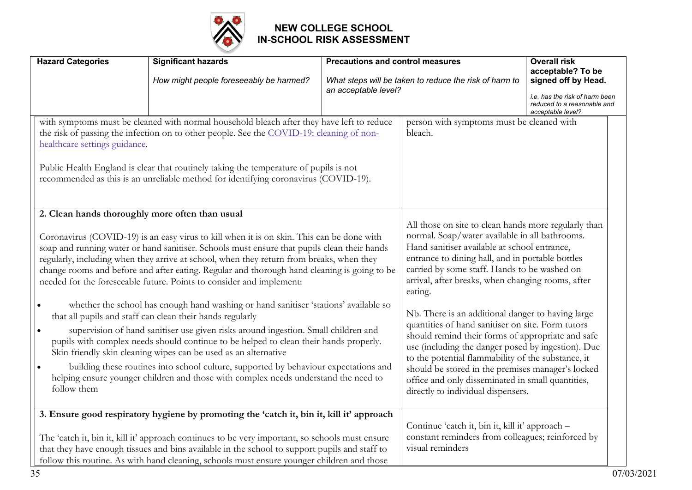

| <b>Hazard Categories</b>                                                                                                                                                                                                                                                                                                                                                                                                                                                                                                                                                                                                                                                                                                                                                                                                                                                                                                                                                                                                                                                                                                                | <b>Significant hazards</b>                                                                                                                                                                                                                                                                                                                                                                 | <b>Precautions and control measures</b>                                                                                                                                                                                                                                                                                                                                                                                                                                                                                                                                                                                                                                                                                                               |                                                                                                                          | <b>Overall risk</b><br>acceptable? To be                                           |
|-----------------------------------------------------------------------------------------------------------------------------------------------------------------------------------------------------------------------------------------------------------------------------------------------------------------------------------------------------------------------------------------------------------------------------------------------------------------------------------------------------------------------------------------------------------------------------------------------------------------------------------------------------------------------------------------------------------------------------------------------------------------------------------------------------------------------------------------------------------------------------------------------------------------------------------------------------------------------------------------------------------------------------------------------------------------------------------------------------------------------------------------|--------------------------------------------------------------------------------------------------------------------------------------------------------------------------------------------------------------------------------------------------------------------------------------------------------------------------------------------------------------------------------------------|-------------------------------------------------------------------------------------------------------------------------------------------------------------------------------------------------------------------------------------------------------------------------------------------------------------------------------------------------------------------------------------------------------------------------------------------------------------------------------------------------------------------------------------------------------------------------------------------------------------------------------------------------------------------------------------------------------------------------------------------------------|--------------------------------------------------------------------------------------------------------------------------|------------------------------------------------------------------------------------|
|                                                                                                                                                                                                                                                                                                                                                                                                                                                                                                                                                                                                                                                                                                                                                                                                                                                                                                                                                                                                                                                                                                                                         | How might people foreseeably be harmed?                                                                                                                                                                                                                                                                                                                                                    | What steps will be taken to reduce the risk of harm to<br>an acceptable level?                                                                                                                                                                                                                                                                                                                                                                                                                                                                                                                                                                                                                                                                        |                                                                                                                          | signed off by Head.                                                                |
|                                                                                                                                                                                                                                                                                                                                                                                                                                                                                                                                                                                                                                                                                                                                                                                                                                                                                                                                                                                                                                                                                                                                         |                                                                                                                                                                                                                                                                                                                                                                                            |                                                                                                                                                                                                                                                                                                                                                                                                                                                                                                                                                                                                                                                                                                                                                       |                                                                                                                          | i.e. has the risk of harm been<br>reduced to a reasonable and<br>acceptable level? |
| healthcare settings guidance.                                                                                                                                                                                                                                                                                                                                                                                                                                                                                                                                                                                                                                                                                                                                                                                                                                                                                                                                                                                                                                                                                                           | with symptoms must be cleaned with normal household bleach after they have left to reduce<br>the risk of passing the infection on to other people. See the COVID-19: cleaning of non-<br>Public Health England is clear that routinely taking the temperature of pupils is not<br>recommended as this is an unreliable method for identifying coronavirus (COVID-19).                      |                                                                                                                                                                                                                                                                                                                                                                                                                                                                                                                                                                                                                                                                                                                                                       | person with symptoms must be cleaned with<br>bleach.                                                                     |                                                                                    |
| 2. Clean hands thoroughly more often than usual<br>Coronavirus (COVID-19) is an easy virus to kill when it is on skin. This can be done with<br>soap and running water or hand sanitiser. Schools must ensure that pupils clean their hands<br>regularly, including when they arrive at school, when they return from breaks, when they<br>change rooms and before and after eating. Regular and thorough hand cleaning is going to be<br>needed for the foreseeable future. Points to consider and implement:<br>whether the school has enough hand washing or hand sanitiser 'stations' available so<br>that all pupils and staff can clean their hands regularly<br>supervision of hand sanitiser use given risks around ingestion. Small children and<br>$\bullet$<br>pupils with complex needs should continue to be helped to clean their hands properly.<br>Skin friendly skin cleaning wipes can be used as an alternative<br>building these routines into school culture, supported by behaviour expectations and<br>∣ ●<br>helping ensure younger children and those with complex needs understand the need to<br>follow them |                                                                                                                                                                                                                                                                                                                                                                                            | All those on site to clean hands more regularly than<br>normal. Soap/water available in all bathrooms.<br>Hand sanitiser available at school entrance,<br>entrance to dining hall, and in portable bottles<br>carried by some staff. Hands to be washed on<br>arrival, after breaks, when changing rooms, after<br>eating.<br>Nb. There is an additional danger to having large<br>quantities of hand sanitiser on site. Form tutors<br>should remind their forms of appropriate and safe<br>use (including the danger posed by ingestion). Due<br>to the potential flammability of the substance, it<br>should be stored in the premises manager's locked<br>office and only disseminated in small quantities,<br>directly to individual dispensers. |                                                                                                                          |                                                                                    |
|                                                                                                                                                                                                                                                                                                                                                                                                                                                                                                                                                                                                                                                                                                                                                                                                                                                                                                                                                                                                                                                                                                                                         | 3. Ensure good respiratory hygiene by promoting the 'catch it, bin it, kill it' approach<br>The 'catch it, bin it, kill it' approach continues to be very important, so schools must ensure<br>that they have enough tissues and bins available in the school to support pupils and staff to<br>follow this routine. As with hand cleaning, schools must ensure younger children and those |                                                                                                                                                                                                                                                                                                                                                                                                                                                                                                                                                                                                                                                                                                                                                       | Continue 'catch it, bin it, kill it' approach -<br>constant reminders from colleagues; reinforced by<br>visual reminders |                                                                                    |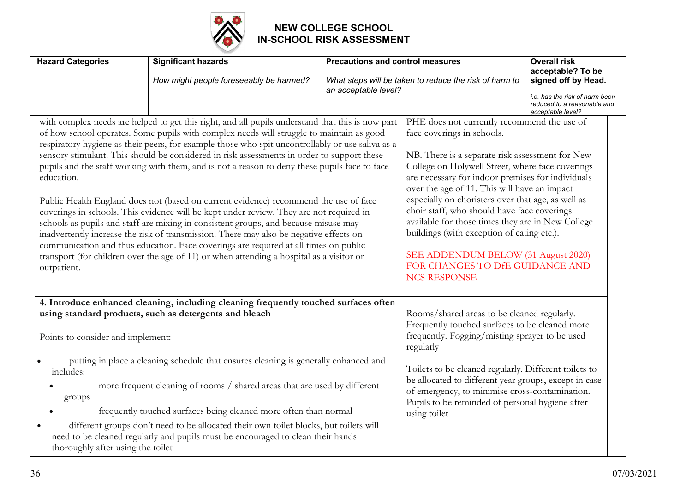

| <b>Hazard Categories</b>                                                                                                                                                                                                                                                                                                                                                                                                                                                                                                                                                                                                                                                                                                                                                                                                                                                                                                                                                                                                                                                             | <b>Significant hazards</b><br>How might people foreseeably be harmed?                                                                                                                                                                 | <b>Precautions and control measures</b><br>an acceptable level?                                                                                                                                                                                                                                                                                                                                                                                                                                                                                                                                | What steps will be taken to reduce the risk of harm to                                                                                                                                                                              | <b>Overall risk</b><br>acceptable? To be<br>signed off by Head.                    |
|--------------------------------------------------------------------------------------------------------------------------------------------------------------------------------------------------------------------------------------------------------------------------------------------------------------------------------------------------------------------------------------------------------------------------------------------------------------------------------------------------------------------------------------------------------------------------------------------------------------------------------------------------------------------------------------------------------------------------------------------------------------------------------------------------------------------------------------------------------------------------------------------------------------------------------------------------------------------------------------------------------------------------------------------------------------------------------------|---------------------------------------------------------------------------------------------------------------------------------------------------------------------------------------------------------------------------------------|------------------------------------------------------------------------------------------------------------------------------------------------------------------------------------------------------------------------------------------------------------------------------------------------------------------------------------------------------------------------------------------------------------------------------------------------------------------------------------------------------------------------------------------------------------------------------------------------|-------------------------------------------------------------------------------------------------------------------------------------------------------------------------------------------------------------------------------------|------------------------------------------------------------------------------------|
|                                                                                                                                                                                                                                                                                                                                                                                                                                                                                                                                                                                                                                                                                                                                                                                                                                                                                                                                                                                                                                                                                      |                                                                                                                                                                                                                                       |                                                                                                                                                                                                                                                                                                                                                                                                                                                                                                                                                                                                |                                                                                                                                                                                                                                     | i.e. has the risk of harm been<br>reduced to a reasonable and<br>acceptable level? |
| with complex needs are helped to get this right, and all pupils understand that this is now part<br>of how school operates. Some pupils with complex needs will struggle to maintain as good<br>respiratory hygiene as their peers, for example those who spit uncontrollably or use saliva as a<br>sensory stimulant. This should be considered in risk assessments in order to support these<br>pupils and the staff working with them, and is not a reason to deny these pupils face to face<br>education.<br>Public Health England does not (based on current evidence) recommend the use of face<br>coverings in schools. This evidence will be kept under review. They are not required in<br>schools as pupils and staff are mixing in consistent groups, and because misuse may<br>inadvertently increase the risk of transmission. There may also be negative effects on<br>communication and thus education. Face coverings are required at all times on public<br>transport (for children over the age of 11) or when attending a hospital as a visitor or<br>outpatient. |                                                                                                                                                                                                                                       | PHE does not currently recommend the use of<br>face coverings in schools.<br>NB. There is a separate risk assessment for New<br>College on Holywell Street, where face coverings<br>are necessary for indoor premises for individuals<br>over the age of 11. This will have an impact<br>especially on choristers over that age, as well as<br>choir staff, who should have face coverings<br>available for those times they are in New College<br>buildings (with exception of eating etc.).<br>SEE ADDENDUM BELOW (31 August 2020)<br>FOR CHANGES TO DfE GUIDANCE AND<br><b>NCS RESPONSE</b> |                                                                                                                                                                                                                                     |                                                                                    |
|                                                                                                                                                                                                                                                                                                                                                                                                                                                                                                                                                                                                                                                                                                                                                                                                                                                                                                                                                                                                                                                                                      | 4. Introduce enhanced cleaning, including cleaning frequently touched surfaces often<br>using standard products, such as detergents and bleach                                                                                        |                                                                                                                                                                                                                                                                                                                                                                                                                                                                                                                                                                                                | Rooms/shared areas to be cleaned regularly.                                                                                                                                                                                         |                                                                                    |
| Points to consider and implement:                                                                                                                                                                                                                                                                                                                                                                                                                                                                                                                                                                                                                                                                                                                                                                                                                                                                                                                                                                                                                                                    |                                                                                                                                                                                                                                       |                                                                                                                                                                                                                                                                                                                                                                                                                                                                                                                                                                                                | Frequently touched surfaces to be cleaned more<br>frequently. Fogging/misting sprayer to be used<br>regularly                                                                                                                       |                                                                                    |
| includes:<br>groups                                                                                                                                                                                                                                                                                                                                                                                                                                                                                                                                                                                                                                                                                                                                                                                                                                                                                                                                                                                                                                                                  | putting in place a cleaning schedule that ensures cleaning is generally enhanced and<br>more frequent cleaning of rooms / shared areas that are used by different<br>frequently touched surfaces being cleaned more often than normal |                                                                                                                                                                                                                                                                                                                                                                                                                                                                                                                                                                                                | Toilets to be cleaned regularly. Different toilets to<br>be allocated to different year groups, except in case<br>of emergency, to minimise cross-contamination.<br>Pupils to be reminded of personal hygiene after<br>using toilet |                                                                                    |
| thoroughly after using the toilet                                                                                                                                                                                                                                                                                                                                                                                                                                                                                                                                                                                                                                                                                                                                                                                                                                                                                                                                                                                                                                                    | different groups don't need to be allocated their own toilet blocks, but toilets will<br>need to be cleaned regularly and pupils must be encouraged to clean their hands                                                              |                                                                                                                                                                                                                                                                                                                                                                                                                                                                                                                                                                                                |                                                                                                                                                                                                                                     |                                                                                    |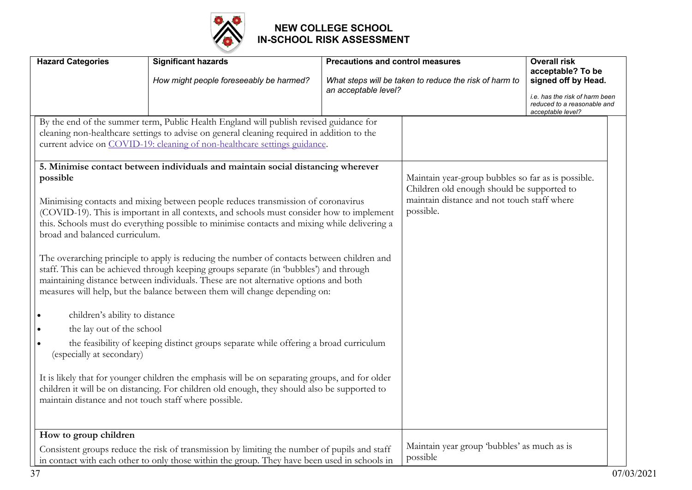

| <b>Hazard Categories</b>                                                                                                                                                                        | <b>Significant hazards</b>                                                                                                                                                                                                                                                                                                                                                                                                                                                                                                                                                                                                                                                                                                                                                                                                                                                                                                                                                                                                                                                                                                                                                                                                                                                                       | <b>Precautions and control measures</b> |                                                                                                                                                              | <b>Overall risk</b><br>acceptable? To be                                                                  |
|-------------------------------------------------------------------------------------------------------------------------------------------------------------------------------------------------|--------------------------------------------------------------------------------------------------------------------------------------------------------------------------------------------------------------------------------------------------------------------------------------------------------------------------------------------------------------------------------------------------------------------------------------------------------------------------------------------------------------------------------------------------------------------------------------------------------------------------------------------------------------------------------------------------------------------------------------------------------------------------------------------------------------------------------------------------------------------------------------------------------------------------------------------------------------------------------------------------------------------------------------------------------------------------------------------------------------------------------------------------------------------------------------------------------------------------------------------------------------------------------------------------|-----------------------------------------|--------------------------------------------------------------------------------------------------------------------------------------------------------------|-----------------------------------------------------------------------------------------------------------|
|                                                                                                                                                                                                 | How might people foreseeably be harmed?                                                                                                                                                                                                                                                                                                                                                                                                                                                                                                                                                                                                                                                                                                                                                                                                                                                                                                                                                                                                                                                                                                                                                                                                                                                          | an acceptable level?                    | What steps will be taken to reduce the risk of harm to                                                                                                       | signed off by Head.<br>i.e. has the risk of harm been<br>reduced to a reasonable and<br>acceptable level? |
| possible<br>broad and balanced curriculum.<br>children's ability to distance<br>the lay out of the school<br>(especially at secondary)<br>maintain distance and not touch staff where possible. | By the end of the summer term, Public Health England will publish revised guidance for<br>cleaning non-healthcare settings to advise on general cleaning required in addition to the<br>current advice on COVID-19: cleaning of non-healthcare settings guidance.<br>5. Minimise contact between individuals and maintain social distancing wherever<br>Minimising contacts and mixing between people reduces transmission of coronavirus<br>(COVID-19). This is important in all contexts, and schools must consider how to implement<br>this. Schools must do everything possible to minimise contacts and mixing while delivering a<br>The overarching principle to apply is reducing the number of contacts between children and<br>staff. This can be achieved through keeping groups separate (in 'bubbles') and through<br>maintaining distance between individuals. These are not alternative options and both<br>measures will help, but the balance between them will change depending on:<br>the feasibility of keeping distinct groups separate while offering a broad curriculum<br>It is likely that for younger children the emphasis will be on separating groups, and for older<br>children it will be on distancing. For children old enough, they should also be supported to |                                         | Maintain year-group bubbles so far as is possible.<br>Children old enough should be supported to<br>maintain distance and not touch staff where<br>possible. |                                                                                                           |
| How to group children                                                                                                                                                                           | Consistent groups reduce the risk of transmission by limiting the number of pupils and staff<br>in contact with each other to only those within the group. They have been used in schools in                                                                                                                                                                                                                                                                                                                                                                                                                                                                                                                                                                                                                                                                                                                                                                                                                                                                                                                                                                                                                                                                                                     |                                         | Maintain year group 'bubbles' as much as is<br>possible                                                                                                      |                                                                                                           |

37 07/03/2021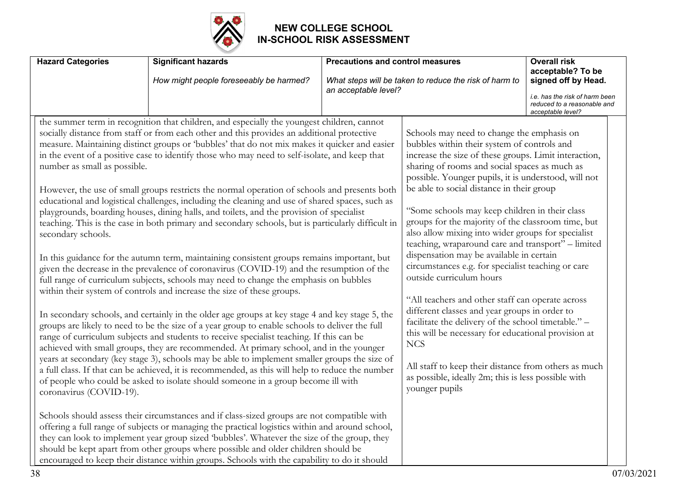

| <b>Hazard Categories</b>                                                      | <b>Significant hazards</b><br>How might people foreseeably be harmed?                                                                                                                                                                                                                                                                                                                                                                                                                                                                                                                                                                                                                                                                                                                                                                                                                                                                                                                                                                                                                                                                                                                                                                                                                                                                                                                                                                                                                                                                                                                                                                                                                                                                                                                                                                              | <b>Precautions and control measures</b><br>an acceptable level? | What steps will be taken to reduce the risk of harm to                                                                                                                                                                                                                                                                                                                                                                                                                                                                                                                                                                                                                                                                                                                                                                                                                                                                                                                                                                       | <b>Overall risk</b><br>acceptable? To be<br>signed off by Head.<br>i.e. has the risk of harm been |
|-------------------------------------------------------------------------------|----------------------------------------------------------------------------------------------------------------------------------------------------------------------------------------------------------------------------------------------------------------------------------------------------------------------------------------------------------------------------------------------------------------------------------------------------------------------------------------------------------------------------------------------------------------------------------------------------------------------------------------------------------------------------------------------------------------------------------------------------------------------------------------------------------------------------------------------------------------------------------------------------------------------------------------------------------------------------------------------------------------------------------------------------------------------------------------------------------------------------------------------------------------------------------------------------------------------------------------------------------------------------------------------------------------------------------------------------------------------------------------------------------------------------------------------------------------------------------------------------------------------------------------------------------------------------------------------------------------------------------------------------------------------------------------------------------------------------------------------------------------------------------------------------------------------------------------------------|-----------------------------------------------------------------|------------------------------------------------------------------------------------------------------------------------------------------------------------------------------------------------------------------------------------------------------------------------------------------------------------------------------------------------------------------------------------------------------------------------------------------------------------------------------------------------------------------------------------------------------------------------------------------------------------------------------------------------------------------------------------------------------------------------------------------------------------------------------------------------------------------------------------------------------------------------------------------------------------------------------------------------------------------------------------------------------------------------------|---------------------------------------------------------------------------------------------------|
|                                                                               |                                                                                                                                                                                                                                                                                                                                                                                                                                                                                                                                                                                                                                                                                                                                                                                                                                                                                                                                                                                                                                                                                                                                                                                                                                                                                                                                                                                                                                                                                                                                                                                                                                                                                                                                                                                                                                                    |                                                                 |                                                                                                                                                                                                                                                                                                                                                                                                                                                                                                                                                                                                                                                                                                                                                                                                                                                                                                                                                                                                                              | reduced to a reasonable and<br>acceptable level?                                                  |
| number as small as possible.<br>secondary schools.<br>coronavirus (COVID-19). | the summer term in recognition that children, and especially the youngest children, cannot<br>socially distance from staff or from each other and this provides an additional protective<br>measure. Maintaining distinct groups or 'bubbles' that do not mix makes it quicker and easier<br>in the event of a positive case to identify those who may need to self-isolate, and keep that<br>However, the use of small groups restricts the normal operation of schools and presents both<br>educational and logistical challenges, including the cleaning and use of shared spaces, such as<br>playgrounds, boarding houses, dining halls, and toilets, and the provision of specialist<br>teaching. This is the case in both primary and secondary schools, but is particularly difficult in<br>In this guidance for the autumn term, maintaining consistent groups remains important, but<br>given the decrease in the prevalence of coronavirus (COVID-19) and the resumption of the<br>full range of curriculum subjects, schools may need to change the emphasis on bubbles<br>within their system of controls and increase the size of these groups.<br>In secondary schools, and certainly in the older age groups at key stage 4 and key stage 5, the<br>groups are likely to need to be the size of a year group to enable schools to deliver the full<br>range of curriculum subjects and students to receive specialist teaching. If this can be<br>achieved with small groups, they are recommended. At primary school, and in the younger<br>years at secondary (key stage 3), schools may be able to implement smaller groups the size of<br>a full class. If that can be achieved, it is recommended, as this will help to reduce the number<br>of people who could be asked to isolate should someone in a group become ill with |                                                                 | Schools may need to change the emphasis on<br>bubbles within their system of controls and<br>increase the size of these groups. Limit interaction,<br>sharing of rooms and social spaces as much as<br>possible. Younger pupils, it is understood, will not<br>be able to social distance in their group<br>"Some schools may keep children in their class<br>groups for the majority of the classroom time, but<br>also allow mixing into wider groups for specialist<br>teaching, wraparound care and transport" - limited<br>dispensation may be available in certain<br>circumstances e.g. for specialist teaching or care<br>outside curriculum hours<br>"All teachers and other staff can operate across<br>different classes and year groups in order to<br>facilitate the delivery of the school timetable." -<br>this will be necessary for educational provision at<br><b>NCS</b><br>All staff to keep their distance from others as much<br>as possible, ideally 2m; this is less possible with<br>younger pupils |                                                                                                   |
|                                                                               | Schools should assess their circumstances and if class-sized groups are not compatible with<br>offering a full range of subjects or managing the practical logistics within and around school,<br>they can look to implement year group sized 'bubbles'. Whatever the size of the group, they<br>should be kept apart from other groups where possible and older children should be<br>encouraged to keep their distance within groups. Schools with the capability to do it should                                                                                                                                                                                                                                                                                                                                                                                                                                                                                                                                                                                                                                                                                                                                                                                                                                                                                                                                                                                                                                                                                                                                                                                                                                                                                                                                                                |                                                                 |                                                                                                                                                                                                                                                                                                                                                                                                                                                                                                                                                                                                                                                                                                                                                                                                                                                                                                                                                                                                                              |                                                                                                   |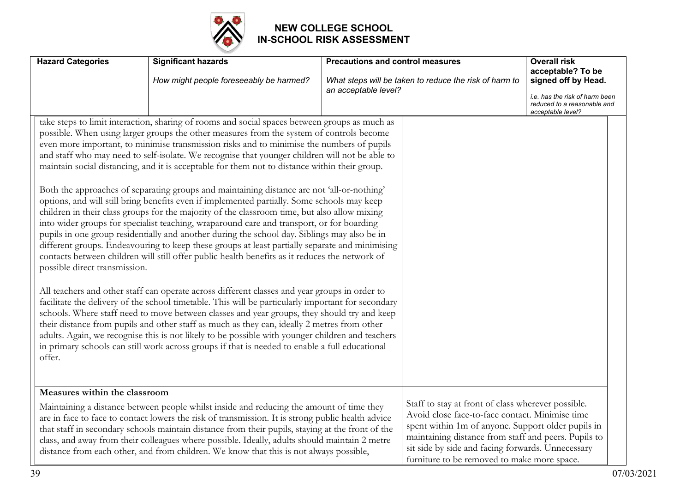

| <b>Hazard Categories</b>                | <b>Significant hazards</b><br>How might people foreseeably be harmed?                                                                                                                                                                                                                                                                                                                                                                                                                                                                                                                                                                                                                                                                                                                                                                                                                                                                                                                                                                                                                                                                                                                                                                                                                                                                                                                                                                                                                                                                                                                                                                                                                                                                                                                              | <b>Precautions and control measures</b><br>What steps will be taken to reduce the risk of harm to<br>an acceptable level? | <b>Overall risk</b><br>acceptable? To be<br>signed off by Head.<br>i.e. has the risk of harm been<br>reduced to a reasonable and<br>acceptable level?                                                                                                                                                                   |
|-----------------------------------------|----------------------------------------------------------------------------------------------------------------------------------------------------------------------------------------------------------------------------------------------------------------------------------------------------------------------------------------------------------------------------------------------------------------------------------------------------------------------------------------------------------------------------------------------------------------------------------------------------------------------------------------------------------------------------------------------------------------------------------------------------------------------------------------------------------------------------------------------------------------------------------------------------------------------------------------------------------------------------------------------------------------------------------------------------------------------------------------------------------------------------------------------------------------------------------------------------------------------------------------------------------------------------------------------------------------------------------------------------------------------------------------------------------------------------------------------------------------------------------------------------------------------------------------------------------------------------------------------------------------------------------------------------------------------------------------------------------------------------------------------------------------------------------------------------|---------------------------------------------------------------------------------------------------------------------------|-------------------------------------------------------------------------------------------------------------------------------------------------------------------------------------------------------------------------------------------------------------------------------------------------------------------------|
| possible direct transmission.<br>offer. | take steps to limit interaction, sharing of rooms and social spaces between groups as much as<br>possible. When using larger groups the other measures from the system of controls become<br>even more important, to minimise transmission risks and to minimise the numbers of pupils<br>and staff who may need to self-isolate. We recognise that younger children will not be able to<br>maintain social distancing, and it is acceptable for them not to distance within their group.<br>Both the approaches of separating groups and maintaining distance are not 'all-or-nothing'<br>options, and will still bring benefits even if implemented partially. Some schools may keep<br>children in their class groups for the majority of the classroom time, but also allow mixing<br>into wider groups for specialist teaching, wraparound care and transport, or for boarding<br>pupils in one group residentially and another during the school day. Siblings may also be in<br>different groups. Endeavouring to keep these groups at least partially separate and minimising<br>contacts between children will still offer public health benefits as it reduces the network of<br>All teachers and other staff can operate across different classes and year groups in order to<br>facilitate the delivery of the school timetable. This will be particularly important for secondary<br>schools. Where staff need to move between classes and year groups, they should try and keep<br>their distance from pupils and other staff as much as they can, ideally 2 metres from other<br>adults. Again, we recognise this is not likely to be possible with younger children and teachers<br>in primary schools can still work across groups if that is needed to enable a full educational |                                                                                                                           |                                                                                                                                                                                                                                                                                                                         |
| Measures within the classroom           | Maintaining a distance between people whilst inside and reducing the amount of time they<br>are in face to face to contact lowers the risk of transmission. It is strong public health advice<br>that staff in secondary schools maintain distance from their pupils, staying at the front of the<br>class, and away from their colleagues where possible. Ideally, adults should maintain 2 metre<br>distance from each other, and from children. We know that this is not always possible,                                                                                                                                                                                                                                                                                                                                                                                                                                                                                                                                                                                                                                                                                                                                                                                                                                                                                                                                                                                                                                                                                                                                                                                                                                                                                                       |                                                                                                                           | Staff to stay at front of class wherever possible.<br>Avoid close face-to-face contact. Minimise time<br>spent within 1m of anyone. Support older pupils in<br>maintaining distance from staff and peers. Pupils to<br>sit side by side and facing forwards. Unnecessary<br>furniture to be removed to make more space. |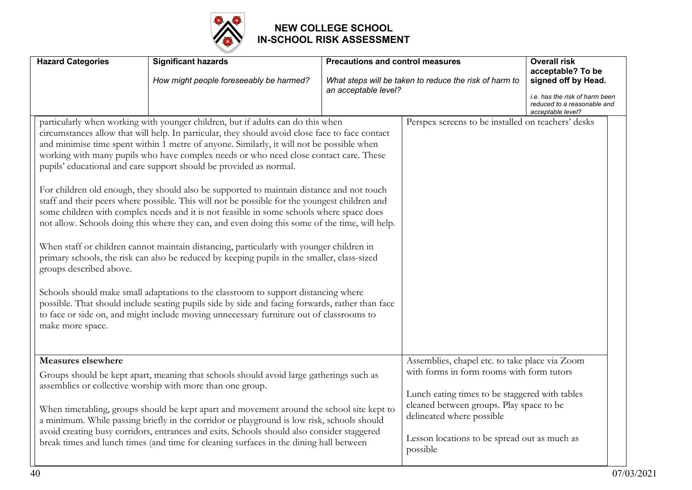

| <b>Hazard Categories</b>                    | <b>Significant hazards</b><br>How might people foreseeably be harmed?                                                                                                                                                                                                                                                                                                                                                                                                                                                                                                                                                                                                                                                                                                                                                                                                                                                                                                                                                                                                                                                                                                                                                                                                                                                     | <b>Precautions and control measures</b><br>an acceptable level? | What steps will be taken to reduce the risk of harm to                                                                                                                                                                                                                             | <b>Overall risk</b><br>acceptable? To be<br>signed off by Head.<br>i.e. has the risk of harm been<br>reduced to a reasonable and<br>acceptable level? |
|---------------------------------------------|---------------------------------------------------------------------------------------------------------------------------------------------------------------------------------------------------------------------------------------------------------------------------------------------------------------------------------------------------------------------------------------------------------------------------------------------------------------------------------------------------------------------------------------------------------------------------------------------------------------------------------------------------------------------------------------------------------------------------------------------------------------------------------------------------------------------------------------------------------------------------------------------------------------------------------------------------------------------------------------------------------------------------------------------------------------------------------------------------------------------------------------------------------------------------------------------------------------------------------------------------------------------------------------------------------------------------|-----------------------------------------------------------------|------------------------------------------------------------------------------------------------------------------------------------------------------------------------------------------------------------------------------------------------------------------------------------|-------------------------------------------------------------------------------------------------------------------------------------------------------|
| groups described above.<br>make more space. | particularly when working with younger children, but if adults can do this when<br>circumstances allow that will help. In particular, they should avoid close face to face contact<br>and minimise time spent within 1 metre of anyone. Similarly, it will not be possible when<br>working with many pupils who have complex needs or who need close contact care. These<br>pupils' educational and care support should be provided as normal.<br>For children old enough, they should also be supported to maintain distance and not touch<br>staff and their peers where possible. This will not be possible for the youngest children and<br>some children with complex needs and it is not feasible in some schools where space does<br>not allow. Schools doing this where they can, and even doing this some of the time, will help.<br>When staff or children cannot maintain distancing, particularly with younger children in<br>primary schools, the risk can also be reduced by keeping pupils in the smaller, class-sized<br>Schools should make small adaptations to the classroom to support distancing where<br>possible. That should include seating pupils side by side and facing forwards, rather than face<br>to face or side on, and might include moving unnecessary furniture out of classrooms to |                                                                 | Perspex screens to be installed on teachers' desks                                                                                                                                                                                                                                 |                                                                                                                                                       |
| <b>Measures elsewhere</b>                   | Groups should be kept apart, meaning that schools should avoid large gatherings such as<br>assemblies or collective worship with more than one group.<br>When timetabling, groups should be kept apart and movement around the school site kept to<br>a minimum. While passing briefly in the corridor or playground is low risk, schools should<br>avoid creating busy corridors, entrances and exits. Schools should also consider staggered<br>break times and lunch times (and time for cleaning surfaces in the dining hall between                                                                                                                                                                                                                                                                                                                                                                                                                                                                                                                                                                                                                                                                                                                                                                                  |                                                                 | Assemblies, chapel etc. to take place via Zoom<br>with forms in form rooms with form tutors<br>Lunch eating times to be staggered with tables<br>cleaned between groups. Play space to be<br>delineated where possible<br>Lesson locations to be spread out as much as<br>possible |                                                                                                                                                       |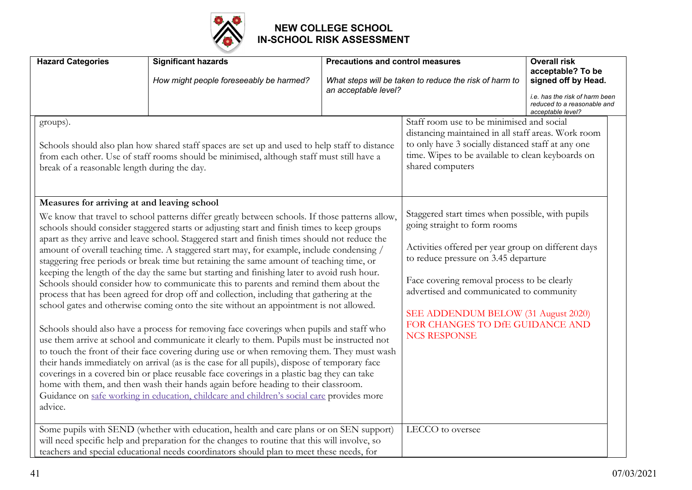

| <b>Hazard Categories</b>                                                                                                                                                                                                                                                                                                                                                                                                                                                                                                                                                                                                                                                                                                                                                      | <b>Significant hazards</b>                                                                                                                                                                | <b>Precautions and control measures</b>                                                                                                                                                                                       |                                                                                                                                                                                                                                                                                                                     | <b>Overall risk</b><br>acceptable? To be                                           |
|-------------------------------------------------------------------------------------------------------------------------------------------------------------------------------------------------------------------------------------------------------------------------------------------------------------------------------------------------------------------------------------------------------------------------------------------------------------------------------------------------------------------------------------------------------------------------------------------------------------------------------------------------------------------------------------------------------------------------------------------------------------------------------|-------------------------------------------------------------------------------------------------------------------------------------------------------------------------------------------|-------------------------------------------------------------------------------------------------------------------------------------------------------------------------------------------------------------------------------|---------------------------------------------------------------------------------------------------------------------------------------------------------------------------------------------------------------------------------------------------------------------------------------------------------------------|------------------------------------------------------------------------------------|
|                                                                                                                                                                                                                                                                                                                                                                                                                                                                                                                                                                                                                                                                                                                                                                               | How might people foreseeably be harmed?                                                                                                                                                   | an acceptable level?                                                                                                                                                                                                          | What steps will be taken to reduce the risk of harm to                                                                                                                                                                                                                                                              | signed off by Head.                                                                |
|                                                                                                                                                                                                                                                                                                                                                                                                                                                                                                                                                                                                                                                                                                                                                                               |                                                                                                                                                                                           |                                                                                                                                                                                                                               |                                                                                                                                                                                                                                                                                                                     | i.e. has the risk of harm been<br>reduced to a reasonable and<br>acceptable level? |
| groups).<br>Schools should also plan how shared staff spaces are set up and used to help staff to distance<br>from each other. Use of staff rooms should be minimised, although staff must still have a<br>break of a reasonable length during the day.<br>Measures for arriving at and leaving school<br>We know that travel to school patterns differ greatly between schools. If those patterns allow,                                                                                                                                                                                                                                                                                                                                                                     |                                                                                                                                                                                           |                                                                                                                                                                                                                               | Staff room use to be minimised and social<br>distancing maintained in all staff areas. Work room<br>to only have 3 socially distanced staff at any one<br>time. Wipes to be available to clean keyboards on<br>shared computers<br>Staggered start times when possible, with pupils<br>going straight to form rooms |                                                                                    |
| schools should consider staggered starts or adjusting start and finish times to keep groups<br>apart as they arrive and leave school. Staggered start and finish times should not reduce the<br>amount of overall teaching time. A staggered start may, for example, include condensing /<br>staggering free periods or break time but retaining the same amount of teaching time, or<br>keeping the length of the day the same but starting and finishing later to avoid rush hour.<br>Schools should consider how to communicate this to parents and remind them about the<br>process that has been agreed for drop off and collection, including that gathering at the<br>school gates and otherwise coming onto the site without an appointment is not allowed.           |                                                                                                                                                                                           | Activities offered per year group on different days<br>to reduce pressure on 3.45 departure<br>Face covering removal process to be clearly<br>advertised and communicated to community<br>SEE ADDENDUM BELOW (31 August 2020) |                                                                                                                                                                                                                                                                                                                     |                                                                                    |
| Schools should also have a process for removing face coverings when pupils and staff who<br>use them arrive at school and communicate it clearly to them. Pupils must be instructed not<br>to touch the front of their face covering during use or when removing them. They must wash<br>their hands immediately on arrival (as is the case for all pupils), dispose of temporary face<br>coverings in a covered bin or place reusable face coverings in a plastic bag they can take<br>home with them, and then wash their hands again before heading to their classroom.<br>Guidance on safe working in education, childcare and children's social care provides more<br>advice.<br>Some pupils with SEND (whether with education, health and care plans or on SEN support) |                                                                                                                                                                                           | FOR CHANGES TO DfE GUIDANCE AND<br><b>NCS RESPONSE</b>                                                                                                                                                                        |                                                                                                                                                                                                                                                                                                                     |                                                                                    |
|                                                                                                                                                                                                                                                                                                                                                                                                                                                                                                                                                                                                                                                                                                                                                                               | will need specific help and preparation for the changes to routine that this will involve, so<br>teachers and special educational needs coordinators should plan to meet these needs, for |                                                                                                                                                                                                                               | LECCO to oversee                                                                                                                                                                                                                                                                                                    |                                                                                    |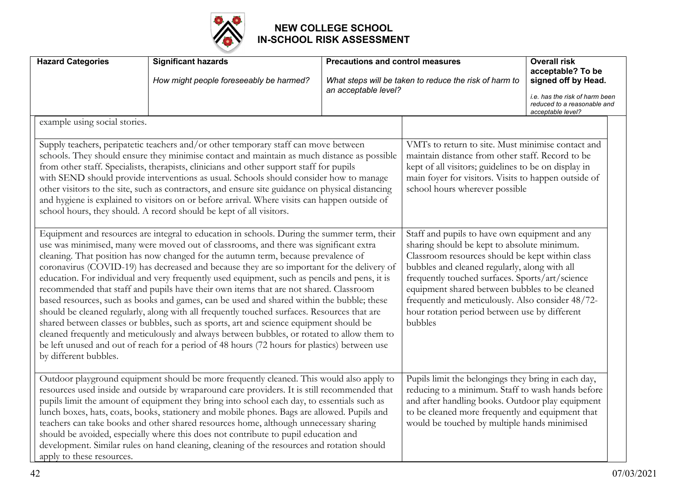

| <b>Hazard Categories</b>                                                                                                                                                                                                                                                                                                                                                                                                                                                                                                                                                                                                                                                                                                                                                                                                                                                                                                                                                                                                                                                         | <b>Significant hazards</b><br>How might people foreseeably be harmed?                                                                                                                                                                                                                                                                                                                                                                                                                                                                                                                                                                                                | <b>Precautions and control measures</b><br>an acceptable level?                                                                                                                                                                                                                                                                                                                                                         | What steps will be taken to reduce the risk of harm to                                                                                                                                                                                                           | <b>Overall risk</b><br>acceptable? To be<br>signed off by Head.<br>i.e. has the risk of harm been<br>reduced to a reasonable and<br>acceptable level? |
|----------------------------------------------------------------------------------------------------------------------------------------------------------------------------------------------------------------------------------------------------------------------------------------------------------------------------------------------------------------------------------------------------------------------------------------------------------------------------------------------------------------------------------------------------------------------------------------------------------------------------------------------------------------------------------------------------------------------------------------------------------------------------------------------------------------------------------------------------------------------------------------------------------------------------------------------------------------------------------------------------------------------------------------------------------------------------------|----------------------------------------------------------------------------------------------------------------------------------------------------------------------------------------------------------------------------------------------------------------------------------------------------------------------------------------------------------------------------------------------------------------------------------------------------------------------------------------------------------------------------------------------------------------------------------------------------------------------------------------------------------------------|-------------------------------------------------------------------------------------------------------------------------------------------------------------------------------------------------------------------------------------------------------------------------------------------------------------------------------------------------------------------------------------------------------------------------|------------------------------------------------------------------------------------------------------------------------------------------------------------------------------------------------------------------------------------------------------------------|-------------------------------------------------------------------------------------------------------------------------------------------------------|
| example using social stories.<br>Supply teachers, peripatetic teachers and/or other temporary staff can move between<br>schools. They should ensure they minimise contact and maintain as much distance as possible<br>from other staff. Specialists, therapists, clinicians and other support staff for pupils<br>with SEND should provide interventions as usual. Schools should consider how to manage<br>other visitors to the site, such as contractors, and ensure site guidance on physical distancing<br>and hygiene is explained to visitors on or before arrival. Where visits can happen outside of<br>school hours, they should. A record should be kept of all visitors.                                                                                                                                                                                                                                                                                                                                                                                            |                                                                                                                                                                                                                                                                                                                                                                                                                                                                                                                                                                                                                                                                      |                                                                                                                                                                                                                                                                                                                                                                                                                         | VMTs to return to site. Must minimise contact and<br>maintain distance from other staff. Record to be<br>kept of all visitors; guidelines to be on display in<br>main foyer for visitors. Visits to happen outside of<br>school hours wherever possible          |                                                                                                                                                       |
| Equipment and resources are integral to education in schools. During the summer term, their<br>use was minimised, many were moved out of classrooms, and there was significant extra<br>cleaning. That position has now changed for the autumn term, because prevalence of<br>coronavirus (COVID-19) has decreased and because they are so important for the delivery of<br>education. For individual and very frequently used equipment, such as pencils and pens, it is<br>recommended that staff and pupils have their own items that are not shared. Classroom<br>based resources, such as books and games, can be used and shared within the bubble; these<br>should be cleaned regularly, along with all frequently touched surfaces. Resources that are<br>shared between classes or bubbles, such as sports, art and science equipment should be<br>cleaned frequently and meticulously and always between bubbles, or rotated to allow them to<br>be left unused and out of reach for a period of 48 hours (72 hours for plastics) between use<br>by different bubbles. |                                                                                                                                                                                                                                                                                                                                                                                                                                                                                                                                                                                                                                                                      | Staff and pupils to have own equipment and any<br>sharing should be kept to absolute minimum.<br>Classroom resources should be kept within class<br>bubbles and cleaned regularly, along with all<br>frequently touched surfaces. Sports/art/science<br>equipment shared between bubbles to be cleaned<br>frequently and meticulously. Also consider 48/72-<br>hour rotation period between use by different<br>bubbles |                                                                                                                                                                                                                                                                  |                                                                                                                                                       |
| apply to these resources.                                                                                                                                                                                                                                                                                                                                                                                                                                                                                                                                                                                                                                                                                                                                                                                                                                                                                                                                                                                                                                                        | Outdoor playground equipment should be more frequently cleaned. This would also apply to<br>resources used inside and outside by wraparound care providers. It is still recommended that<br>pupils limit the amount of equipment they bring into school each day, to essentials such as<br>lunch boxes, hats, coats, books, stationery and mobile phones. Bags are allowed. Pupils and<br>teachers can take books and other shared resources home, although unnecessary sharing<br>should be avoided, especially where this does not contribute to pupil education and<br>development. Similar rules on hand cleaning, cleaning of the resources and rotation should |                                                                                                                                                                                                                                                                                                                                                                                                                         | Pupils limit the belongings they bring in each day,<br>reducing to a minimum. Staff to wash hands before<br>and after handling books. Outdoor play equipment<br>to be cleaned more frequently and equipment that<br>would be touched by multiple hands minimised |                                                                                                                                                       |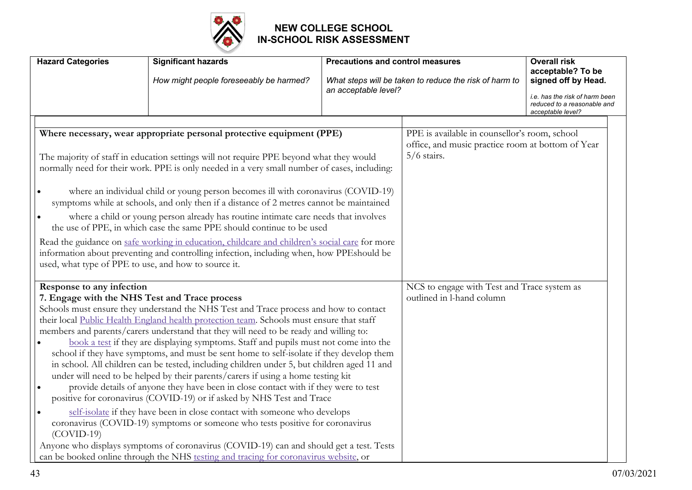

| <b>Hazard Categories</b>                                                                                                                                                                                                                                                                                                                                                                                                                                                                                                                                                                                                                                                                                                                                                                                                                                                                                                                                                                                                                                                                                                                                                                                                                                                      | <b>Significant hazards</b><br>How might people foreseeably be harmed? | <b>Precautions and control measures</b><br>What steps will be taken to reduce the risk of harm to<br>an acceptable level? |                                                                                                                     | <b>Overall risk</b><br>acceptable? To be<br>signed off by Head.<br>i.e. has the risk of harm been<br>reduced to a reasonable and<br>acceptable level? |
|-------------------------------------------------------------------------------------------------------------------------------------------------------------------------------------------------------------------------------------------------------------------------------------------------------------------------------------------------------------------------------------------------------------------------------------------------------------------------------------------------------------------------------------------------------------------------------------------------------------------------------------------------------------------------------------------------------------------------------------------------------------------------------------------------------------------------------------------------------------------------------------------------------------------------------------------------------------------------------------------------------------------------------------------------------------------------------------------------------------------------------------------------------------------------------------------------------------------------------------------------------------------------------|-----------------------------------------------------------------------|---------------------------------------------------------------------------------------------------------------------------|---------------------------------------------------------------------------------------------------------------------|-------------------------------------------------------------------------------------------------------------------------------------------------------|
| Where necessary, wear appropriate personal protective equipment (PPE)<br>The majority of staff in education settings will not require PPE beyond what they would<br>normally need for their work. PPE is only needed in a very small number of cases, including:<br>where an individual child or young person becomes ill with coronavirus (COVID-19)<br>symptoms while at schools, and only then if a distance of 2 metres cannot be maintained<br>where a child or young person already has routine intimate care needs that involves<br>the use of PPE, in which case the same PPE should continue to be used<br>Read the guidance on safe working in education, childcare and children's social care for more<br>information about preventing and controlling infection, including when, how PPEshould be<br>used, what type of PPE to use, and how to source it.                                                                                                                                                                                                                                                                                                                                                                                                         |                                                                       |                                                                                                                           | PPE is available in counsellor's room, school<br>office, and music practice room at bottom of Year<br>$5/6$ stairs. |                                                                                                                                                       |
| Response to any infection<br>7. Engage with the NHS Test and Trace process<br>Schools must ensure they understand the NHS Test and Trace process and how to contact<br>their local Public Health England health protection team. Schools must ensure that staff<br>members and parents/carers understand that they will need to be ready and willing to:<br>book a test if they are displaying symptoms. Staff and pupils must not come into the<br>school if they have symptoms, and must be sent home to self-isolate if they develop them<br>in school. All children can be tested, including children under 5, but children aged 11 and<br>under will need to be helped by their parents/carers if using a home testing kit<br>provide details of anyone they have been in close contact with if they were to test<br>positive for coronavirus (COVID-19) or if asked by NHS Test and Trace<br>self-isolate if they have been in close contact with someone who develops<br>$\bullet$<br>coronavirus (COVID-19) symptoms or someone who tests positive for coronavirus<br>$(COVID-19)$<br>Anyone who displays symptoms of coronavirus (COVID-19) can and should get a test. Tests<br>can be booked online through the NHS testing and tracing for coronavirus website, or |                                                                       | NCS to engage with Test and Trace system as<br>outlined in l-hand column                                                  |                                                                                                                     |                                                                                                                                                       |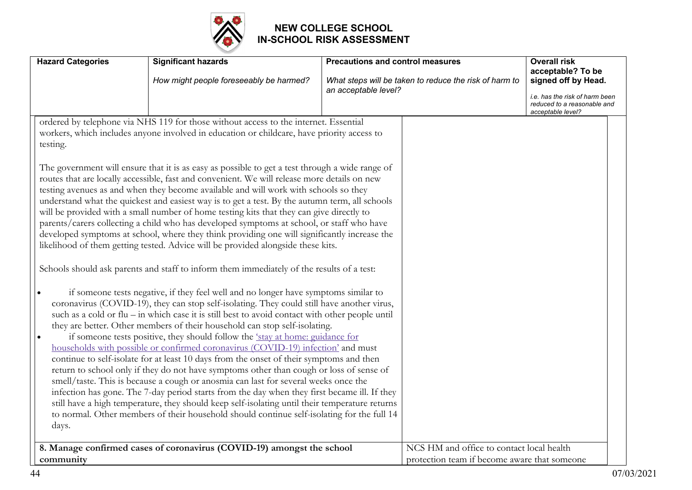

| <b>Hazard Categories</b> | <b>Significant hazards</b><br>How might people foreseeably be harmed?                                                                                                                                                                                                                                                                                                                                                                                                                                                                                                                                                                                                                                                                                                                                                                                                                                                                                                                                                                                                                                                                                                                                                                                                                                                                                                                                                                                                                                                                                                                                                                                                                                                                                                                                                                                                                                                                                                                                                                                                                                                                                                             | <b>Precautions and control measures</b><br>What steps will be taken to reduce the risk of harm to | <b>Overall risk</b><br>acceptable? To be<br>signed off by Head.                    |
|--------------------------|-----------------------------------------------------------------------------------------------------------------------------------------------------------------------------------------------------------------------------------------------------------------------------------------------------------------------------------------------------------------------------------------------------------------------------------------------------------------------------------------------------------------------------------------------------------------------------------------------------------------------------------------------------------------------------------------------------------------------------------------------------------------------------------------------------------------------------------------------------------------------------------------------------------------------------------------------------------------------------------------------------------------------------------------------------------------------------------------------------------------------------------------------------------------------------------------------------------------------------------------------------------------------------------------------------------------------------------------------------------------------------------------------------------------------------------------------------------------------------------------------------------------------------------------------------------------------------------------------------------------------------------------------------------------------------------------------------------------------------------------------------------------------------------------------------------------------------------------------------------------------------------------------------------------------------------------------------------------------------------------------------------------------------------------------------------------------------------------------------------------------------------------------------------------------------------|---------------------------------------------------------------------------------------------------|------------------------------------------------------------------------------------|
|                          |                                                                                                                                                                                                                                                                                                                                                                                                                                                                                                                                                                                                                                                                                                                                                                                                                                                                                                                                                                                                                                                                                                                                                                                                                                                                                                                                                                                                                                                                                                                                                                                                                                                                                                                                                                                                                                                                                                                                                                                                                                                                                                                                                                                   | an acceptable level?                                                                              | i.e. has the risk of harm been<br>reduced to a reasonable and<br>acceptable level? |
| testing.<br>days.        | ordered by telephone via NHS 119 for those without access to the internet. Essential<br>workers, which includes anyone involved in education or childcare, have priority access to<br>The government will ensure that it is as easy as possible to get a test through a wide range of<br>routes that are locally accessible, fast and convenient. We will release more details on new<br>testing avenues as and when they become available and will work with schools so they<br>understand what the quickest and easiest way is to get a test. By the autumn term, all schools<br>will be provided with a small number of home testing kits that they can give directly to<br>parents/carers collecting a child who has developed symptoms at school, or staff who have<br>developed symptoms at school, where they think providing one will significantly increase the<br>likelihood of them getting tested. Advice will be provided alongside these kits.<br>Schools should ask parents and staff to inform them immediately of the results of a test:<br>if someone tests negative, if they feel well and no longer have symptoms similar to<br>coronavirus (COVID-19), they can stop self-isolating. They could still have another virus,<br>such as a cold or flu - in which case it is still best to avoid contact with other people until<br>they are better. Other members of their household can stop self-isolating.<br>if someone tests positive, they should follow the 'stay at home: guidance for<br>households with possible or confirmed coronavirus (COVID-19) infection' and must<br>continue to self-isolate for at least 10 days from the onset of their symptoms and then<br>return to school only if they do not have symptoms other than cough or loss of sense of<br>smell/taste. This is because a cough or anosmia can last for several weeks once the<br>infection has gone. The 7-day period starts from the day when they first became ill. If they<br>still have a high temperature, they should keep self-isolating until their temperature returns<br>to normal. Other members of their household should continue self-isolating for the full 14 |                                                                                                   |                                                                                    |
| community                | 8. Manage confirmed cases of coronavirus (COVID-19) amongst the school                                                                                                                                                                                                                                                                                                                                                                                                                                                                                                                                                                                                                                                                                                                                                                                                                                                                                                                                                                                                                                                                                                                                                                                                                                                                                                                                                                                                                                                                                                                                                                                                                                                                                                                                                                                                                                                                                                                                                                                                                                                                                                            | NCS HM and office to contact local health<br>protection team if become aware that someone         |                                                                                    |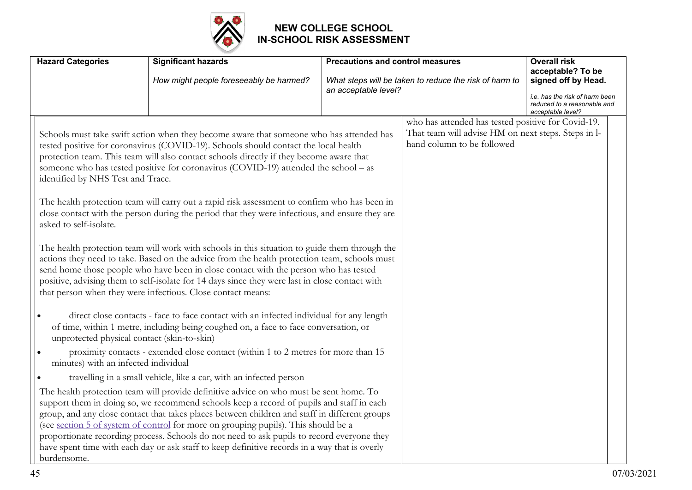

| <b>Hazard Categories</b>                                                                                                                                                       | <b>Significant hazards</b><br>How might people foreseeably be harmed?                                                                                                                                                                                                                                                                                                                                                                                                                                                                                                                                                                                                                                                                                                                                                                                                                                                                                                                                                                                                                                                                                                                                                                                                                                                                                                                                                                                                                                                                                                                                                                                                                                                                                                                                                                                                                                                                                   | <b>Precautions and control measures</b><br>an acceptable level? | What steps will be taken to reduce the risk of harm to                                                                                  | <b>Overall risk</b><br>acceptable? To be<br>signed off by Head.<br>i.e. has the risk of harm been<br>reduced to a reasonable and<br>acceptable level? |
|--------------------------------------------------------------------------------------------------------------------------------------------------------------------------------|---------------------------------------------------------------------------------------------------------------------------------------------------------------------------------------------------------------------------------------------------------------------------------------------------------------------------------------------------------------------------------------------------------------------------------------------------------------------------------------------------------------------------------------------------------------------------------------------------------------------------------------------------------------------------------------------------------------------------------------------------------------------------------------------------------------------------------------------------------------------------------------------------------------------------------------------------------------------------------------------------------------------------------------------------------------------------------------------------------------------------------------------------------------------------------------------------------------------------------------------------------------------------------------------------------------------------------------------------------------------------------------------------------------------------------------------------------------------------------------------------------------------------------------------------------------------------------------------------------------------------------------------------------------------------------------------------------------------------------------------------------------------------------------------------------------------------------------------------------------------------------------------------------------------------------------------------------|-----------------------------------------------------------------|-----------------------------------------------------------------------------------------------------------------------------------------|-------------------------------------------------------------------------------------------------------------------------------------------------------|
| identified by NHS Test and Trace.<br>asked to self-isolate.<br>$\bullet$<br>unprotected physical contact (skin-to-skin)<br>minutes) with an infected individual<br>burdensome. | Schools must take swift action when they become aware that someone who has attended has<br>tested positive for coronavirus (COVID-19). Schools should contact the local health<br>protection team. This team will also contact schools directly if they become aware that<br>someone who has tested positive for coronavirus (COVID-19) attended the school - as<br>The health protection team will carry out a rapid risk assessment to confirm who has been in<br>close contact with the person during the period that they were infectious, and ensure they are<br>The health protection team will work with schools in this situation to guide them through the<br>actions they need to take. Based on the advice from the health protection team, schools must<br>send home those people who have been in close contact with the person who has tested<br>positive, advising them to self-isolate for 14 days since they were last in close contact with<br>that person when they were infectious. Close contact means:<br>direct close contacts - face to face contact with an infected individual for any length<br>of time, within 1 metre, including being coughed on, a face to face conversation, or<br>proximity contacts - extended close contact (within 1 to 2 metres for more than 15<br>travelling in a small vehicle, like a car, with an infected person<br>The health protection team will provide definitive advice on who must be sent home. To<br>support them in doing so, we recommend schools keep a record of pupils and staff in each<br>group, and any close contact that takes places between children and staff in different groups<br>(see section 5 of system of control for more on grouping pupils). This should be a<br>proportionate recording process. Schools do not need to ask pupils to record everyone they<br>have spent time with each day or ask staff to keep definitive records in a way that is overly |                                                                 | who has attended has tested positive for Covid-19.<br>That team will advise HM on next steps. Steps in l-<br>hand column to be followed |                                                                                                                                                       |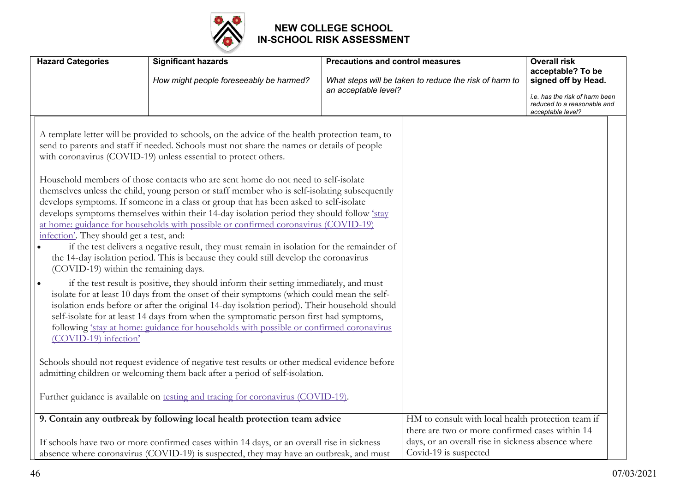

| <b>Hazard Categories</b>                                                                                                | <b>Significant hazards</b>                                                                                                                                                                                                                                                                                                                                                                                                                                                                                                                                                                                                                                                                                                                                                                                                                                                                                                                                                                                                                                                                                                                                                                                                                                                                                                                                                                                                                                                                                                                                                           | <b>Precautions and control measures</b> |                                                                                                                                | <b>Overall risk</b>                                                                |
|-------------------------------------------------------------------------------------------------------------------------|--------------------------------------------------------------------------------------------------------------------------------------------------------------------------------------------------------------------------------------------------------------------------------------------------------------------------------------------------------------------------------------------------------------------------------------------------------------------------------------------------------------------------------------------------------------------------------------------------------------------------------------------------------------------------------------------------------------------------------------------------------------------------------------------------------------------------------------------------------------------------------------------------------------------------------------------------------------------------------------------------------------------------------------------------------------------------------------------------------------------------------------------------------------------------------------------------------------------------------------------------------------------------------------------------------------------------------------------------------------------------------------------------------------------------------------------------------------------------------------------------------------------------------------------------------------------------------------|-----------------------------------------|--------------------------------------------------------------------------------------------------------------------------------|------------------------------------------------------------------------------------|
|                                                                                                                         | How might people foreseeably be harmed?                                                                                                                                                                                                                                                                                                                                                                                                                                                                                                                                                                                                                                                                                                                                                                                                                                                                                                                                                                                                                                                                                                                                                                                                                                                                                                                                                                                                                                                                                                                                              |                                         | What steps will be taken to reduce the risk of harm to                                                                         | acceptable? To be<br>signed off by Head.                                           |
|                                                                                                                         |                                                                                                                                                                                                                                                                                                                                                                                                                                                                                                                                                                                                                                                                                                                                                                                                                                                                                                                                                                                                                                                                                                                                                                                                                                                                                                                                                                                                                                                                                                                                                                                      | an acceptable level?                    |                                                                                                                                | i.e. has the risk of harm been<br>reduced to a reasonable and<br>acceptable level? |
| infection'. They should get a test, and:<br>(COVID-19) within the remaining days.<br>$\bullet$<br>(COVID-19) infection' | A template letter will be provided to schools, on the advice of the health protection team, to<br>send to parents and staff if needed. Schools must not share the names or details of people<br>with coronavirus (COVID-19) unless essential to protect others.<br>Household members of those contacts who are sent home do not need to self-isolate<br>themselves unless the child, young person or staff member who is self-isolating subsequently<br>develops symptoms. If someone in a class or group that has been asked to self-isolate<br>develops symptoms themselves within their 14-day isolation period they should follow 'stay<br>at home: guidance for households with possible or confirmed coronavirus (COVID-19)<br>if the test delivers a negative result, they must remain in isolation for the remainder of<br>the 14-day isolation period. This is because they could still develop the coronavirus<br>if the test result is positive, they should inform their setting immediately, and must<br>isolate for at least 10 days from the onset of their symptoms (which could mean the self-<br>isolation ends before or after the original 14-day isolation period). Their household should<br>self-isolate for at least 14 days from when the symptomatic person first had symptoms,<br>following 'stay at home: guidance for households with possible or confirmed coronavirus<br>Schools should not request evidence of negative test results or other medical evidence before<br>admitting children or welcoming them back after a period of self-isolation. |                                         |                                                                                                                                |                                                                                    |
|                                                                                                                         | Further guidance is available on testing and tracing for coronavirus (COVID-19).                                                                                                                                                                                                                                                                                                                                                                                                                                                                                                                                                                                                                                                                                                                                                                                                                                                                                                                                                                                                                                                                                                                                                                                                                                                                                                                                                                                                                                                                                                     |                                         |                                                                                                                                |                                                                                    |
|                                                                                                                         | 9. Contain any outbreak by following local health protection team advice                                                                                                                                                                                                                                                                                                                                                                                                                                                                                                                                                                                                                                                                                                                                                                                                                                                                                                                                                                                                                                                                                                                                                                                                                                                                                                                                                                                                                                                                                                             |                                         | HM to consult with local health protection team if                                                                             |                                                                                    |
|                                                                                                                         | If schools have two or more confirmed cases within 14 days, or an overall rise in sickness<br>absence where coronavirus (COVID-19) is suspected, they may have an outbreak, and must                                                                                                                                                                                                                                                                                                                                                                                                                                                                                                                                                                                                                                                                                                                                                                                                                                                                                                                                                                                                                                                                                                                                                                                                                                                                                                                                                                                                 |                                         | there are two or more confirmed cases within 14<br>days, or an overall rise in sickness absence where<br>Covid-19 is suspected |                                                                                    |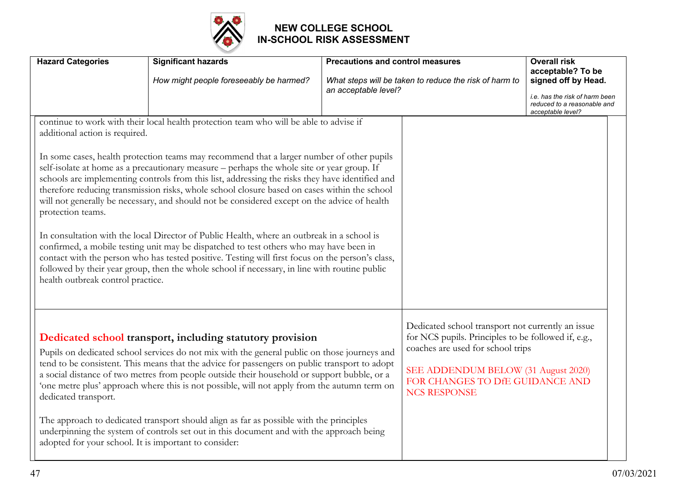

| <b>Hazard Categories</b>                                                                                                                                                                                                                                                                                                                                                                                                                                                                                                                                                                                                                                                                                                                                                                                                                                                                                                                                                                                                                                                      | <b>Significant hazards</b><br>How might people foreseeably be harmed?                                                                                                                                                                                                                                                                                                                                                                                                                                                                                                                                                                           | <b>Precautions and control measures</b><br>an acceptable level? | What steps will be taken to reduce the risk of harm to                                                                                                                                                                                         | <b>Overall risk</b><br>acceptable? To be<br>signed off by Head.<br>i.e. has the risk of harm been<br>reduced to a reasonable and<br>acceptable level? |
|-------------------------------------------------------------------------------------------------------------------------------------------------------------------------------------------------------------------------------------------------------------------------------------------------------------------------------------------------------------------------------------------------------------------------------------------------------------------------------------------------------------------------------------------------------------------------------------------------------------------------------------------------------------------------------------------------------------------------------------------------------------------------------------------------------------------------------------------------------------------------------------------------------------------------------------------------------------------------------------------------------------------------------------------------------------------------------|-------------------------------------------------------------------------------------------------------------------------------------------------------------------------------------------------------------------------------------------------------------------------------------------------------------------------------------------------------------------------------------------------------------------------------------------------------------------------------------------------------------------------------------------------------------------------------------------------------------------------------------------------|-----------------------------------------------------------------|------------------------------------------------------------------------------------------------------------------------------------------------------------------------------------------------------------------------------------------------|-------------------------------------------------------------------------------------------------------------------------------------------------------|
| continue to work with their local health protection team who will be able to advise if<br>additional action is required.<br>In some cases, health protection teams may recommend that a larger number of other pupils<br>self-isolate at home as a precautionary measure – perhaps the whole site or year group. If<br>schools are implementing controls from this list, addressing the risks they have identified and<br>therefore reducing transmission risks, whole school closure based on cases within the school<br>will not generally be necessary, and should not be considered except on the advice of health<br>protection teams.<br>In consultation with the local Director of Public Health, where an outbreak in a school is<br>confirmed, a mobile testing unit may be dispatched to test others who may have been in<br>contact with the person who has tested positive. Testing will first focus on the person's class,<br>followed by their year group, then the whole school if necessary, in line with routine public<br>health outbreak control practice. |                                                                                                                                                                                                                                                                                                                                                                                                                                                                                                                                                                                                                                                 |                                                                 |                                                                                                                                                                                                                                                |                                                                                                                                                       |
| dedicated transport.<br>adopted for your school. It is important to consider:                                                                                                                                                                                                                                                                                                                                                                                                                                                                                                                                                                                                                                                                                                                                                                                                                                                                                                                                                                                                 | Dedicated school transport, including statutory provision<br>Pupils on dedicated school services do not mix with the general public on those journeys and<br>tend to be consistent. This means that the advice for passengers on public transport to adopt<br>a social distance of two metres from people outside their household or support bubble, or a<br>one metre plus' approach where this is not possible, will not apply from the autumn term on<br>The approach to dedicated transport should align as far as possible with the principles<br>underpinning the system of controls set out in this document and with the approach being |                                                                 | Dedicated school transport not currently an issue<br>for NCS pupils. Principles to be followed if, e.g.,<br>coaches are used for school trips<br>SEE ADDENDUM BELOW (31 August 2020)<br>FOR CHANGES TO DfE GUIDANCE AND<br><b>NCS RESPONSE</b> |                                                                                                                                                       |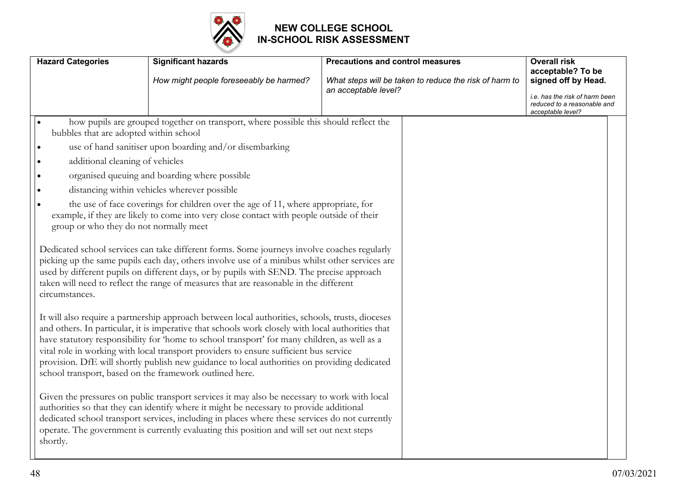

| <b>Hazard Categories</b>                                                                                                                                                                        | <b>Significant hazards</b><br>How might people foreseeably be harmed?                                                                                                                                                                                                                                                                                                                                                                                                                                                                                                                                                                                                                                                                                                                                                                                                                                                                                                                                                            | <b>Precautions and control measures</b><br>What steps will be taken to reduce the risk of harm to<br>an acceptable level? | <b>Overall risk</b><br>acceptable? To be<br>signed off by Head.<br>i.e. has the risk of harm been |  |
|-------------------------------------------------------------------------------------------------------------------------------------------------------------------------------------------------|----------------------------------------------------------------------------------------------------------------------------------------------------------------------------------------------------------------------------------------------------------------------------------------------------------------------------------------------------------------------------------------------------------------------------------------------------------------------------------------------------------------------------------------------------------------------------------------------------------------------------------------------------------------------------------------------------------------------------------------------------------------------------------------------------------------------------------------------------------------------------------------------------------------------------------------------------------------------------------------------------------------------------------|---------------------------------------------------------------------------------------------------------------------------|---------------------------------------------------------------------------------------------------|--|
| $\bullet$<br>bubbles that are adopted within school<br>∣∙<br>additional cleaning of vehicles<br>$\bullet$<br>$\bullet$<br>$\bullet$<br>group or who they do not normally meet<br>circumstances. | how pupils are grouped together on transport, where possible this should reflect the<br>use of hand sanitiser upon boarding and/or disembarking<br>organised queuing and boarding where possible<br>distancing within vehicles wherever possible<br>the use of face coverings for children over the age of 11, where appropriate, for<br>example, if they are likely to come into very close contact with people outside of their<br>Dedicated school services can take different forms. Some journeys involve coaches regularly<br>picking up the same pupils each day, others involve use of a minibus whilst other services are<br>used by different pupils on different days, or by pupils with SEND. The precise approach<br>taken will need to reflect the range of measures that are reasonable in the different<br>It will also require a partnership approach between local authorities, schools, trusts, dioceses<br>and others. In particular, it is imperative that schools work closely with local authorities that |                                                                                                                           | reduced to a reasonable and<br>acceptable level?                                                  |  |
| school transport, based on the framework outlined here.<br>shortly.                                                                                                                             | have statutory responsibility for 'home to school transport' for many children, as well as a<br>vital role in working with local transport providers to ensure sufficient bus service<br>provision. DfE will shortly publish new guidance to local authorities on providing dedicated<br>Given the pressures on public transport services it may also be necessary to work with local<br>authorities so that they can identify where it might be necessary to provide additional<br>dedicated school transport services, including in places where these services do not currently<br>operate. The government is currently evaluating this position and will set out next steps                                                                                                                                                                                                                                                                                                                                                  |                                                                                                                           |                                                                                                   |  |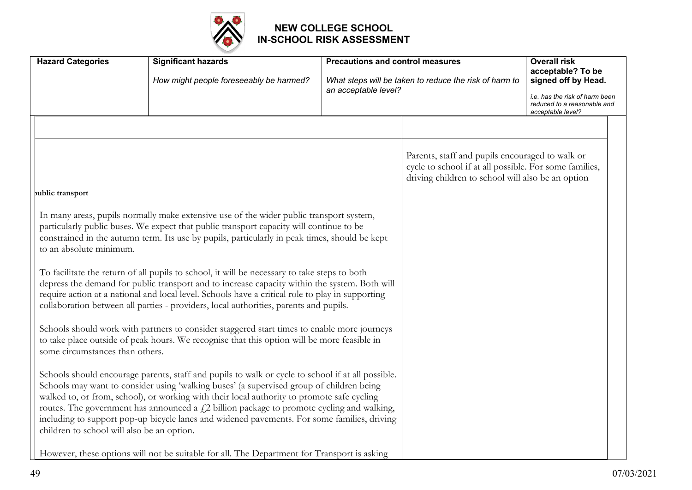

| <b>Hazard Categories</b>                   | <b>Significant hazards</b>                                                                                                                                                                                                                                                                                                                                                                                                                                                                   | <b>Precautions and control measures</b> |                                                                                                                                                                | <b>Overall risk</b><br>acceptable? To be                                                                  |
|--------------------------------------------|----------------------------------------------------------------------------------------------------------------------------------------------------------------------------------------------------------------------------------------------------------------------------------------------------------------------------------------------------------------------------------------------------------------------------------------------------------------------------------------------|-----------------------------------------|----------------------------------------------------------------------------------------------------------------------------------------------------------------|-----------------------------------------------------------------------------------------------------------|
|                                            | How might people foreseeably be harmed?                                                                                                                                                                                                                                                                                                                                                                                                                                                      | an acceptable level?                    | What steps will be taken to reduce the risk of harm to                                                                                                         | signed off by Head.<br>i.e. has the risk of harm been<br>reduced to a reasonable and<br>acceptable level? |
| public transport                           |                                                                                                                                                                                                                                                                                                                                                                                                                                                                                              |                                         | Parents, staff and pupils encouraged to walk or<br>cycle to school if at all possible. For some families,<br>driving children to school will also be an option |                                                                                                           |
| to an absolute minimum.                    | In many areas, pupils normally make extensive use of the wider public transport system,<br>particularly public buses. We expect that public transport capacity will continue to be<br>constrained in the autumn term. Its use by pupils, particularly in peak times, should be kept<br>To facilitate the return of all pupils to school, it will be necessary to take steps to both<br>depress the demand for public transport and to increase capacity within the system. Both will         |                                         |                                                                                                                                                                |                                                                                                           |
|                                            | require action at a national and local level. Schools have a critical role to play in supporting<br>collaboration between all parties - providers, local authorities, parents and pupils.                                                                                                                                                                                                                                                                                                    |                                         |                                                                                                                                                                |                                                                                                           |
| some circumstances than others.            | Schools should work with partners to consider staggered start times to enable more journeys<br>to take place outside of peak hours. We recognise that this option will be more feasible in                                                                                                                                                                                                                                                                                                   |                                         |                                                                                                                                                                |                                                                                                           |
| children to school will also be an option. | Schools should encourage parents, staff and pupils to walk or cycle to school if at all possible.<br>Schools may want to consider using 'walking buses' (a supervised group of children being<br>walked to, or from, school), or working with their local authority to promote safe cycling<br>routes. The government has announced a $f$ . 2 billion package to promote cycling and walking,<br>including to support pop-up bicycle lanes and widened pavements. For some families, driving |                                         |                                                                                                                                                                |                                                                                                           |
|                                            | However, these options will not be suitable for all. The Department for Transport is asking                                                                                                                                                                                                                                                                                                                                                                                                  |                                         |                                                                                                                                                                |                                                                                                           |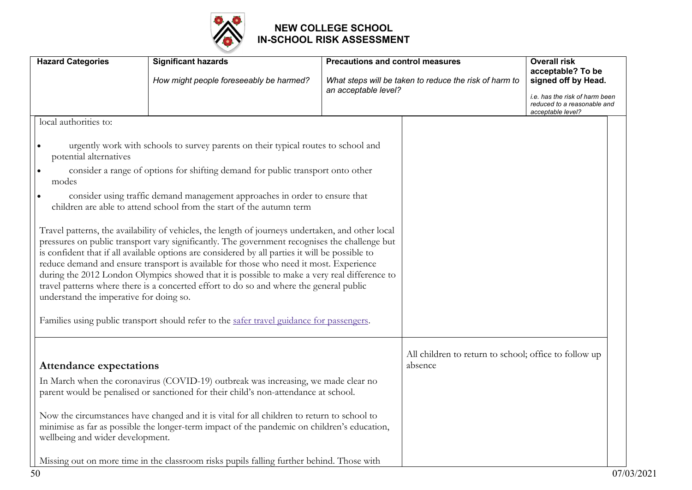

| <b>Hazard Categories</b>                                              | <b>Significant hazards</b><br>How might people foreseeably be harmed?                                                                                                                                                                                                                                                                                                                                                                                                                                                                                                                                                                                                                                                           | <b>Precautions and control measures</b><br>an acceptable level? | What steps will be taken to reduce the risk of harm to           | <b>Overall risk</b><br>acceptable? To be<br>signed off by Head.<br>i.e. has the risk of harm been |
|-----------------------------------------------------------------------|---------------------------------------------------------------------------------------------------------------------------------------------------------------------------------------------------------------------------------------------------------------------------------------------------------------------------------------------------------------------------------------------------------------------------------------------------------------------------------------------------------------------------------------------------------------------------------------------------------------------------------------------------------------------------------------------------------------------------------|-----------------------------------------------------------------|------------------------------------------------------------------|---------------------------------------------------------------------------------------------------|
| local authorities to:<br>potential alternatives<br>$\bullet$<br>modes | urgently work with schools to survey parents on their typical routes to school and<br>consider a range of options for shifting demand for public transport onto other<br>consider using traffic demand management approaches in order to ensure that<br>children are able to attend school from the start of the autumn term<br>Travel patterns, the availability of vehicles, the length of journeys undertaken, and other local<br>pressures on public transport vary significantly. The government recognises the challenge but<br>is confident that if all available options are considered by all parties it will be possible to<br>reduce demand and ensure transport is available for those who need it most. Experience |                                                                 |                                                                  | reduced to a reasonable and<br>acceptable level?                                                  |
| understand the imperative for doing so.                               | during the 2012 London Olympics showed that it is possible to make a very real difference to<br>travel patterns where there is a concerted effort to do so and where the general public<br>Families using public transport should refer to the safer travel guidance for passengers.                                                                                                                                                                                                                                                                                                                                                                                                                                            |                                                                 |                                                                  |                                                                                                   |
| <b>Attendance expectations</b><br>wellbeing and wider development.    | In March when the coronavirus (COVID-19) outbreak was increasing, we made clear no<br>parent would be penalised or sanctioned for their child's non-attendance at school.<br>Now the circumstances have changed and it is vital for all children to return to school to<br>minimise as far as possible the longer-term impact of the pandemic on children's education,<br>Missing out on more time in the classroom risks pupils falling further behind. Those with                                                                                                                                                                                                                                                             |                                                                 | All children to return to school; office to follow up<br>absence |                                                                                                   |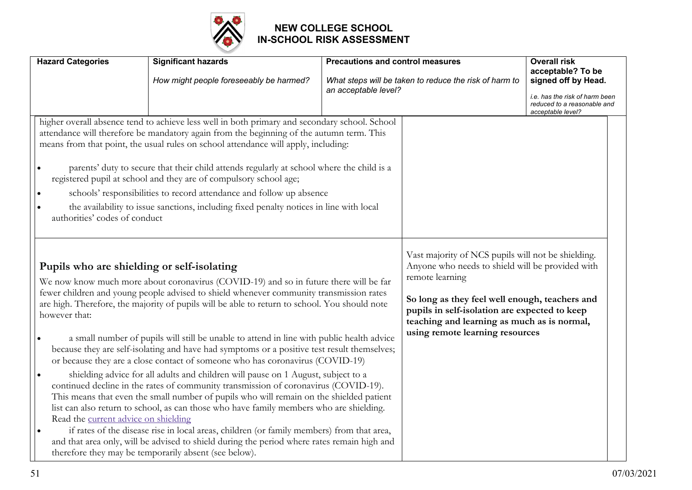

| <b>Hazard Categories</b>                                                                                               | <b>Significant hazards</b>                                                                                                                                                                                                                                                                                                                                                                                                                                                                                                                                                                                                                                                                                                                                                                                                                                                                                                                                                                                                                                                                                                                                                            | <b>Precautions and control measures</b> |                                                                                                                                                                                                                                                                                                                | <b>Overall risk</b>                                                                                                            |
|------------------------------------------------------------------------------------------------------------------------|---------------------------------------------------------------------------------------------------------------------------------------------------------------------------------------------------------------------------------------------------------------------------------------------------------------------------------------------------------------------------------------------------------------------------------------------------------------------------------------------------------------------------------------------------------------------------------------------------------------------------------------------------------------------------------------------------------------------------------------------------------------------------------------------------------------------------------------------------------------------------------------------------------------------------------------------------------------------------------------------------------------------------------------------------------------------------------------------------------------------------------------------------------------------------------------|-----------------------------------------|----------------------------------------------------------------------------------------------------------------------------------------------------------------------------------------------------------------------------------------------------------------------------------------------------------------|--------------------------------------------------------------------------------------------------------------------------------|
|                                                                                                                        | How might people foreseeably be harmed?                                                                                                                                                                                                                                                                                                                                                                                                                                                                                                                                                                                                                                                                                                                                                                                                                                                                                                                                                                                                                                                                                                                                               | an acceptable level?                    | What steps will be taken to reduce the risk of harm to                                                                                                                                                                                                                                                         | acceptable? To be<br>signed off by Head.<br>i.e. has the risk of harm been<br>reduced to a reasonable and<br>acceptable level? |
| authorities' codes of conduct                                                                                          | higher overall absence tend to achieve less well in both primary and secondary school. School<br>attendance will therefore be mandatory again from the beginning of the autumn term. This<br>means from that point, the usual rules on school attendance will apply, including:<br>parents' duty to secure that their child attends regularly at school where the child is a<br>registered pupil at school and they are of compulsory school age;<br>schools' responsibilities to record attendance and follow up absence<br>the availability to issue sanctions, including fixed penalty notices in line with local                                                                                                                                                                                                                                                                                                                                                                                                                                                                                                                                                                  |                                         |                                                                                                                                                                                                                                                                                                                |                                                                                                                                |
| Pupils who are shielding or self-isolating<br>however that:<br>$\bullet$<br>Read the current advice on shielding<br>١٠ | We now know much more about coronavirus (COVID-19) and so in future there will be far<br>fewer children and young people advised to shield whenever community transmission rates<br>are high. Therefore, the majority of pupils will be able to return to school. You should note<br>a small number of pupils will still be unable to attend in line with public health advice<br>because they are self-isolating and have had symptoms or a positive test result themselves;<br>or because they are a close contact of someone who has coronavirus (COVID-19)<br>shielding advice for all adults and children will pause on 1 August, subject to a<br>continued decline in the rates of community transmission of coronavirus (COVID-19).<br>This means that even the small number of pupils who will remain on the shielded patient<br>list can also return to school, as can those who have family members who are shielding.<br>if rates of the disease rise in local areas, children (or family members) from that area,<br>and that area only, will be advised to shield during the period where rates remain high and<br>therefore they may be temporarily absent (see below). |                                         | Vast majority of NCS pupils will not be shielding.<br>Anyone who needs to shield will be provided with<br>remote learning<br>So long as they feel well enough, teachers and<br>pupils in self-isolation are expected to keep<br>teaching and learning as much as is normal,<br>using remote learning resources |                                                                                                                                |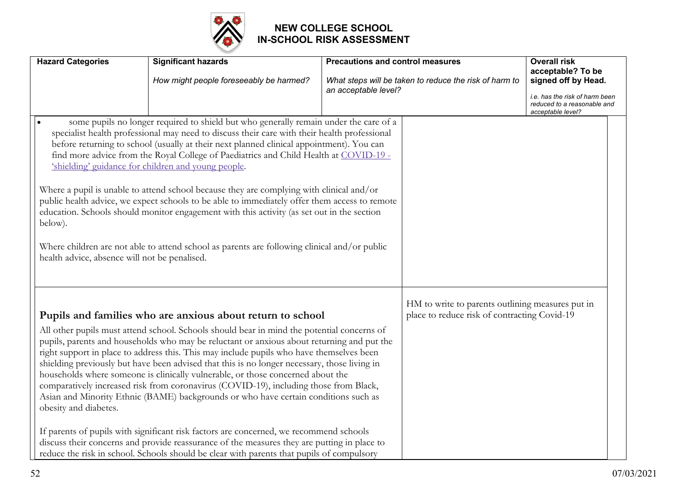

| <b>Hazard Categories</b>                                 | <b>Significant hazards</b>                                                                                                                                                                                                                                                                                                                                                                                                                                                                                                                                                                                                                                                                                                                                                                                                                                                                                                                                                                                  | <b>Precautions and control measures</b> |                                                                                                  | <b>Overall risk</b><br>acceptable? To be                                                                  |
|----------------------------------------------------------|-------------------------------------------------------------------------------------------------------------------------------------------------------------------------------------------------------------------------------------------------------------------------------------------------------------------------------------------------------------------------------------------------------------------------------------------------------------------------------------------------------------------------------------------------------------------------------------------------------------------------------------------------------------------------------------------------------------------------------------------------------------------------------------------------------------------------------------------------------------------------------------------------------------------------------------------------------------------------------------------------------------|-----------------------------------------|--------------------------------------------------------------------------------------------------|-----------------------------------------------------------------------------------------------------------|
|                                                          | How might people foreseeably be harmed?                                                                                                                                                                                                                                                                                                                                                                                                                                                                                                                                                                                                                                                                                                                                                                                                                                                                                                                                                                     | an acceptable level?                    | What steps will be taken to reduce the risk of harm to                                           | signed off by Head.<br>i.e. has the risk of harm been<br>reduced to a reasonable and<br>acceptable level? |
| below).<br>health advice, absence will not be penalised. | some pupils no longer required to shield but who generally remain under the care of a<br>specialist health professional may need to discuss their care with their health professional<br>before returning to school (usually at their next planned clinical appointment). You can<br>find more advice from the Royal College of Paediatrics and Child Health at COVID-19 -<br>'shielding' guidance for children and young people.<br>Where a pupil is unable to attend school because they are complying with clinical and/or<br>public health advice, we expect schools to be able to immediately offer them access to remote<br>education. Schools should monitor engagement with this activity (as set out in the section<br>Where children are not able to attend school as parents are following clinical and/or public                                                                                                                                                                                |                                         |                                                                                                  |                                                                                                           |
| obesity and diabetes.                                    | Pupils and families who are anxious about return to school<br>All other pupils must attend school. Schools should bear in mind the potential concerns of<br>pupils, parents and households who may be reluctant or anxious about returning and put the<br>right support in place to address this. This may include pupils who have themselves been<br>shielding previously but have been advised that this is no longer necessary, those living in<br>households where someone is clinically vulnerable, or those concerned about the<br>comparatively increased risk from coronavirus (COVID-19), including those from Black,<br>Asian and Minority Ethnic (BAME) backgrounds or who have certain conditions such as<br>If parents of pupils with significant risk factors are concerned, we recommend schools<br>discuss their concerns and provide reassurance of the measures they are putting in place to<br>reduce the risk in school. Schools should be clear with parents that pupils of compulsory |                                         | HM to write to parents outlining measures put in<br>place to reduce risk of contracting Covid-19 |                                                                                                           |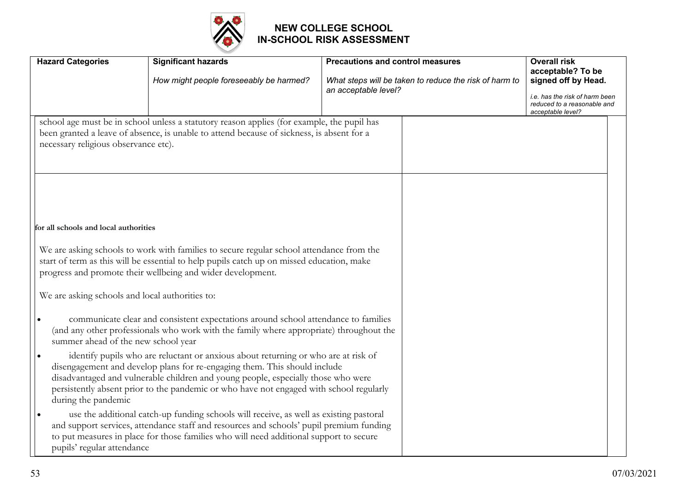

| <b>Hazard Categories</b>                                                                 | <b>Significant hazards</b><br>How might people foreseeably be harmed?                                                                                                                                                                                                                                                                           | <b>Precautions and control measures</b><br>What steps will be taken to reduce the risk of harm to | <b>Overall risk</b><br>acceptable? To be<br>signed off by Head.                    |
|------------------------------------------------------------------------------------------|-------------------------------------------------------------------------------------------------------------------------------------------------------------------------------------------------------------------------------------------------------------------------------------------------------------------------------------------------|---------------------------------------------------------------------------------------------------|------------------------------------------------------------------------------------|
|                                                                                          |                                                                                                                                                                                                                                                                                                                                                 | an acceptable level?                                                                              | i.e. has the risk of harm been<br>reduced to a reasonable and<br>acceptable level? |
| necessary religious observance etc).                                                     | school age must be in school unless a statutory reason applies (for example, the pupil has<br>been granted a leave of absence, is unable to attend because of sickness, is absent for a                                                                                                                                                         |                                                                                                   |                                                                                    |
| for all schools and local authorities<br>We are asking schools and local authorities to: | We are asking schools to work with families to secure regular school attendance from the<br>start of term as this will be essential to help pupils catch up on missed education, make<br>progress and promote their wellbeing and wider development.                                                                                            |                                                                                                   |                                                                                    |
| summer ahead of the new school year                                                      | communicate clear and consistent expectations around school attendance to families<br>(and any other professionals who work with the family where appropriate) throughout the                                                                                                                                                                   |                                                                                                   |                                                                                    |
| during the pandemic                                                                      | identify pupils who are reluctant or anxious about returning or who are at risk of<br>disengagement and develop plans for re-engaging them. This should include<br>disadvantaged and vulnerable children and young people, especially those who were<br>persistently absent prior to the pandemic or who have not engaged with school regularly |                                                                                                   |                                                                                    |
| pupils' regular attendance                                                               | use the additional catch-up funding schools will receive, as well as existing pastoral<br>and support services, attendance staff and resources and schools' pupil premium funding<br>to put measures in place for those families who will need additional support to secure                                                                     |                                                                                                   |                                                                                    |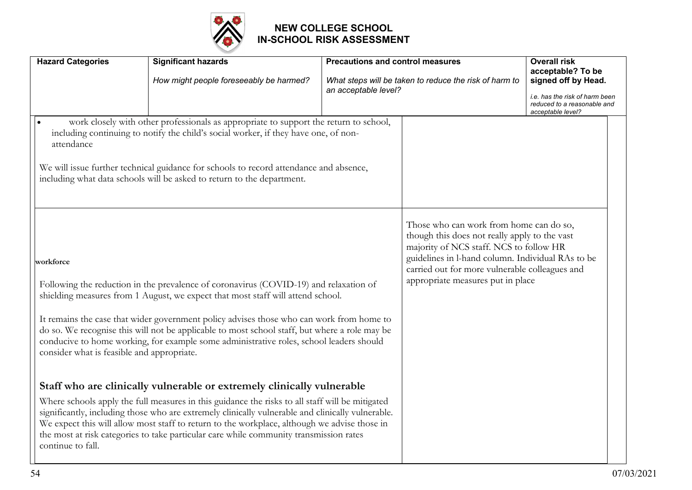

| <b>Hazard Categories</b>                                | <b>Significant hazards</b><br>How might people foreseeably be harmed?                                                                                                                                                                                                                                                                                                                                                                                                    | <b>Precautions and control measures</b><br>an acceptable level? | What steps will be taken to reduce the risk of harm to                                                                                                                                                                                                                          | <b>Overall risk</b><br>acceptable? To be<br>signed off by Head.<br>i.e. has the risk of harm been<br>reduced to a reasonable and<br>acceptable level? |
|---------------------------------------------------------|--------------------------------------------------------------------------------------------------------------------------------------------------------------------------------------------------------------------------------------------------------------------------------------------------------------------------------------------------------------------------------------------------------------------------------------------------------------------------|-----------------------------------------------------------------|---------------------------------------------------------------------------------------------------------------------------------------------------------------------------------------------------------------------------------------------------------------------------------|-------------------------------------------------------------------------------------------------------------------------------------------------------|
| attendance                                              | work closely with other professionals as appropriate to support the return to school,<br>including continuing to notify the child's social worker, if they have one, of non-<br>We will issue further technical guidance for schools to record attendance and absence,<br>including what data schools will be asked to return to the department.                                                                                                                         |                                                                 |                                                                                                                                                                                                                                                                                 |                                                                                                                                                       |
| workforce<br>consider what is feasible and appropriate. | Following the reduction in the prevalence of coronavirus (COVID-19) and relaxation of<br>shielding measures from 1 August, we expect that most staff will attend school.<br>It remains the case that wider government policy advises those who can work from home to<br>do so. We recognise this will not be applicable to most school staff, but where a role may be<br>conducive to home working, for example some administrative roles, school leaders should         |                                                                 | Those who can work from home can do so,<br>though this does not really apply to the vast<br>majority of NCS staff. NCS to follow HR<br>guidelines in l-hand column. Individual RAs to be<br>carried out for more vulnerable colleagues and<br>appropriate measures put in place |                                                                                                                                                       |
| continue to fall.                                       | Staff who are clinically vulnerable or extremely clinically vulnerable<br>Where schools apply the full measures in this guidance the risks to all staff will be mitigated<br>significantly, including those who are extremely clinically vulnerable and clinically vulnerable.<br>We expect this will allow most staff to return to the workplace, although we advise those in<br>the most at risk categories to take particular care while community transmission rates |                                                                 |                                                                                                                                                                                                                                                                                 |                                                                                                                                                       |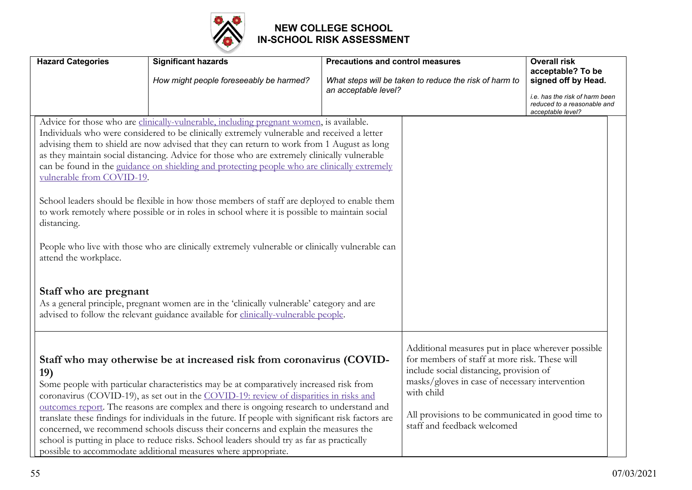

| <b>Hazard Categories</b>                                                                    | <b>Significant hazards</b>                                                                                                                                                                                                                                                                                                                                                                                                                                                                                                                                                                                                                                                                                                                                                                                                                                                                                                                                                   | <b>Precautions and control measures</b> |                                                                                                                                                                                                                                                                                                    | <b>Overall risk</b><br>acceptable? To be                                                                  |
|---------------------------------------------------------------------------------------------|------------------------------------------------------------------------------------------------------------------------------------------------------------------------------------------------------------------------------------------------------------------------------------------------------------------------------------------------------------------------------------------------------------------------------------------------------------------------------------------------------------------------------------------------------------------------------------------------------------------------------------------------------------------------------------------------------------------------------------------------------------------------------------------------------------------------------------------------------------------------------------------------------------------------------------------------------------------------------|-----------------------------------------|----------------------------------------------------------------------------------------------------------------------------------------------------------------------------------------------------------------------------------------------------------------------------------------------------|-----------------------------------------------------------------------------------------------------------|
|                                                                                             | How might people foreseeably be harmed?                                                                                                                                                                                                                                                                                                                                                                                                                                                                                                                                                                                                                                                                                                                                                                                                                                                                                                                                      | an acceptable level?                    | What steps will be taken to reduce the risk of harm to                                                                                                                                                                                                                                             | signed off by Head.<br>i.e. has the risk of harm been<br>reduced to a reasonable and<br>acceptable level? |
| vulnerable from COVID-19.<br>distancing.<br>attend the workplace.<br>Staff who are pregnant | Advice for those who are clinically-vulnerable, including pregnant women, is available.<br>Individuals who were considered to be clinically extremely vulnerable and received a letter<br>advising them to shield are now advised that they can return to work from 1 August as long<br>as they maintain social distancing. Advice for those who are extremely clinically vulnerable<br>can be found in the guidance on shielding and protecting people who are clinically extremely<br>School leaders should be flexible in how those members of staff are deployed to enable them<br>to work remotely where possible or in roles in school where it is possible to maintain social<br>People who live with those who are clinically extremely vulnerable or clinically vulnerable can<br>As a general principle, pregnant women are in the 'clinically vulnerable' category and are<br>advised to follow the relevant guidance available for clinically-vulnerable people. |                                         |                                                                                                                                                                                                                                                                                                    |                                                                                                           |
| 19)                                                                                         | Staff who may otherwise be at increased risk from coronavirus (COVID-<br>Some people with particular characteristics may be at comparatively increased risk from<br>coronavirus (COVID-19), as set out in the COVID-19: review of disparities in risks and<br>outcomes report. The reasons are complex and there is ongoing research to understand and<br>translate these findings for individuals in the future. If people with significant risk factors are<br>concerned, we recommend schools discuss their concerns and explain the measures the<br>school is putting in place to reduce risks. School leaders should try as far as practically<br>possible to accommodate additional measures where appropriate.                                                                                                                                                                                                                                                        |                                         | Additional measures put in place wherever possible<br>for members of staff at more risk. These will<br>include social distancing, provision of<br>masks/gloves in case of necessary intervention<br>with child<br>All provisions to be communicated in good time to<br>staff and feedback welcomed |                                                                                                           |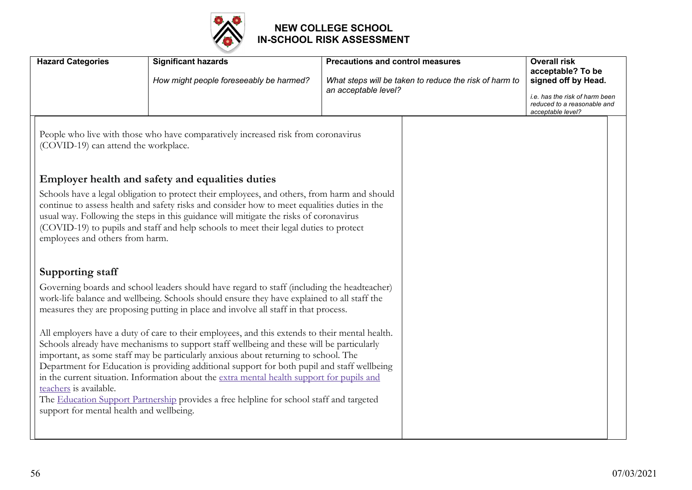

| <b>Hazard Categories</b>                                           | <b>Significant hazards</b><br>How might people foreseeably be harmed?                                                                                                                                                                                                                                                                                                                                                                                                                                                                                                       | <b>Precautions and control measures</b><br>What steps will be taken to reduce the risk of harm to<br>an acceptable level? | <b>Overall risk</b><br>acceptable? To be<br>signed off by Head.                    |
|--------------------------------------------------------------------|-----------------------------------------------------------------------------------------------------------------------------------------------------------------------------------------------------------------------------------------------------------------------------------------------------------------------------------------------------------------------------------------------------------------------------------------------------------------------------------------------------------------------------------------------------------------------------|---------------------------------------------------------------------------------------------------------------------------|------------------------------------------------------------------------------------|
|                                                                    |                                                                                                                                                                                                                                                                                                                                                                                                                                                                                                                                                                             |                                                                                                                           | i.e. has the risk of harm been<br>reduced to a reasonable and<br>acceptable level? |
| (COVID-19) can attend the workplace.                               | People who live with those who have comparatively increased risk from coronavirus                                                                                                                                                                                                                                                                                                                                                                                                                                                                                           |                                                                                                                           |                                                                                    |
|                                                                    | Employer health and safety and equalities duties                                                                                                                                                                                                                                                                                                                                                                                                                                                                                                                            |                                                                                                                           |                                                                                    |
| employees and others from harm.                                    | Schools have a legal obligation to protect their employees, and others, from harm and should<br>continue to assess health and safety risks and consider how to meet equalities duties in the<br>usual way. Following the steps in this guidance will mitigate the risks of coronavirus<br>(COVID-19) to pupils and staff and help schools to meet their legal duties to protect                                                                                                                                                                                             |                                                                                                                           |                                                                                    |
| <b>Supporting staff</b>                                            |                                                                                                                                                                                                                                                                                                                                                                                                                                                                                                                                                                             |                                                                                                                           |                                                                                    |
|                                                                    | Governing boards and school leaders should have regard to staff (including the headteacher)<br>work-life balance and wellbeing. Schools should ensure they have explained to all staff the<br>measures they are proposing putting in place and involve all staff in that process.                                                                                                                                                                                                                                                                                           |                                                                                                                           |                                                                                    |
| teachers is available.<br>support for mental health and wellbeing. | All employers have a duty of care to their employees, and this extends to their mental health.<br>Schools already have mechanisms to support staff wellbeing and these will be particularly<br>important, as some staff may be particularly anxious about returning to school. The<br>Department for Education is providing additional support for both pupil and staff wellbeing<br>in the current situation. Information about the extra mental health support for pupils and<br>The Education Support Partnership provides a free helpline for school staff and targeted |                                                                                                                           |                                                                                    |
|                                                                    |                                                                                                                                                                                                                                                                                                                                                                                                                                                                                                                                                                             |                                                                                                                           |                                                                                    |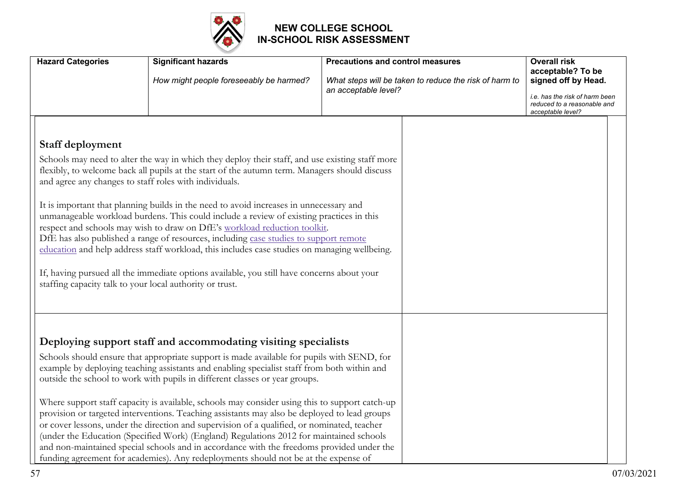

| <b>Hazard Categories</b>                                                                                                                                                                                                                                                                                                                                                                                                                                                                                                                                                                                                                                                                                                                                                                                                                                                                             | <b>Significant hazards</b><br>How might people foreseeably be harmed?                                                                                                                                                                                                                                                                                                                                                                                                                                                                                                                                                                                                                                                                                                                                                                                                                                                      | <b>Precautions and control measures</b><br>What steps will be taken to reduce the risk of harm to | <b>Overall risk</b><br>acceptable? To be<br>signed off by Head.                    |
|------------------------------------------------------------------------------------------------------------------------------------------------------------------------------------------------------------------------------------------------------------------------------------------------------------------------------------------------------------------------------------------------------------------------------------------------------------------------------------------------------------------------------------------------------------------------------------------------------------------------------------------------------------------------------------------------------------------------------------------------------------------------------------------------------------------------------------------------------------------------------------------------------|----------------------------------------------------------------------------------------------------------------------------------------------------------------------------------------------------------------------------------------------------------------------------------------------------------------------------------------------------------------------------------------------------------------------------------------------------------------------------------------------------------------------------------------------------------------------------------------------------------------------------------------------------------------------------------------------------------------------------------------------------------------------------------------------------------------------------------------------------------------------------------------------------------------------------|---------------------------------------------------------------------------------------------------|------------------------------------------------------------------------------------|
|                                                                                                                                                                                                                                                                                                                                                                                                                                                                                                                                                                                                                                                                                                                                                                                                                                                                                                      |                                                                                                                                                                                                                                                                                                                                                                                                                                                                                                                                                                                                                                                                                                                                                                                                                                                                                                                            | an acceptable level?                                                                              | i.e. has the risk of harm been<br>reduced to a reasonable and<br>acceptable level? |
| Staff deployment<br>Schools may need to alter the way in which they deploy their staff, and use existing staff more<br>flexibly, to welcome back all pupils at the start of the autumn term. Managers should discuss<br>and agree any changes to staff roles with individuals.<br>It is important that planning builds in the need to avoid increases in unnecessary and<br>unmanageable workload burdens. This could include a review of existing practices in this<br>respect and schools may wish to draw on DfE's workload reduction toolkit.<br>DfE has also published a range of resources, including case studies to support remote<br>education and help address staff workload, this includes case studies on managing wellbeing.<br>If, having pursued all the immediate options available, you still have concerns about your<br>staffing capacity talk to your local authority or trust. |                                                                                                                                                                                                                                                                                                                                                                                                                                                                                                                                                                                                                                                                                                                                                                                                                                                                                                                            |                                                                                                   |                                                                                    |
|                                                                                                                                                                                                                                                                                                                                                                                                                                                                                                                                                                                                                                                                                                                                                                                                                                                                                                      | Deploying support staff and accommodating visiting specialists<br>Schools should ensure that appropriate support is made available for pupils with SEND, for<br>example by deploying teaching assistants and enabling specialist staff from both within and<br>outside the school to work with pupils in different classes or year groups.<br>Where support staff capacity is available, schools may consider using this to support catch-up<br>provision or targeted interventions. Teaching assistants may also be deployed to lead groups<br>or cover lessons, under the direction and supervision of a qualified, or nominated, teacher<br>(under the Education (Specified Work) (England) Regulations 2012 for maintained schools<br>and non-maintained special schools and in accordance with the freedoms provided under the<br>funding agreement for academies). Any redeployments should not be at the expense of |                                                                                                   |                                                                                    |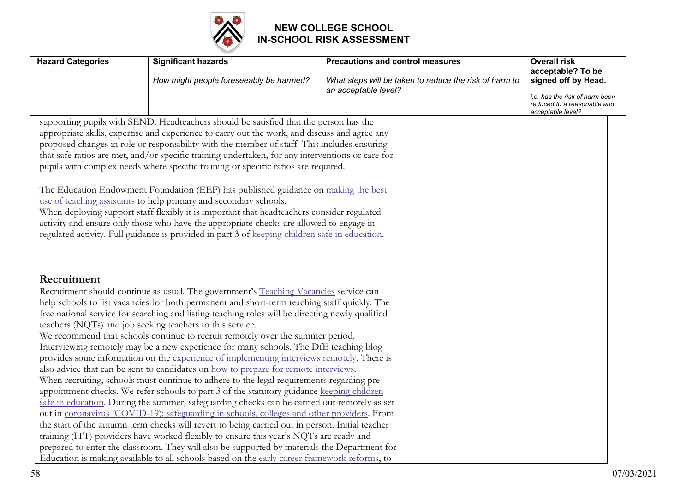

| <b>Hazard Categories</b> | <b>Significant hazards</b>                                                                                                                                                                                                                                                                                                                                                                                                                                                                                                                                                                                                                                                                                                                                                                                                                                                                                                                                                                                                                                                                                                                                                                                                                                                                                                                                                                                                                                                                                 | <b>Precautions and control measures</b>                                        | <b>Overall risk</b>                                                                |
|--------------------------|------------------------------------------------------------------------------------------------------------------------------------------------------------------------------------------------------------------------------------------------------------------------------------------------------------------------------------------------------------------------------------------------------------------------------------------------------------------------------------------------------------------------------------------------------------------------------------------------------------------------------------------------------------------------------------------------------------------------------------------------------------------------------------------------------------------------------------------------------------------------------------------------------------------------------------------------------------------------------------------------------------------------------------------------------------------------------------------------------------------------------------------------------------------------------------------------------------------------------------------------------------------------------------------------------------------------------------------------------------------------------------------------------------------------------------------------------------------------------------------------------------|--------------------------------------------------------------------------------|------------------------------------------------------------------------------------|
|                          | How might people foreseeably be harmed?                                                                                                                                                                                                                                                                                                                                                                                                                                                                                                                                                                                                                                                                                                                                                                                                                                                                                                                                                                                                                                                                                                                                                                                                                                                                                                                                                                                                                                                                    | What steps will be taken to reduce the risk of harm to<br>an acceptable level? | acceptable? To be<br>signed off by Head.                                           |
|                          |                                                                                                                                                                                                                                                                                                                                                                                                                                                                                                                                                                                                                                                                                                                                                                                                                                                                                                                                                                                                                                                                                                                                                                                                                                                                                                                                                                                                                                                                                                            |                                                                                | i.e. has the risk of harm been<br>reduced to a reasonable and<br>acceptable level? |
|                          | supporting pupils with SEND. Headteachers should be satisfied that the person has the<br>appropriate skills, expertise and experience to carry out the work, and discuss and agree any<br>proposed changes in role or responsibility with the member of staff. This includes ensuring<br>that safe ratios are met, and/or specific training undertaken, for any interventions or care for<br>pupils with complex needs where specific training or specific ratios are required.<br>The Education Endowment Foundation (EEF) has published guidance on making the best<br>use of teaching assistants to help primary and secondary schools.<br>When deploying support staff flexibly it is important that headteachers consider regulated<br>activity and ensure only those who have the appropriate checks are allowed to engage in<br>regulated activity. Full guidance is provided in part 3 of keeping children safe in education.                                                                                                                                                                                                                                                                                                                                                                                                                                                                                                                                                                      |                                                                                |                                                                                    |
| Recruitment              | Recruitment should continue as usual. The government's Teaching Vacancies service can<br>help schools to list vacancies for both permanent and short-term teaching staff quickly. The<br>free national service for searching and listing teaching roles will be directing newly qualified<br>teachers (NQTs) and job seeking teachers to this service.<br>We recommend that schools continue to recruit remotely over the summer period.<br>Interviewing remotely may be a new experience for many schools. The DfE teaching blog<br>provides some information on the experience of implementing interviews remotely. There is<br>also advice that can be sent to candidates on how to prepare for remote interviews.<br>When recruiting, schools must continue to adhere to the legal requirements regarding pre-<br>appointment checks. We refer schools to part 3 of the statutory guidance keeping children<br>safe in education. During the summer, safeguarding checks can be carried out remotely as set<br>out in coronavirus (COVID-19): safeguarding in schools, colleges and other providers. From<br>the start of the autumn term checks will revert to being carried out in person. Initial teacher<br>training (ITT) providers have worked flexibly to ensure this year's NQTs are ready and<br>prepared to enter the classroom. They will also be supported by materials the Department for<br>Education is making available to all schools based on the early career framework reforms, to |                                                                                |                                                                                    |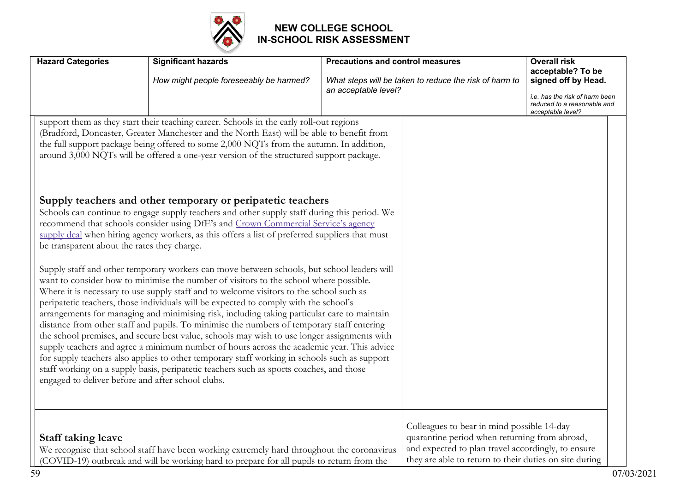

| <b>Hazard Categories</b>                                                                         | <b>Significant hazards</b>                                                                                                                                                                                                                                                                                                                                                                                                                                                                                                                                                                                                                                                                                                                                                                                                                                                                                                                                                                                                                                                                                                                                                                                                                                                                                                                                                                                                                                                                                                                                                                                                                                                                    | <b>Precautions and control measures</b> |                                                                                                                                                                                                             | <b>Overall risk</b>                                                                                                            |
|--------------------------------------------------------------------------------------------------|-----------------------------------------------------------------------------------------------------------------------------------------------------------------------------------------------------------------------------------------------------------------------------------------------------------------------------------------------------------------------------------------------------------------------------------------------------------------------------------------------------------------------------------------------------------------------------------------------------------------------------------------------------------------------------------------------------------------------------------------------------------------------------------------------------------------------------------------------------------------------------------------------------------------------------------------------------------------------------------------------------------------------------------------------------------------------------------------------------------------------------------------------------------------------------------------------------------------------------------------------------------------------------------------------------------------------------------------------------------------------------------------------------------------------------------------------------------------------------------------------------------------------------------------------------------------------------------------------------------------------------------------------------------------------------------------------|-----------------------------------------|-------------------------------------------------------------------------------------------------------------------------------------------------------------------------------------------------------------|--------------------------------------------------------------------------------------------------------------------------------|
|                                                                                                  | How might people foreseeably be harmed?                                                                                                                                                                                                                                                                                                                                                                                                                                                                                                                                                                                                                                                                                                                                                                                                                                                                                                                                                                                                                                                                                                                                                                                                                                                                                                                                                                                                                                                                                                                                                                                                                                                       | an acceptable level?                    | What steps will be taken to reduce the risk of harm to                                                                                                                                                      | acceptable? To be<br>signed off by Head.<br>i.e. has the risk of harm been<br>reduced to a reasonable and<br>acceptable level? |
| be transparent about the rates they charge.<br>engaged to deliver before and after school clubs. | support them as they start their teaching career. Schools in the early roll-out regions<br>(Bradford, Doncaster, Greater Manchester and the North East) will be able to benefit from<br>the full support package being offered to some 2,000 NQTs from the autumn. In addition,<br>around 3,000 NQTs will be offered a one-year version of the structured support package.<br>Supply teachers and other temporary or peripatetic teachers<br>Schools can continue to engage supply teachers and other supply staff during this period. We<br>recommend that schools consider using DfE's and Crown Commercial Service's agency<br>supply deal when hiring agency workers, as this offers a list of preferred suppliers that must<br>Supply staff and other temporary workers can move between schools, but school leaders will<br>want to consider how to minimise the number of visitors to the school where possible.<br>Where it is necessary to use supply staff and to welcome visitors to the school such as<br>peripatetic teachers, those individuals will be expected to comply with the school's<br>arrangements for managing and minimising risk, including taking particular care to maintain<br>distance from other staff and pupils. To minimise the numbers of temporary staff entering<br>the school premises, and secure best value, schools may wish to use longer assignments with<br>supply teachers and agree a minimum number of hours across the academic year. This advice<br>for supply teachers also applies to other temporary staff working in schools such as support<br>staff working on a supply basis, peripatetic teachers such as sports coaches, and those |                                         |                                                                                                                                                                                                             |                                                                                                                                |
| <b>Staff taking leave</b>                                                                        | We recognise that school staff have been working extremely hard throughout the coronavirus<br>(COVID-19) outbreak and will be working hard to prepare for all pupils to return from the                                                                                                                                                                                                                                                                                                                                                                                                                                                                                                                                                                                                                                                                                                                                                                                                                                                                                                                                                                                                                                                                                                                                                                                                                                                                                                                                                                                                                                                                                                       |                                         | Colleagues to bear in mind possible 14-day<br>quarantine period when returning from abroad,<br>and expected to plan travel accordingly, to ensure<br>they are able to return to their duties on site during |                                                                                                                                |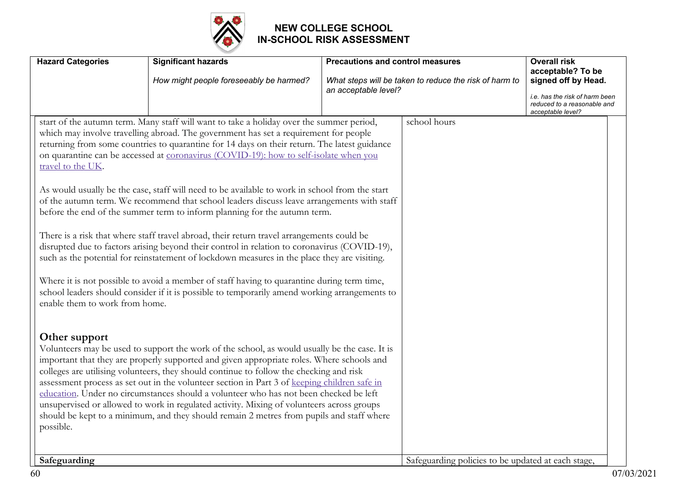

| <b>Hazard Categories</b>                            | <b>Significant hazards</b><br>How might people foreseeably be harmed?                                                                                                                                                                                                                                                                                                                                                                                                                                                                                                                                                                                                                                                                                                                                                                                                                                                                                                                                                                                                                                                                              | <b>Precautions and control measures</b><br>an acceptable level? | What steps will be taken to reduce the risk of harm to | <b>Overall risk</b><br>acceptable? To be<br>signed off by Head.<br>i.e. has the risk of harm been<br>reduced to a reasonable and<br>acceptable level? |
|-----------------------------------------------------|----------------------------------------------------------------------------------------------------------------------------------------------------------------------------------------------------------------------------------------------------------------------------------------------------------------------------------------------------------------------------------------------------------------------------------------------------------------------------------------------------------------------------------------------------------------------------------------------------------------------------------------------------------------------------------------------------------------------------------------------------------------------------------------------------------------------------------------------------------------------------------------------------------------------------------------------------------------------------------------------------------------------------------------------------------------------------------------------------------------------------------------------------|-----------------------------------------------------------------|--------------------------------------------------------|-------------------------------------------------------------------------------------------------------------------------------------------------------|
| travel to the UK.<br>enable them to work from home. | start of the autumn term. Many staff will want to take a holiday over the summer period,<br>which may involve travelling abroad. The government has set a requirement for people<br>returning from some countries to quarantine for 14 days on their return. The latest guidance<br>on quarantine can be accessed at coronavirus (COVID-19): how to self-isolate when you<br>As would usually be the case, staff will need to be available to work in school from the start<br>of the autumn term. We recommend that school leaders discuss leave arrangements with staff<br>before the end of the summer term to inform planning for the autumn term.<br>There is a risk that where staff travel abroad, their return travel arrangements could be<br>disrupted due to factors arising beyond their control in relation to coronavirus (COVID-19),<br>such as the potential for reinstatement of lockdown measures in the place they are visiting.<br>Where it is not possible to avoid a member of staff having to quarantine during term time,<br>school leaders should consider if it is possible to temporarily amend working arrangements to |                                                                 | school hours                                           |                                                                                                                                                       |
| Other support<br>possible.<br>Safeguarding          | Volunteers may be used to support the work of the school, as would usually be the case. It is<br>important that they are properly supported and given appropriate roles. Where schools and<br>colleges are utilising volunteers, they should continue to follow the checking and risk<br>assessment process as set out in the volunteer section in Part 3 of keeping children safe in<br>education. Under no circumstances should a volunteer who has not been checked be left<br>unsupervised or allowed to work in regulated activity. Mixing of volunteers across groups<br>should be kept to a minimum, and they should remain 2 metres from pupils and staff where                                                                                                                                                                                                                                                                                                                                                                                                                                                                            |                                                                 | Safeguarding policies to be updated at each stage,     |                                                                                                                                                       |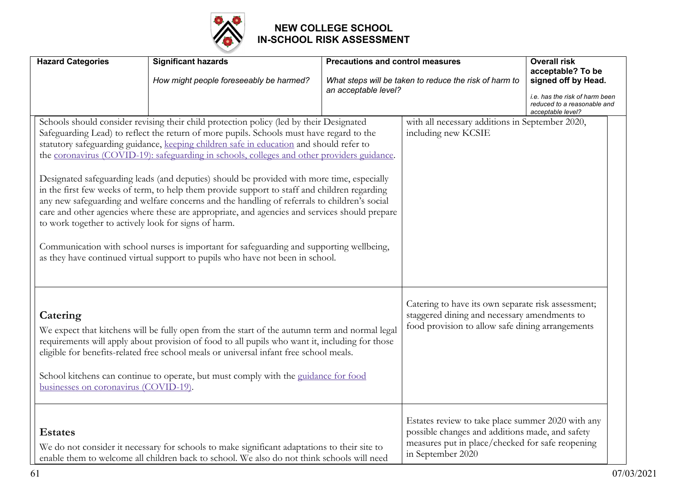

| <b>Hazard Categories</b>                          | <b>Significant hazards</b><br>How might people foreseeably be harmed?                                                                                                                                                                                                                                                                                                                                                                                                                                                                                                                                                                                                                                                                                                                                                                                                                                                                                                                                             | <b>Precautions and control measures</b><br>an acceptable level? | What steps will be taken to reduce the risk of harm to                                                                                                                        | <b>Overall risk</b><br>acceptable? To be<br>signed off by Head.<br>i.e. has the risk of harm been<br>reduced to a reasonable and<br>acceptable level? |
|---------------------------------------------------|-------------------------------------------------------------------------------------------------------------------------------------------------------------------------------------------------------------------------------------------------------------------------------------------------------------------------------------------------------------------------------------------------------------------------------------------------------------------------------------------------------------------------------------------------------------------------------------------------------------------------------------------------------------------------------------------------------------------------------------------------------------------------------------------------------------------------------------------------------------------------------------------------------------------------------------------------------------------------------------------------------------------|-----------------------------------------------------------------|-------------------------------------------------------------------------------------------------------------------------------------------------------------------------------|-------------------------------------------------------------------------------------------------------------------------------------------------------|
|                                                   | Schools should consider revising their child protection policy (led by their Designated<br>Safeguarding Lead) to reflect the return of more pupils. Schools must have regard to the<br>statutory safeguarding guidance, keeping children safe in education and should refer to<br>the coronavirus (COVID-19): safeguarding in schools, colleges and other providers guidance.<br>Designated safeguarding leads (and deputies) should be provided with more time, especially<br>in the first few weeks of term, to help them provide support to staff and children regarding<br>any new safeguarding and welfare concerns and the handling of referrals to children's social<br>care and other agencies where these are appropriate, and agencies and services should prepare<br>to work together to actively look for signs of harm.<br>Communication with school nurses is important for safeguarding and supporting wellbeing,<br>as they have continued virtual support to pupils who have not been in school. |                                                                 | with all necessary additions in September 2020,<br>including new KCSIE                                                                                                        |                                                                                                                                                       |
| Catering<br>businesses on coronavirus (COVID-19). | We expect that kitchens will be fully open from the start of the autumn term and normal legal<br>requirements will apply about provision of food to all pupils who want it, including for those<br>eligible for benefits-related free school meals or universal infant free school meals.<br>School kitchens can continue to operate, but must comply with the guidance for food                                                                                                                                                                                                                                                                                                                                                                                                                                                                                                                                                                                                                                  |                                                                 | Catering to have its own separate risk assessment;<br>staggered dining and necessary amendments to<br>food provision to allow safe dining arrangements                        |                                                                                                                                                       |
| <b>Estates</b>                                    | We do not consider it necessary for schools to make significant adaptations to their site to<br>enable them to welcome all children back to school. We also do not think schools will need                                                                                                                                                                                                                                                                                                                                                                                                                                                                                                                                                                                                                                                                                                                                                                                                                        |                                                                 | Estates review to take place summer 2020 with any<br>possible changes and additions made, and safety<br>measures put in place/checked for safe reopening<br>in September 2020 |                                                                                                                                                       |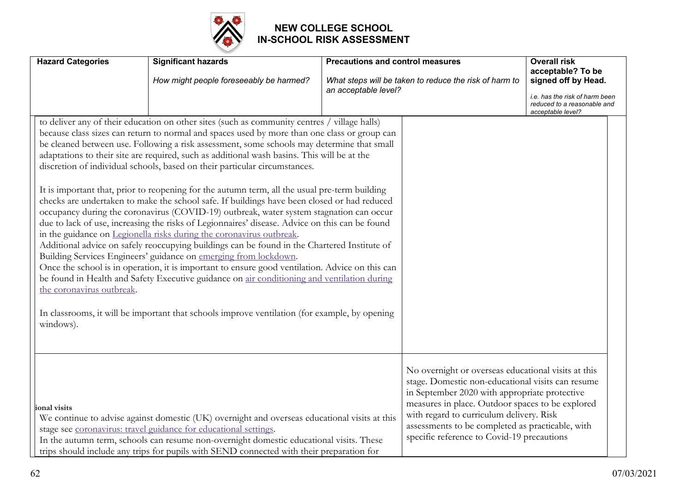

| <b>Hazard Categories</b>               | <b>Significant hazards</b><br>How might people foreseeably be harmed?                                                                                                                                                                                                                                                                                                                                                                                                                                                                                                                                                                                                                                                                                                                                                                                                                                                                                                                                                                                                                                                                                                                                                                                                                                                                                                                                               | <b>Precautions and control measures</b><br>an acceptable level? | What steps will be taken to reduce the risk of harm to                                                                                                                                                                                                                                                                                                      | <b>Overall risk</b><br>acceptable? To be<br>signed off by Head.<br>i.e. has the risk of harm been<br>reduced to a reasonable and<br>acceptable level? |
|----------------------------------------|---------------------------------------------------------------------------------------------------------------------------------------------------------------------------------------------------------------------------------------------------------------------------------------------------------------------------------------------------------------------------------------------------------------------------------------------------------------------------------------------------------------------------------------------------------------------------------------------------------------------------------------------------------------------------------------------------------------------------------------------------------------------------------------------------------------------------------------------------------------------------------------------------------------------------------------------------------------------------------------------------------------------------------------------------------------------------------------------------------------------------------------------------------------------------------------------------------------------------------------------------------------------------------------------------------------------------------------------------------------------------------------------------------------------|-----------------------------------------------------------------|-------------------------------------------------------------------------------------------------------------------------------------------------------------------------------------------------------------------------------------------------------------------------------------------------------------------------------------------------------------|-------------------------------------------------------------------------------------------------------------------------------------------------------|
| the coronavirus outbreak.<br>windows). | to deliver any of their education on other sites (such as community centres / village halls)<br>because class sizes can return to normal and spaces used by more than one class or group can<br>be cleaned between use. Following a risk assessment, some schools may determine that small<br>adaptations to their site are required, such as additional wash basins. This will be at the<br>discretion of individual schools, based on their particular circumstances.<br>It is important that, prior to reopening for the autumn term, all the usual pre-term building<br>checks are undertaken to make the school safe. If buildings have been closed or had reduced<br>occupancy during the coronavirus (COVID-19) outbreak, water system stagnation can occur<br>due to lack of use, increasing the risks of Legionnaires' disease. Advice on this can be found<br>in the guidance on Legionella risks during the coronavirus outbreak.<br>Additional advice on safely reoccupying buildings can be found in the Chartered Institute of<br>Building Services Engineers' guidance on emerging from lockdown.<br>Once the school is in operation, it is important to ensure good ventilation. Advice on this can<br>be found in Health and Safety Executive guidance on air conditioning and ventilation during<br>In classrooms, it will be important that schools improve ventilation (for example, by opening |                                                                 |                                                                                                                                                                                                                                                                                                                                                             |                                                                                                                                                       |
| ional visits                           | We continue to advise against domestic (UK) overnight and overseas educational visits at this<br>stage see coronavirus: travel guidance for educational settings.<br>In the autumn term, schools can resume non-overnight domestic educational visits. These<br>trips should include any trips for pupils with SEND connected with their preparation for                                                                                                                                                                                                                                                                                                                                                                                                                                                                                                                                                                                                                                                                                                                                                                                                                                                                                                                                                                                                                                                            |                                                                 | No overnight or overseas educational visits at this<br>stage. Domestic non-educational visits can resume<br>in September 2020 with appropriate protective<br>measures in place. Outdoor spaces to be explored<br>with regard to curriculum delivery. Risk<br>assessments to be completed as practicable, with<br>specific reference to Covid-19 precautions |                                                                                                                                                       |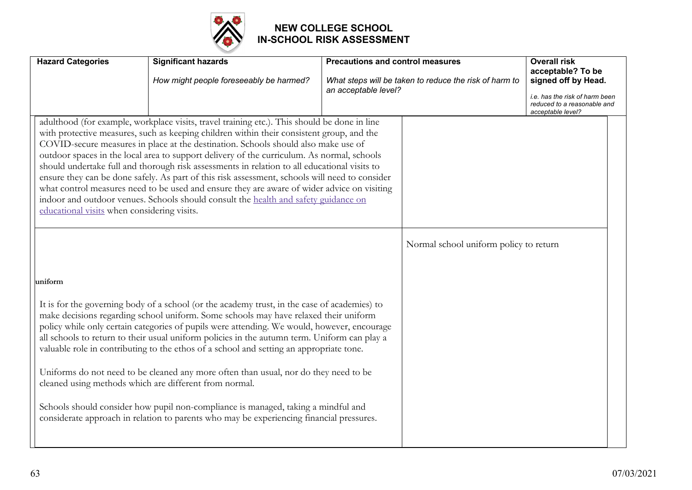

| <b>Hazard Categories</b>                    | <b>Significant hazards</b><br>How might people foreseeably be harmed?                                                                                                                                                                                                                                                                                                                                                                                                                                                                                                                                                                                                                                                                                                                                             | <b>Precautions and control measures</b><br>an acceptable level? | What steps will be taken to reduce the risk of harm to | <b>Overall risk</b><br>acceptable? To be<br>signed off by Head.<br>i.e. has the risk of harm been<br>reduced to a reasonable and<br>acceptable level? |
|---------------------------------------------|-------------------------------------------------------------------------------------------------------------------------------------------------------------------------------------------------------------------------------------------------------------------------------------------------------------------------------------------------------------------------------------------------------------------------------------------------------------------------------------------------------------------------------------------------------------------------------------------------------------------------------------------------------------------------------------------------------------------------------------------------------------------------------------------------------------------|-----------------------------------------------------------------|--------------------------------------------------------|-------------------------------------------------------------------------------------------------------------------------------------------------------|
| educational visits when considering visits. | adulthood (for example, workplace visits, travel training etc.). This should be done in line<br>with protective measures, such as keeping children within their consistent group, and the<br>COVID-secure measures in place at the destination. Schools should also make use of<br>outdoor spaces in the local area to support delivery of the curriculum. As normal, schools<br>should undertake full and thorough risk assessments in relation to all educational visits to<br>ensure they can be done safely. As part of this risk assessment, schools will need to consider<br>what control measures need to be used and ensure they are aware of wider advice on visiting<br>indoor and outdoor venues. Schools should consult the health and safety guidance on                                             |                                                                 |                                                        |                                                                                                                                                       |
| uniform                                     |                                                                                                                                                                                                                                                                                                                                                                                                                                                                                                                                                                                                                                                                                                                                                                                                                   |                                                                 | Normal school uniform policy to return                 |                                                                                                                                                       |
|                                             | It is for the governing body of a school (or the academy trust, in the case of academies) to<br>make decisions regarding school uniform. Some schools may have relaxed their uniform<br>policy while only certain categories of pupils were attending. We would, however, encourage<br>all schools to return to their usual uniform policies in the autumn term. Uniform can play a<br>valuable role in contributing to the ethos of a school and setting an appropriate tone.<br>Uniforms do not need to be cleaned any more often than usual, nor do they need to be<br>cleaned using methods which are different from normal.<br>Schools should consider how pupil non-compliance is managed, taking a mindful and<br>considerate approach in relation to parents who may be experiencing financial pressures. |                                                                 |                                                        |                                                                                                                                                       |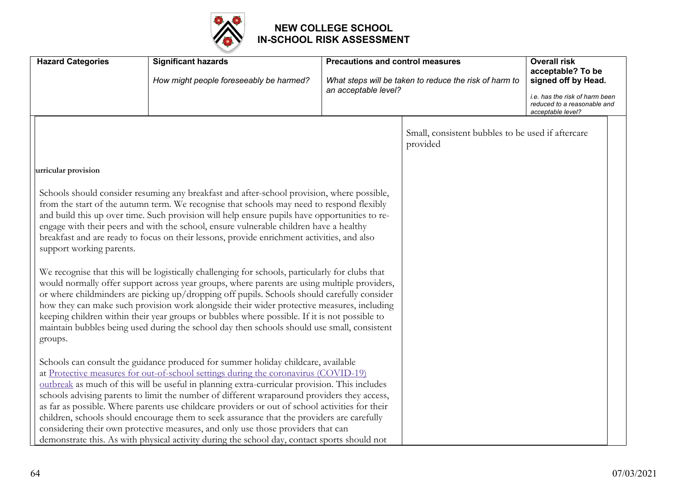

| <b>Hazard Categories</b> | <b>Significant hazards</b>                                                                                                                                                                       | <b>Precautions and control measures</b> |                                                               | <b>Overall risk</b><br>acceptable? To be                                           |
|--------------------------|--------------------------------------------------------------------------------------------------------------------------------------------------------------------------------------------------|-----------------------------------------|---------------------------------------------------------------|------------------------------------------------------------------------------------|
|                          | How might people foreseeably be harmed?                                                                                                                                                          |                                         | What steps will be taken to reduce the risk of harm to        | signed off by Head.                                                                |
|                          |                                                                                                                                                                                                  | an acceptable level?                    |                                                               | i.e. has the risk of harm been<br>reduced to a reasonable and<br>acceptable level? |
|                          |                                                                                                                                                                                                  |                                         | Small, consistent bubbles to be used if aftercare<br>provided |                                                                                    |
| urricular provision      |                                                                                                                                                                                                  |                                         |                                                               |                                                                                    |
|                          | Schools should consider resuming any breakfast and after-school provision, where possible,<br>from the start of the autumn term. We recognise that schools may need to respond flexibly          |                                         |                                                               |                                                                                    |
|                          | and build this up over time. Such provision will help ensure pupils have opportunities to re-<br>engage with their peers and with the school, ensure vulnerable children have a healthy          |                                         |                                                               |                                                                                    |
|                          | breakfast and are ready to focus on their lessons, provide enrichment activities, and also                                                                                                       |                                         |                                                               |                                                                                    |
| support working parents. |                                                                                                                                                                                                  |                                         |                                                               |                                                                                    |
|                          | We recognise that this will be logistically challenging for schools, particularly for clubs that<br>would normally offer support across year groups, where parents are using multiple providers, |                                         |                                                               |                                                                                    |
|                          | or where childminders are picking up/dropping off pupils. Schools should carefully consider                                                                                                      |                                         |                                                               |                                                                                    |
|                          | how they can make such provision work alongside their wider protective measures, including<br>keeping children within their year groups or bubbles where possible. If it is not possible to      |                                         |                                                               |                                                                                    |
| groups.                  | maintain bubbles being used during the school day then schools should use small, consistent                                                                                                      |                                         |                                                               |                                                                                    |
|                          |                                                                                                                                                                                                  |                                         |                                                               |                                                                                    |
|                          | Schools can consult the guidance produced for summer holiday childcare, available<br>at Protective measures for out-of-school settings during the coronavirus (COVID-19)                         |                                         |                                                               |                                                                                    |
|                          | outbreak as much of this will be useful in planning extra-curricular provision. This includes                                                                                                    |                                         |                                                               |                                                                                    |
|                          | schools advising parents to limit the number of different wraparound providers they access,<br>as far as possible. Where parents use childcare providers or out of school activities for their   |                                         |                                                               |                                                                                    |
|                          | children, schools should encourage them to seek assurance that the providers are carefully                                                                                                       |                                         |                                                               |                                                                                    |
|                          | considering their own protective measures, and only use those providers that can                                                                                                                 |                                         |                                                               |                                                                                    |
|                          | demonstrate this. As with physical activity during the school day, contact sports should not                                                                                                     |                                         |                                                               |                                                                                    |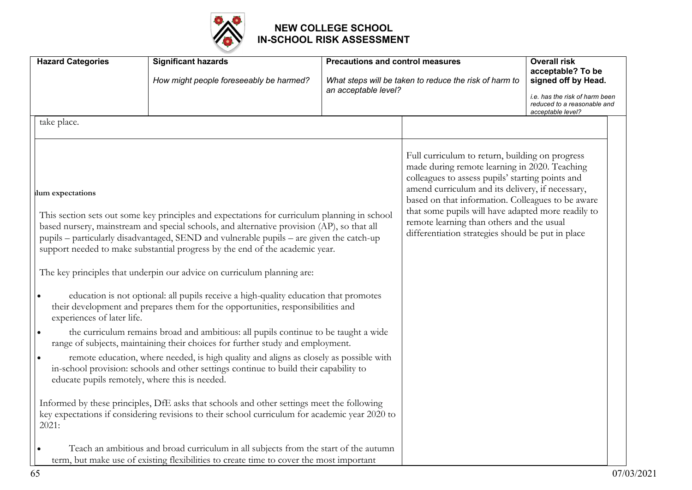

| <b>Hazard Categories</b>                       | <b>Significant hazards</b>                                                                                                                                                                                                                                                                                                                                                                                                                                                                                                                                                                                                   | <b>Precautions and control measures</b> |                                                                                                                                                                                                                                                                                                                                                                                                                       | <b>Overall risk</b><br>acceptable? To be                                                                  |  |
|------------------------------------------------|------------------------------------------------------------------------------------------------------------------------------------------------------------------------------------------------------------------------------------------------------------------------------------------------------------------------------------------------------------------------------------------------------------------------------------------------------------------------------------------------------------------------------------------------------------------------------------------------------------------------------|-----------------------------------------|-----------------------------------------------------------------------------------------------------------------------------------------------------------------------------------------------------------------------------------------------------------------------------------------------------------------------------------------------------------------------------------------------------------------------|-----------------------------------------------------------------------------------------------------------|--|
|                                                | How might people foreseeably be harmed?                                                                                                                                                                                                                                                                                                                                                                                                                                                                                                                                                                                      | an acceptable level?                    | What steps will be taken to reduce the risk of harm to                                                                                                                                                                                                                                                                                                                                                                | signed off by Head.<br>i.e. has the risk of harm been<br>reduced to a reasonable and<br>acceptable level? |  |
| take place.                                    |                                                                                                                                                                                                                                                                                                                                                                                                                                                                                                                                                                                                                              |                                         |                                                                                                                                                                                                                                                                                                                                                                                                                       |                                                                                                           |  |
| lum expectations<br>experiences of later life. | This section sets out some key principles and expectations for curriculum planning in school<br>based nursery, mainstream and special schools, and alternative provision (AP), so that all<br>pupils – particularly disadvantaged, SEND and vulnerable pupils – are given the catch-up<br>support needed to make substantial progress by the end of the academic year.<br>The key principles that underpin our advice on curriculum planning are:<br>education is not optional: all pupils receive a high-quality education that promotes<br>their development and prepares them for the opportunities, responsibilities and |                                         | Full curriculum to return, building on progress<br>made during remote learning in 2020. Teaching<br>colleagues to assess pupils' starting points and<br>amend curriculum and its delivery, if necessary,<br>based on that information. Colleagues to be aware<br>that some pupils will have adapted more readily to<br>remote learning than others and the usual<br>differentiation strategies should be put in place |                                                                                                           |  |
| $\bullet$                                      | the curriculum remains broad and ambitious: all pupils continue to be taught a wide<br>range of subjects, maintaining their choices for further study and employment.                                                                                                                                                                                                                                                                                                                                                                                                                                                        |                                         |                                                                                                                                                                                                                                                                                                                                                                                                                       |                                                                                                           |  |
|                                                | remote education, where needed, is high quality and aligns as closely as possible with<br>in-school provision: schools and other settings continue to build their capability to<br>educate pupils remotely, where this is needed.                                                                                                                                                                                                                                                                                                                                                                                            |                                         |                                                                                                                                                                                                                                                                                                                                                                                                                       |                                                                                                           |  |
| 2021:                                          | Informed by these principles, DfE asks that schools and other settings meet the following<br>key expectations if considering revisions to their school curriculum for academic year 2020 to                                                                                                                                                                                                                                                                                                                                                                                                                                  |                                         |                                                                                                                                                                                                                                                                                                                                                                                                                       |                                                                                                           |  |
|                                                | Teach an ambitious and broad curriculum in all subjects from the start of the autumn<br>term, but make use of existing flexibilities to create time to cover the most important                                                                                                                                                                                                                                                                                                                                                                                                                                              |                                         |                                                                                                                                                                                                                                                                                                                                                                                                                       |                                                                                                           |  |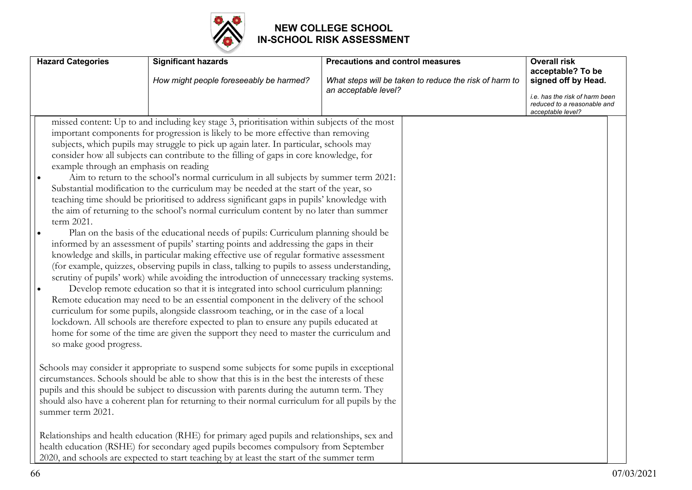

| <b>Hazard Categories</b>                                                       | <b>Significant hazards</b><br>How might people foreseeably be harmed?                                                                                                                                                                                                                                                                                                                                                                                                                                                                                                                                                                                                                                                                                                                                                                                                                                                                                                                                                                                                                                                                                                                                                                                                                                                                                                                                                                                                                                                                                                                                                                                                          | <b>Precautions and control measures</b><br>What steps will be taken to reduce the risk of harm to<br>an acceptable level? | <b>Overall risk</b><br>acceptable? To be<br>signed off by Head.<br><i>i.e.</i> has the risk of harm been<br>reduced to a reasonable and<br>acceptable level? |
|--------------------------------------------------------------------------------|--------------------------------------------------------------------------------------------------------------------------------------------------------------------------------------------------------------------------------------------------------------------------------------------------------------------------------------------------------------------------------------------------------------------------------------------------------------------------------------------------------------------------------------------------------------------------------------------------------------------------------------------------------------------------------------------------------------------------------------------------------------------------------------------------------------------------------------------------------------------------------------------------------------------------------------------------------------------------------------------------------------------------------------------------------------------------------------------------------------------------------------------------------------------------------------------------------------------------------------------------------------------------------------------------------------------------------------------------------------------------------------------------------------------------------------------------------------------------------------------------------------------------------------------------------------------------------------------------------------------------------------------------------------------------------|---------------------------------------------------------------------------------------------------------------------------|--------------------------------------------------------------------------------------------------------------------------------------------------------------|
| example through an emphasis on reading<br>term 2021.<br>so make good progress. | missed content: Up to and including key stage 3, prioritisation within subjects of the most<br>important components for progression is likely to be more effective than removing<br>subjects, which pupils may struggle to pick up again later. In particular, schools may<br>consider how all subjects can contribute to the filling of gaps in core knowledge, for<br>Aim to return to the school's normal curriculum in all subjects by summer term 2021:<br>Substantial modification to the curriculum may be needed at the start of the year, so<br>teaching time should be prioritised to address significant gaps in pupils' knowledge with<br>the aim of returning to the school's normal curriculum content by no later than summer<br>Plan on the basis of the educational needs of pupils: Curriculum planning should be<br>informed by an assessment of pupils' starting points and addressing the gaps in their<br>knowledge and skills, in particular making effective use of regular formative assessment<br>(for example, quizzes, observing pupils in class, talking to pupils to assess understanding,<br>scrutiny of pupils' work) while avoiding the introduction of unnecessary tracking systems.<br>Develop remote education so that it is integrated into school curriculum planning:<br>Remote education may need to be an essential component in the delivery of the school<br>curriculum for some pupils, alongside classroom teaching, or in the case of a local<br>lockdown. All schools are therefore expected to plan to ensure any pupils educated at<br>home for some of the time are given the support they need to master the curriculum and |                                                                                                                           |                                                                                                                                                              |
| summer term 2021.                                                              | Schools may consider it appropriate to suspend some subjects for some pupils in exceptional<br>circumstances. Schools should be able to show that this is in the best the interests of these<br>pupils and this should be subject to discussion with parents during the autumn term. They<br>should also have a coherent plan for returning to their normal curriculum for all pupils by the<br>Relationships and health education (RHE) for primary aged pupils and relationships, sex and<br>health education (RSHE) for secondary aged pupils becomes compulsory from September<br>2020, and schools are expected to start teaching by at least the start of the summer term                                                                                                                                                                                                                                                                                                                                                                                                                                                                                                                                                                                                                                                                                                                                                                                                                                                                                                                                                                                                |                                                                                                                           |                                                                                                                                                              |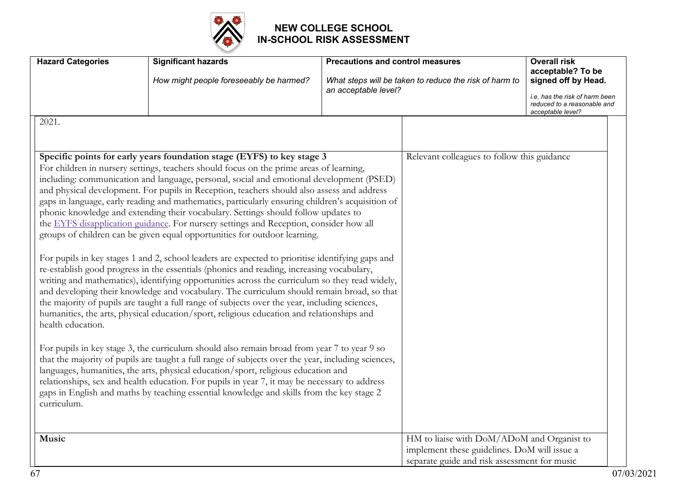

| <b>Hazard Categories</b>                  | <b>Significant hazards</b><br>How might people foreseeably be harmed?                                                                                                                                                                                                                                                                                                                                                                                                                                                                                                                                                                                                                                                                                                                                                                                                                                                                                                                                                                                                                                                                                                                                                                                                                                                                                                                                                                                                                                                                                                                                                                                                                                                                                                                                                | <b>Precautions and control measures</b><br>an acceptable level? | What steps will be taken to reduce the risk of harm to                                                                                     | <b>Overall risk</b><br>acceptable? To be<br>signed off by Head.<br>i.e. has the risk of harm been<br>reduced to a reasonable and<br>acceptable level? |
|-------------------------------------------|----------------------------------------------------------------------------------------------------------------------------------------------------------------------------------------------------------------------------------------------------------------------------------------------------------------------------------------------------------------------------------------------------------------------------------------------------------------------------------------------------------------------------------------------------------------------------------------------------------------------------------------------------------------------------------------------------------------------------------------------------------------------------------------------------------------------------------------------------------------------------------------------------------------------------------------------------------------------------------------------------------------------------------------------------------------------------------------------------------------------------------------------------------------------------------------------------------------------------------------------------------------------------------------------------------------------------------------------------------------------------------------------------------------------------------------------------------------------------------------------------------------------------------------------------------------------------------------------------------------------------------------------------------------------------------------------------------------------------------------------------------------------------------------------------------------------|-----------------------------------------------------------------|--------------------------------------------------------------------------------------------------------------------------------------------|-------------------------------------------------------------------------------------------------------------------------------------------------------|
| 2021.<br>health education.<br>curriculum. | Specific points for early years foundation stage (EYFS) to key stage 3<br>For children in nursery settings, teachers should focus on the prime areas of learning,<br>including: communication and language, personal, social and emotional development (PSED)<br>and physical development. For pupils in Reception, teachers should also assess and address<br>gaps in language, early reading and mathematics, particularly ensuring children's acquisition of<br>phonic knowledge and extending their vocabulary. Settings should follow updates to<br>the EYFS disapplication guidance. For nursery settings and Reception, consider how all<br>groups of children can be given equal opportunities for outdoor learning.<br>For pupils in key stages 1 and 2, school leaders are expected to prioritise identifying gaps and<br>re-establish good progress in the essentials (phonics and reading, increasing vocabulary,<br>writing and mathematics), identifying opportunities across the curriculum so they read widely,<br>and developing their knowledge and vocabulary. The curriculum should remain broad, so that<br>the majority of pupils are taught a full range of subjects over the year, including sciences,<br>humanities, the arts, physical education/sport, religious education and relationships and<br>For pupils in key stage 3, the curriculum should also remain broad from year 7 to year 9 so<br>that the majority of pupils are taught a full range of subjects over the year, including sciences,<br>languages, humanities, the arts, physical education/sport, religious education and<br>relationships, sex and health education. For pupils in year 7, it may be necessary to address<br>gaps in English and maths by teaching essential knowledge and skills from the key stage 2 |                                                                 | Relevant colleagues to follow this guidance                                                                                                |                                                                                                                                                       |
| Music                                     |                                                                                                                                                                                                                                                                                                                                                                                                                                                                                                                                                                                                                                                                                                                                                                                                                                                                                                                                                                                                                                                                                                                                                                                                                                                                                                                                                                                                                                                                                                                                                                                                                                                                                                                                                                                                                      |                                                                 | HM to liaise with DoM/ADoM and Organist to<br>implement these guidelines. DoM will issue a<br>separate guide and risk assessment for music |                                                                                                                                                       |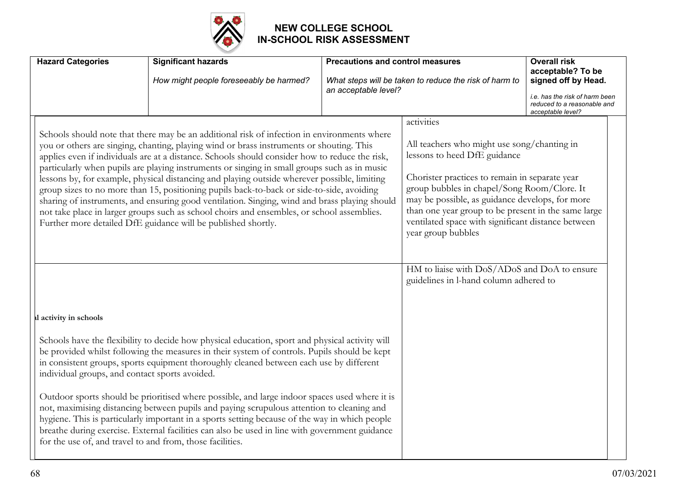

| <b>Hazard Categories</b>                       | <b>Significant hazards</b><br>How might people foreseeably be harmed?                                                                                                                                                                                                                                                                                                                                                                                                                                                                                                                                                                                                                                                                                                                                                                                  | <b>Precautions and control measures</b><br>an acceptable level?                                                                                                                                                                                                                                                                                                                  | What steps will be taken to reduce the risk of harm to                                 | <b>Overall risk</b><br>acceptable? To be<br>signed off by Head.<br>i.e. has the risk of harm been<br>reduced to a reasonable and<br>acceptable level? |  |
|------------------------------------------------|--------------------------------------------------------------------------------------------------------------------------------------------------------------------------------------------------------------------------------------------------------------------------------------------------------------------------------------------------------------------------------------------------------------------------------------------------------------------------------------------------------------------------------------------------------------------------------------------------------------------------------------------------------------------------------------------------------------------------------------------------------------------------------------------------------------------------------------------------------|----------------------------------------------------------------------------------------------------------------------------------------------------------------------------------------------------------------------------------------------------------------------------------------------------------------------------------------------------------------------------------|----------------------------------------------------------------------------------------|-------------------------------------------------------------------------------------------------------------------------------------------------------|--|
|                                                | Schools should note that there may be an additional risk of infection in environments where<br>you or others are singing, chanting, playing wind or brass instruments or shouting. This<br>applies even if individuals are at a distance. Schools should consider how to reduce the risk,<br>particularly when pupils are playing instruments or singing in small groups such as in music<br>lessons by, for example, physical distancing and playing outside wherever possible, limiting<br>group sizes to no more than 15, positioning pupils back-to-back or side-to-side, avoiding<br>sharing of instruments, and ensuring good ventilation. Singing, wind and brass playing should<br>not take place in larger groups such as school choirs and ensembles, or school assemblies.<br>Further more detailed DfE guidance will be published shortly. | activities<br>All teachers who might use song/chanting in<br>lessons to heed DfE guidance<br>Chorister practices to remain in separate year<br>group bubbles in chapel/Song Room/Clore. It<br>may be possible, as guidance develops, for more<br>than one year group to be present in the same large<br>ventilated space with significant distance between<br>year group bubbles |                                                                                        |                                                                                                                                                       |  |
|                                                |                                                                                                                                                                                                                                                                                                                                                                                                                                                                                                                                                                                                                                                                                                                                                                                                                                                        |                                                                                                                                                                                                                                                                                                                                                                                  | HM to liaise with DoS/ADoS and DoA to ensure<br>guidelines in l-hand column adhered to |                                                                                                                                                       |  |
| al activity in schools                         |                                                                                                                                                                                                                                                                                                                                                                                                                                                                                                                                                                                                                                                                                                                                                                                                                                                        |                                                                                                                                                                                                                                                                                                                                                                                  |                                                                                        |                                                                                                                                                       |  |
| individual groups, and contact sports avoided. | Schools have the flexibility to decide how physical education, sport and physical activity will<br>be provided whilst following the measures in their system of controls. Pupils should be kept<br>in consistent groups, sports equipment thoroughly cleaned between each use by different                                                                                                                                                                                                                                                                                                                                                                                                                                                                                                                                                             |                                                                                                                                                                                                                                                                                                                                                                                  |                                                                                        |                                                                                                                                                       |  |
|                                                | Outdoor sports should be prioritised where possible, and large indoor spaces used where it is<br>not, maximising distancing between pupils and paying scrupulous attention to cleaning and<br>hygiene. This is particularly important in a sports setting because of the way in which people<br>breathe during exercise. External facilities can also be used in line with government guidance<br>for the use of, and travel to and from, those facilities.                                                                                                                                                                                                                                                                                                                                                                                            |                                                                                                                                                                                                                                                                                                                                                                                  |                                                                                        |                                                                                                                                                       |  |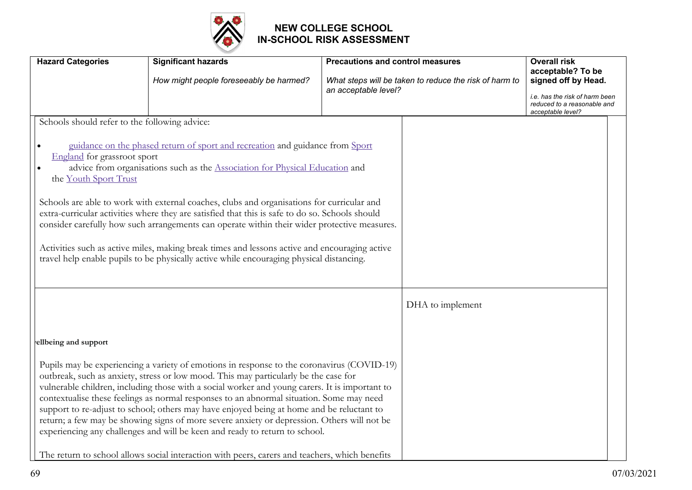

| <b>Hazard Categories</b>                                                                              | <b>Significant hazards</b>                                                                                                                                                                                                                                                                                                                                                                                                                                                                                                                                                                                                                                  | <b>Precautions and control measures</b>                                        |                  | <b>Overall risk</b><br>acceptable? To be                                                                  |  |
|-------------------------------------------------------------------------------------------------------|-------------------------------------------------------------------------------------------------------------------------------------------------------------------------------------------------------------------------------------------------------------------------------------------------------------------------------------------------------------------------------------------------------------------------------------------------------------------------------------------------------------------------------------------------------------------------------------------------------------------------------------------------------------|--------------------------------------------------------------------------------|------------------|-----------------------------------------------------------------------------------------------------------|--|
|                                                                                                       | How might people foreseeably be harmed?                                                                                                                                                                                                                                                                                                                                                                                                                                                                                                                                                                                                                     | What steps will be taken to reduce the risk of harm to<br>an acceptable level? |                  | signed off by Head.<br>i.e. has the risk of harm been<br>reduced to a reasonable and<br>acceptable level? |  |
| Schools should refer to the following advice:<br>England for grassroot sport<br>the Youth Sport Trust | guidance on the phased return of sport and recreation and guidance from Sport<br>advice from organisations such as the Association for Physical Education and<br>Schools are able to work with external coaches, clubs and organisations for curricular and<br>extra-curricular activities where they are satisfied that this is safe to do so. Schools should<br>consider carefully how such arrangements can operate within their wider protective measures.<br>Activities such as active miles, making break times and lessons active and encouraging active<br>travel help enable pupils to be physically active while encouraging physical distancing. |                                                                                |                  |                                                                                                           |  |
| ellbeing and support                                                                                  | Pupils may be experiencing a variety of emotions in response to the coronavirus (COVID-19)                                                                                                                                                                                                                                                                                                                                                                                                                                                                                                                                                                  |                                                                                | DHA to implement |                                                                                                           |  |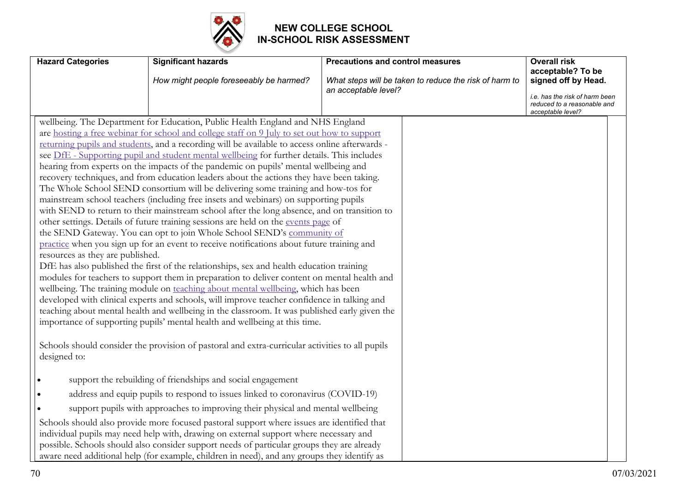

| <b>Hazard Categories</b>                         | <b>Significant hazards</b>                                                                                                                                                                                                                                                                                                                                                                                                                                                                                                                                                                                                                                                                                                                                                                                                                                                                                                                                                                                                                                                                                                                                                                                                                                                                                                                                                                                                                                                                                                                                                                                                                                                                                                                                                 | <b>Precautions and control measures</b>                                        | <b>Overall risk</b>                                                                                                            |
|--------------------------------------------------|----------------------------------------------------------------------------------------------------------------------------------------------------------------------------------------------------------------------------------------------------------------------------------------------------------------------------------------------------------------------------------------------------------------------------------------------------------------------------------------------------------------------------------------------------------------------------------------------------------------------------------------------------------------------------------------------------------------------------------------------------------------------------------------------------------------------------------------------------------------------------------------------------------------------------------------------------------------------------------------------------------------------------------------------------------------------------------------------------------------------------------------------------------------------------------------------------------------------------------------------------------------------------------------------------------------------------------------------------------------------------------------------------------------------------------------------------------------------------------------------------------------------------------------------------------------------------------------------------------------------------------------------------------------------------------------------------------------------------------------------------------------------------|--------------------------------------------------------------------------------|--------------------------------------------------------------------------------------------------------------------------------|
|                                                  | How might people foreseeably be harmed?                                                                                                                                                                                                                                                                                                                                                                                                                                                                                                                                                                                                                                                                                                                                                                                                                                                                                                                                                                                                                                                                                                                                                                                                                                                                                                                                                                                                                                                                                                                                                                                                                                                                                                                                    | What steps will be taken to reduce the risk of harm to<br>an acceptable level? | acceptable? To be<br>signed off by Head.<br>i.e. has the risk of harm been<br>reduced to a reasonable and<br>acceptable level? |
| resources as they are published.<br>designed to: | wellbeing. The Department for Education, Public Health England and NHS England<br>are hosting a free webinar for school and college staff on 9 July to set out how to support<br>returning pupils and students, and a recording will be available to access online afterwards -<br>see DfE - Supporting pupil and student mental wellbeing for further details. This includes<br>hearing from experts on the impacts of the pandemic on pupils' mental wellbeing and<br>recovery techniques, and from education leaders about the actions they have been taking.<br>The Whole School SEND consortium will be delivering some training and how-tos for<br>mainstream school teachers (including free insets and webinars) on supporting pupils<br>with SEND to return to their mainstream school after the long absence, and on transition to<br>other settings. Details of future training sessions are held on the events page of<br>the SEND Gateway. You can opt to join Whole School SEND's community of<br>practice when you sign up for an event to receive notifications about future training and<br>DfE has also published the first of the relationships, sex and health education training<br>modules for teachers to support them in preparation to deliver content on mental health and<br>wellbeing. The training module on teaching about mental wellbeing, which has been<br>developed with clinical experts and schools, will improve teacher confidence in talking and<br>teaching about mental health and wellbeing in the classroom. It was published early given the<br>importance of supporting pupils' mental health and wellbeing at this time.<br>Schools should consider the provision of pastoral and extra-curricular activities to all pupils |                                                                                |                                                                                                                                |
|                                                  | support the rebuilding of friendships and social engagement<br>address and equip pupils to respond to issues linked to coronavirus (COVID-19)                                                                                                                                                                                                                                                                                                                                                                                                                                                                                                                                                                                                                                                                                                                                                                                                                                                                                                                                                                                                                                                                                                                                                                                                                                                                                                                                                                                                                                                                                                                                                                                                                              |                                                                                |                                                                                                                                |
|                                                  | support pupils with approaches to improving their physical and mental wellbeing                                                                                                                                                                                                                                                                                                                                                                                                                                                                                                                                                                                                                                                                                                                                                                                                                                                                                                                                                                                                                                                                                                                                                                                                                                                                                                                                                                                                                                                                                                                                                                                                                                                                                            |                                                                                |                                                                                                                                |
|                                                  | Schools should also provide more focused pastoral support where issues are identified that<br>individual pupils may need help with, drawing on external support where necessary and<br>possible. Schools should also consider support needs of particular groups they are already<br>aware need additional help (for example, children in need), and any groups they identify as                                                                                                                                                                                                                                                                                                                                                                                                                                                                                                                                                                                                                                                                                                                                                                                                                                                                                                                                                                                                                                                                                                                                                                                                                                                                                                                                                                                           |                                                                                |                                                                                                                                |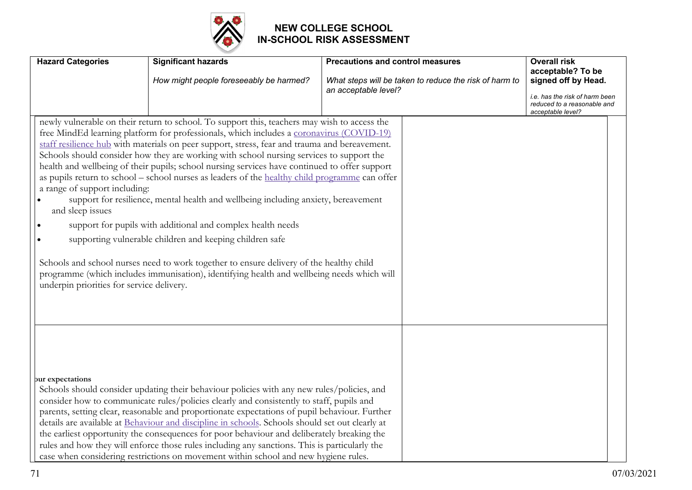

| <b>Hazard Categories</b>                                                                       | <b>Significant hazards</b>                                                                                                                                                                                                                                                                                                                                                                                                                                                                                                                                                                                                                                                                                                                                                                                                                                                                                                                                                                         | <b>Precautions and control measures</b>                                        | <b>Overall risk</b><br>acceptable? To be<br>signed off by Head.                    |
|------------------------------------------------------------------------------------------------|----------------------------------------------------------------------------------------------------------------------------------------------------------------------------------------------------------------------------------------------------------------------------------------------------------------------------------------------------------------------------------------------------------------------------------------------------------------------------------------------------------------------------------------------------------------------------------------------------------------------------------------------------------------------------------------------------------------------------------------------------------------------------------------------------------------------------------------------------------------------------------------------------------------------------------------------------------------------------------------------------|--------------------------------------------------------------------------------|------------------------------------------------------------------------------------|
|                                                                                                | How might people foreseeably be harmed?                                                                                                                                                                                                                                                                                                                                                                                                                                                                                                                                                                                                                                                                                                                                                                                                                                                                                                                                                            | What steps will be taken to reduce the risk of harm to<br>an acceptable level? | i.e. has the risk of harm been<br>reduced to a reasonable and<br>acceptable level? |
| a range of support including:<br>and sleep issues<br>underpin priorities for service delivery. | newly vulnerable on their return to school. To support this, teachers may wish to access the<br>free MindEd learning platform for professionals, which includes a coronavirus (COVID-19)<br>staff resilience hub with materials on peer support, stress, fear and trauma and bereavement.<br>Schools should consider how they are working with school nursing services to support the<br>health and wellbeing of their pupils; school nursing services have continued to offer support<br>as pupils return to school – school nurses as leaders of the healthy child programme can offer<br>support for resilience, mental health and wellbeing including anxiety, bereavement<br>support for pupils with additional and complex health needs<br>supporting vulnerable children and keeping children safe<br>Schools and school nurses need to work together to ensure delivery of the healthy child<br>programme (which includes immunisation), identifying health and wellbeing needs which will |                                                                                |                                                                                    |
| pur expectations                                                                               | Schools should consider updating their behaviour policies with any new rules/policies, and<br>consider how to communicate rules/policies clearly and consistently to staff, pupils and<br>parents, setting clear, reasonable and proportionate expectations of pupil behaviour. Further<br>details are available at Behaviour and discipline in schools. Schools should set out clearly at<br>the earliest opportunity the consequences for poor behaviour and deliberately breaking the<br>rules and how they will enforce those rules including any sanctions. This is particularly the<br>case when considering restrictions on movement within school and new hygiene rules.                                                                                                                                                                                                                                                                                                                   |                                                                                |                                                                                    |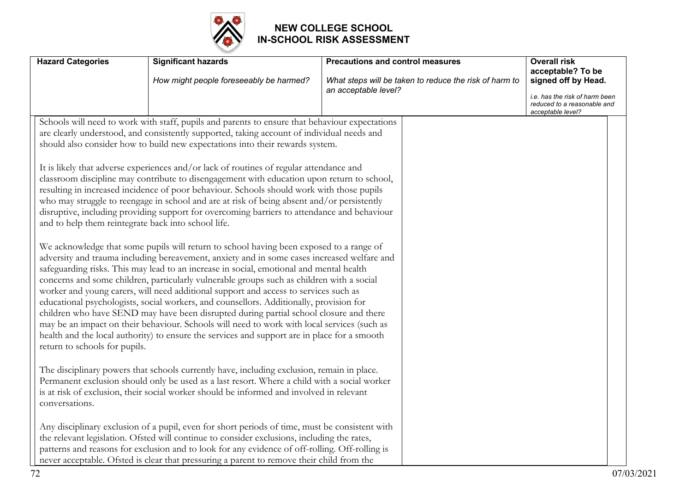

|                                                                                                                                                                                                                                                                                                                                                                                                                                                                                                                                                                                                                                                                                                                                                                                                                                                                                                                                                                                                                                                                                                                                                                                                                                                                                                                                                                                                                                       | How might people foreseeably be harmed? | What steps will be taken to reduce the risk of harm to<br>an acceptable level? | acceptable? To be<br>signed off by Head.<br>i.e. has the risk of harm been<br>reduced to a reasonable and<br>acceptable level? |
|---------------------------------------------------------------------------------------------------------------------------------------------------------------------------------------------------------------------------------------------------------------------------------------------------------------------------------------------------------------------------------------------------------------------------------------------------------------------------------------------------------------------------------------------------------------------------------------------------------------------------------------------------------------------------------------------------------------------------------------------------------------------------------------------------------------------------------------------------------------------------------------------------------------------------------------------------------------------------------------------------------------------------------------------------------------------------------------------------------------------------------------------------------------------------------------------------------------------------------------------------------------------------------------------------------------------------------------------------------------------------------------------------------------------------------------|-----------------------------------------|--------------------------------------------------------------------------------|--------------------------------------------------------------------------------------------------------------------------------|
| Schools will need to work with staff, pupils and parents to ensure that behaviour expectations<br>are clearly understood, and consistently supported, taking account of individual needs and<br>should also consider how to build new expectations into their rewards system.                                                                                                                                                                                                                                                                                                                                                                                                                                                                                                                                                                                                                                                                                                                                                                                                                                                                                                                                                                                                                                                                                                                                                         |                                         |                                                                                |                                                                                                                                |
| It is likely that adverse experiences and/or lack of routines of regular attendance and<br>classroom discipline may contribute to disengagement with education upon return to school,<br>resulting in increased incidence of poor behaviour. Schools should work with those pupils<br>who may struggle to reengage in school and are at risk of being absent and/or persistently<br>disruptive, including providing support for overcoming barriers to attendance and behaviour<br>and to help them reintegrate back into school life.<br>We acknowledge that some pupils will return to school having been exposed to a range of<br>adversity and trauma including bereavement, anxiety and in some cases increased welfare and<br>safeguarding risks. This may lead to an increase in social, emotional and mental health<br>concerns and some children, particularly vulnerable groups such as children with a social<br>worker and young carers, will need additional support and access to services such as<br>educational psychologists, social workers, and counsellors. Additionally, provision for<br>children who have SEND may have been disrupted during partial school closure and there<br>may be an impact on their behaviour. Schools will need to work with local services (such as<br>health and the local authority) to ensure the services and support are in place for a smooth<br>return to schools for pupils. |                                         |                                                                                |                                                                                                                                |
| The disciplinary powers that schools currently have, including exclusion, remain in place.<br>Permanent exclusion should only be used as a last resort. Where a child with a social worker<br>is at risk of exclusion, their social worker should be informed and involved in relevant<br>conversations.                                                                                                                                                                                                                                                                                                                                                                                                                                                                                                                                                                                                                                                                                                                                                                                                                                                                                                                                                                                                                                                                                                                              |                                         |                                                                                |                                                                                                                                |
| Any disciplinary exclusion of a pupil, even for short periods of time, must be consistent with<br>the relevant legislation. Ofsted will continue to consider exclusions, including the rates,<br>patterns and reasons for exclusion and to look for any evidence of off-rolling. Off-rolling is<br>never acceptable. Ofsted is clear that pressuring a parent to remove their child from the                                                                                                                                                                                                                                                                                                                                                                                                                                                                                                                                                                                                                                                                                                                                                                                                                                                                                                                                                                                                                                          |                                         |                                                                                |                                                                                                                                |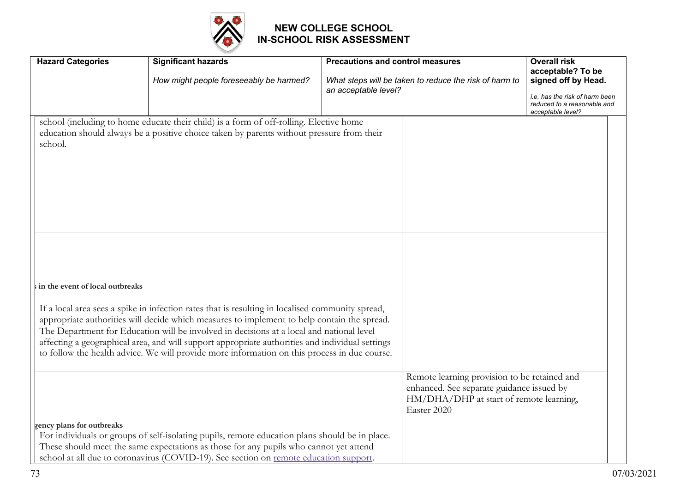

| <b>Hazard Categories</b>        | <b>Significant hazards</b><br>How might people foreseeably be harmed?                                                                                                                                                                                                                                                                                                                                                                                                                          | <b>Precautions and control measures</b><br>What steps will be taken to reduce the risk of harm to<br>an acceptable level?                           | <b>Overall risk</b><br>acceptable? To be<br>signed off by Head.<br>i.e. has the risk of harm been<br>reduced to a reasonable and |
|---------------------------------|------------------------------------------------------------------------------------------------------------------------------------------------------------------------------------------------------------------------------------------------------------------------------------------------------------------------------------------------------------------------------------------------------------------------------------------------------------------------------------------------|-----------------------------------------------------------------------------------------------------------------------------------------------------|----------------------------------------------------------------------------------------------------------------------------------|
| school.                         | school (including to home educate their child) is a form of off-rolling. Elective home<br>education should always be a positive choice taken by parents without pressure from their                                                                                                                                                                                                                                                                                                            |                                                                                                                                                     | acceptable level?                                                                                                                |
| in the event of local outbreaks | If a local area sees a spike in infection rates that is resulting in localised community spread,<br>appropriate authorities will decide which measures to implement to help contain the spread.<br>The Department for Education will be involved in decisions at a local and national level<br>affecting a geographical area, and will support appropriate authorities and individual settings<br>to follow the health advice. We will provide more information on this process in due course. |                                                                                                                                                     |                                                                                                                                  |
| gency plans for outbreaks       | For individuals or groups of self-isolating pupils, remote education plans should be in place.<br>These should meet the same expectations as those for any pupils who cannot yet attend<br>school at all due to coronavirus (COVID-19). See section on remote education support.                                                                                                                                                                                                               | Remote learning provision to be retained and<br>enhanced. See separate guidance issued by<br>HM/DHA/DHP at start of remote learning,<br>Easter 2020 |                                                                                                                                  |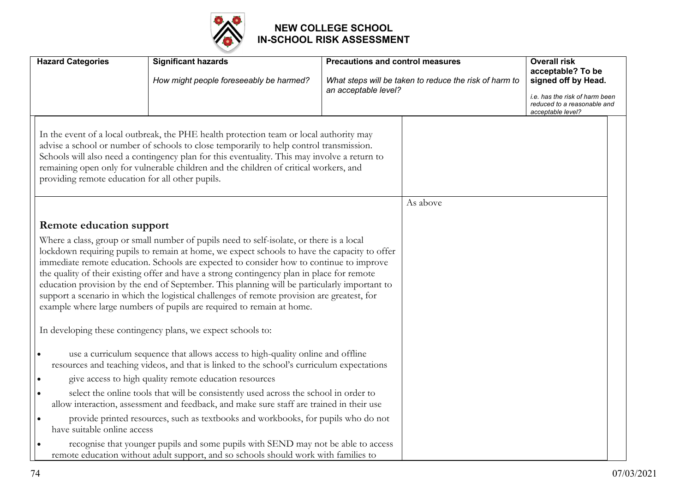

| <b>Hazard Categories</b>                                                                                                                                                                                                                                                                                                                                                                                                                                                                                                                                                                                                                                  | <b>Significant hazards</b><br>How might people foreseeably be harmed?                                                                                                            | <b>Precautions and control measures</b><br>an acceptable level? | What steps will be taken to reduce the risk of harm to | <b>Overall risk</b><br>acceptable? To be<br>signed off by Head.<br>i.e. has the risk of harm been<br>reduced to a reasonable and<br>acceptable level? |
|-----------------------------------------------------------------------------------------------------------------------------------------------------------------------------------------------------------------------------------------------------------------------------------------------------------------------------------------------------------------------------------------------------------------------------------------------------------------------------------------------------------------------------------------------------------------------------------------------------------------------------------------------------------|----------------------------------------------------------------------------------------------------------------------------------------------------------------------------------|-----------------------------------------------------------------|--------------------------------------------------------|-------------------------------------------------------------------------------------------------------------------------------------------------------|
| In the event of a local outbreak, the PHE health protection team or local authority may<br>advise a school or number of schools to close temporarily to help control transmission.<br>Schools will also need a contingency plan for this eventuality. This may involve a return to<br>remaining open only for vulnerable children and the children of critical workers, and<br>providing remote education for all other pupils.                                                                                                                                                                                                                           |                                                                                                                                                                                  |                                                                 |                                                        |                                                                                                                                                       |
|                                                                                                                                                                                                                                                                                                                                                                                                                                                                                                                                                                                                                                                           |                                                                                                                                                                                  |                                                                 | As above                                               |                                                                                                                                                       |
| <b>Remote education support</b>                                                                                                                                                                                                                                                                                                                                                                                                                                                                                                                                                                                                                           |                                                                                                                                                                                  |                                                                 |                                                        |                                                                                                                                                       |
| Where a class, group or small number of pupils need to self-isolate, or there is a local<br>lockdown requiring pupils to remain at home, we expect schools to have the capacity to offer<br>immediate remote education. Schools are expected to consider how to continue to improve<br>the quality of their existing offer and have a strong contingency plan in place for remote<br>education provision by the end of September. This planning will be particularly important to<br>support a scenario in which the logistical challenges of remote provision are greatest, for<br>example where large numbers of pupils are required to remain at home. |                                                                                                                                                                                  |                                                                 |                                                        |                                                                                                                                                       |
|                                                                                                                                                                                                                                                                                                                                                                                                                                                                                                                                                                                                                                                           | In developing these contingency plans, we expect schools to:<br>use a curriculum sequence that allows access to high-quality online and offline                                  |                                                                 |                                                        |                                                                                                                                                       |
|                                                                                                                                                                                                                                                                                                                                                                                                                                                                                                                                                                                                                                                           | resources and teaching videos, and that is linked to the school's curriculum expectations<br>give access to high quality remote education resources                              |                                                                 |                                                        |                                                                                                                                                       |
|                                                                                                                                                                                                                                                                                                                                                                                                                                                                                                                                                                                                                                                           | select the online tools that will be consistently used across the school in order to<br>allow interaction, assessment and feedback, and make sure staff are trained in their use |                                                                 |                                                        |                                                                                                                                                       |
| have suitable online access                                                                                                                                                                                                                                                                                                                                                                                                                                                                                                                                                                                                                               | provide printed resources, such as textbooks and workbooks, for pupils who do not                                                                                                |                                                                 |                                                        |                                                                                                                                                       |
|                                                                                                                                                                                                                                                                                                                                                                                                                                                                                                                                                                                                                                                           | recognise that younger pupils and some pupils with SEND may not be able to access<br>remote education without adult support, and so schools should work with families to         |                                                                 |                                                        |                                                                                                                                                       |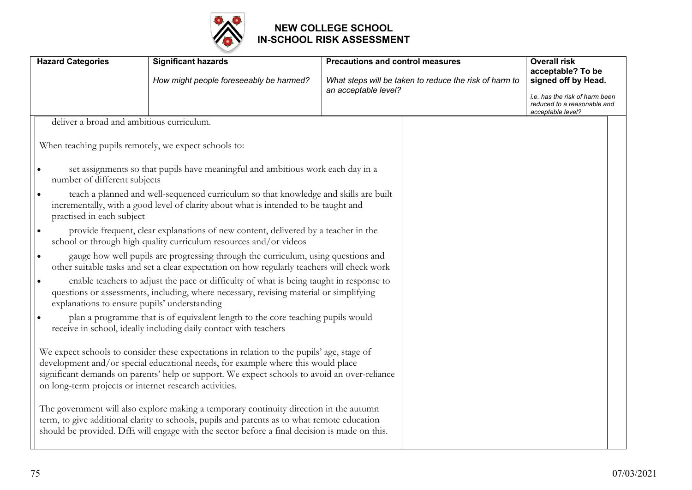

| <b>Hazard Categories</b> |                                                        | <b>Significant hazards</b>                                                                                                                                                                                                                                                            | <b>Precautions and control measures</b> |                                                        | <b>Overall risk</b><br>acceptable? To be                                           |
|--------------------------|--------------------------------------------------------|---------------------------------------------------------------------------------------------------------------------------------------------------------------------------------------------------------------------------------------------------------------------------------------|-----------------------------------------|--------------------------------------------------------|------------------------------------------------------------------------------------|
|                          |                                                        | How might people foreseeably be harmed?                                                                                                                                                                                                                                               |                                         | What steps will be taken to reduce the risk of harm to | signed off by Head.                                                                |
|                          |                                                        |                                                                                                                                                                                                                                                                                       | an acceptable level?                    |                                                        | i.e. has the risk of harm been<br>reduced to a reasonable and<br>acceptable level? |
|                          | deliver a broad and ambitious curriculum.              |                                                                                                                                                                                                                                                                                       |                                         |                                                        |                                                                                    |
|                          | When teaching pupils remotely, we expect schools to:   |                                                                                                                                                                                                                                                                                       |                                         |                                                        |                                                                                    |
|                          | number of different subjects                           | set assignments so that pupils have meaningful and ambitious work each day in a                                                                                                                                                                                                       |                                         |                                                        |                                                                                    |
|                          | practised in each subject                              | teach a planned and well-sequenced curriculum so that knowledge and skills are built<br>incrementally, with a good level of clarity about what is intended to be taught and                                                                                                           |                                         |                                                        |                                                                                    |
|                          |                                                        | provide frequent, clear explanations of new content, delivered by a teacher in the<br>school or through high quality curriculum resources and/or videos                                                                                                                               |                                         |                                                        |                                                                                    |
|                          |                                                        | gauge how well pupils are progressing through the curriculum, using questions and<br>other suitable tasks and set a clear expectation on how regularly teachers will check work                                                                                                       |                                         |                                                        |                                                                                    |
|                          | I۰<br>explanations to ensure pupils' understanding     | enable teachers to adjust the pace or difficulty of what is being taught in response to<br>questions or assessments, including, where necessary, revising material or simplifying                                                                                                     |                                         |                                                        |                                                                                    |
|                          |                                                        | plan a programme that is of equivalent length to the core teaching pupils would<br>receive in school, ideally including daily contact with teachers                                                                                                                                   |                                         |                                                        |                                                                                    |
|                          | on long-term projects or internet research activities. | We expect schools to consider these expectations in relation to the pupils' age, stage of<br>development and/or special educational needs, for example where this would place<br>significant demands on parents' help or support. We expect schools to avoid an over-reliance         |                                         |                                                        |                                                                                    |
|                          |                                                        | The government will also explore making a temporary continuity direction in the autumn<br>term, to give additional clarity to schools, pupils and parents as to what remote education<br>should be provided. DfE will engage with the sector before a final decision is made on this. |                                         |                                                        |                                                                                    |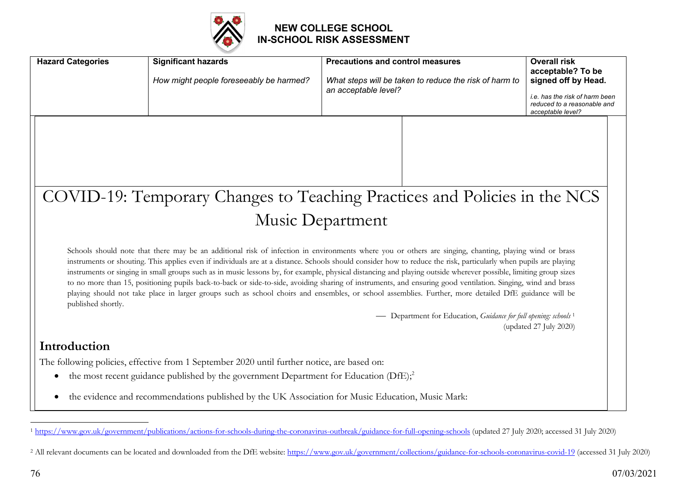

| <b>Hazard Categories</b>                                                                                                                                                                                                                                                                                                                                                                                                                                                                                                                                                                                                                                                                                                                                                                                                                       | <b>Significant hazards</b><br>How might people foreseeably be harmed?                             | <b>Precautions and control measures</b><br>What steps will be taken to reduce the risk of harm to<br>an acceptable level? | <b>Overall risk</b><br>acceptable? To be<br>signed off by Head.<br>i.e. has the risk of harm been<br>reduced to a reasonable and<br>acceptable level? |
|------------------------------------------------------------------------------------------------------------------------------------------------------------------------------------------------------------------------------------------------------------------------------------------------------------------------------------------------------------------------------------------------------------------------------------------------------------------------------------------------------------------------------------------------------------------------------------------------------------------------------------------------------------------------------------------------------------------------------------------------------------------------------------------------------------------------------------------------|---------------------------------------------------------------------------------------------------|---------------------------------------------------------------------------------------------------------------------------|-------------------------------------------------------------------------------------------------------------------------------------------------------|
|                                                                                                                                                                                                                                                                                                                                                                                                                                                                                                                                                                                                                                                                                                                                                                                                                                                |                                                                                                   |                                                                                                                           |                                                                                                                                                       |
|                                                                                                                                                                                                                                                                                                                                                                                                                                                                                                                                                                                                                                                                                                                                                                                                                                                |                                                                                                   | COVID-19: Temporary Changes to Teaching Practices and Policies in the NCS                                                 |                                                                                                                                                       |
|                                                                                                                                                                                                                                                                                                                                                                                                                                                                                                                                                                                                                                                                                                                                                                                                                                                |                                                                                                   | Music Department                                                                                                          |                                                                                                                                                       |
| Schools should note that there may be an additional risk of infection in environments where you or others are singing, chanting, playing wind or brass<br>instruments or shouting. This applies even if individuals are at a distance. Schools should consider how to reduce the risk, particularly when pupils are playing<br>instruments or singing in small groups such as in music lessons by, for example, physical distancing and playing outside wherever possible, limiting group sizes<br>to no more than 15, positioning pupils back-to-back or side-to-side, avoiding sharing of instruments, and ensuring good ventilation. Singing, wind and brass<br>playing should not take place in larger groups such as school choirs and ensembles, or school assemblies. Further, more detailed DfE guidance will be<br>published shortly. |                                                                                                   |                                                                                                                           |                                                                                                                                                       |
|                                                                                                                                                                                                                                                                                                                                                                                                                                                                                                                                                                                                                                                                                                                                                                                                                                                |                                                                                                   | - Department for Education, Guidance for full opening: schools <sup>1</sup>                                               | (updated 27 July 2020)                                                                                                                                |
| Introduction                                                                                                                                                                                                                                                                                                                                                                                                                                                                                                                                                                                                                                                                                                                                                                                                                                   |                                                                                                   |                                                                                                                           |                                                                                                                                                       |
|                                                                                                                                                                                                                                                                                                                                                                                                                                                                                                                                                                                                                                                                                                                                                                                                                                                | The following policies, effective from 1 September 2020 until further notice, are based on:       |                                                                                                                           |                                                                                                                                                       |
| $\bullet$                                                                                                                                                                                                                                                                                                                                                                                                                                                                                                                                                                                                                                                                                                                                                                                                                                      | the most recent guidance published by the government Department for Education $(DfE)_i^2$         |                                                                                                                           |                                                                                                                                                       |
| $\bullet$                                                                                                                                                                                                                                                                                                                                                                                                                                                                                                                                                                                                                                                                                                                                                                                                                                      | the evidence and recommendations published by the UK Association for Music Education, Music Mark: |                                                                                                                           |                                                                                                                                                       |

<sup>1</sup> https://www.gov.uk/government/publications/actions-for-schools-during-the-coronavirus-outbreak/guidance-for-full-opening-schools (updated 27 July 2020; accessed 31 July 2020)

<sup>&</sup>lt;sup>2</sup> All relevant documents can be located and downloaded from the DfE website: https://www.gov.uk/government/collections/guidance-for-schools-coronavirus-covid-19 (accessed 31 July 2020)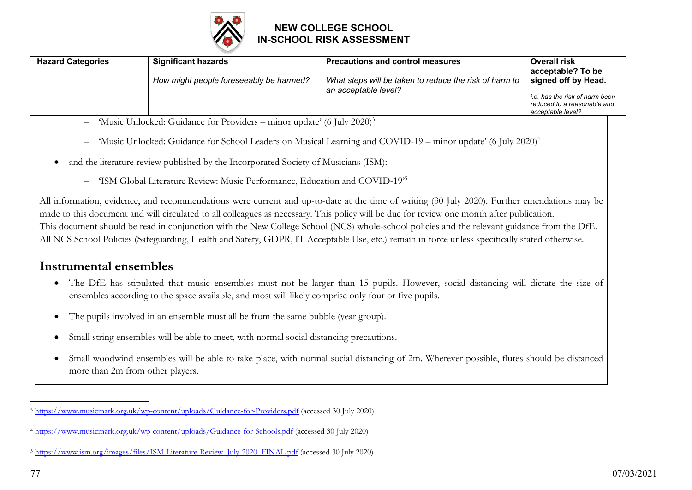

| <b>Hazard Categories</b> | <b>Significant hazards</b>                                                           | <b>Precautions and control measures</b>                                        | Overall risk                                                                                                                   |  |
|--------------------------|--------------------------------------------------------------------------------------|--------------------------------------------------------------------------------|--------------------------------------------------------------------------------------------------------------------------------|--|
|                          | How might people foreseeably be harmed?                                              | What steps will be taken to reduce the risk of harm to<br>an acceptable level? | acceptable? To be<br>signed off by Head.<br>i.e. has the risk of harm been<br>reduced to a reasonable and<br>acceptable level? |  |
|                          | - 'Music Unlocked: Guidance for Providers – minor update' (6 July 2020) <sup>3</sup> |                                                                                |                                                                                                                                |  |

- 'Music Unlocked: Guidance for School Leaders on Musical Learning and COVID-19 minor update' (6 July 2020)4
- and the literature review published by the Incorporated Society of Musicians (ISM):
	- 'ISM Global Literature Review: Music Performance, Education and COVID-19'5

All information, evidence, and recommendations were current and up-to-date at the time of writing (30 July 2020). Further emendations may be made to this document and will circulated to all colleagues as necessary. This policy will be due for review one month after publication. This document should be read in conjunction with the New College School (NCS) whole-school policies and the relevant guidance from the DfE. All NCS School Policies (Safeguarding, Health and Safety, GDPR, IT Acceptable Use, etc.) remain in force unless specifically stated otherwise.

# **Instrumental ensembles**

- The DfE has stipulated that music ensembles must not be larger than 15 pupils. However, social distancing will dictate the size of ensembles according to the space available, and most will likely comprise only four or five pupils.
- The pupils involved in an ensemble must all be from the same bubble (year group).
- Small string ensembles will be able to meet, with normal social distancing precautions.
- Small woodwind ensembles will be able to take place, with normal social distancing of 2m. Wherever possible, flutes should be distanced more than 2m from other players.

 $\overline{a}$ <sup>3</sup> https://www.musicmark.org.uk/wp-content/uploads/Guidance-for-Providers.pdf (accessed 30 July 2020)

<sup>4</sup> https://www.musicmark.org.uk/wp-content/uploads/Guidance-for-Schools.pdf (accessed 30 July 2020)

<sup>&</sup>lt;sup>5</sup> https://www.ism.org/images/files/ISM-Literature-Review\_July-2020\_FINAL.pdf (accessed 30 July 2020)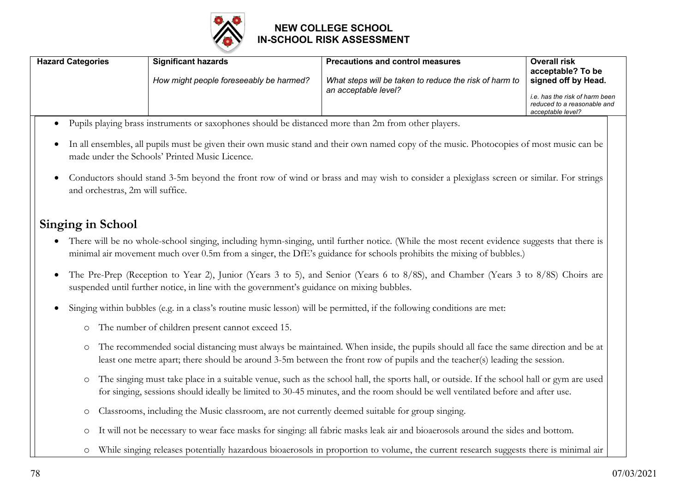

| <b>Hazard Categories</b> | <b>Significant hazards</b><br>How might people foreseeably be harmed? | <b>Precautions and control measures</b><br>What steps will be taken to reduce the risk of harm to<br>an acceptable level? | <b>Overall risk</b><br>acceptable? To be<br>signed off by Head.<br>i.e. has the risk of harm been<br>reduced to a reasonable and<br>acceptable level? |
|--------------------------|-----------------------------------------------------------------------|---------------------------------------------------------------------------------------------------------------------------|-------------------------------------------------------------------------------------------------------------------------------------------------------|
|                          |                                                                       |                                                                                                                           |                                                                                                                                                       |

- Pupils playing brass instruments or saxophones should be distanced more than 2m from other players.
- In all ensembles, all pupils must be given their own music stand and their own named copy of the music. Photocopies of most music can be made under the Schools' Printed Music Licence.
- Conductors should stand 3-5m beyond the front row of wind or brass and may wish to consider a plexiglass screen or similar. For strings and orchestras, 2m will suffice.

# **Singing in School**

- There will be no whole-school singing, including hymn-singing, until further notice. (While the most recent evidence suggests that there is minimal air movement much over 0.5m from a singer, the DfE's guidance for schools prohibits the mixing of bubbles.)
- The Pre-Prep (Reception to Year 2), Junior (Years 3 to 5), and Senior (Years 6 to 8/8S), and Chamber (Years 3 to 8/8S) Choirs are suspended until further notice, in line with the government's guidance on mixing bubbles.
- Singing within bubbles (e.g. in a class's routine music lesson) will be permitted, if the following conditions are met:
	- o The number of children present cannot exceed 15.
	- o The recommended social distancing must always be maintained. When inside, the pupils should all face the same direction and be at least one metre apart; there should be around 3-5m between the front row of pupils and the teacher(s) leading the session.
	- o The singing must take place in a suitable venue, such as the school hall, the sports hall, or outside. If the school hall or gym are used for singing, sessions should ideally be limited to 30-45 minutes, and the room should be well ventilated before and after use.
	- o Classrooms, including the Music classroom, are not currently deemed suitable for group singing.
	- o It will not be necessary to wear face masks for singing: all fabric masks leak air and bioaerosols around the sides and bottom.
	- o While singing releases potentially hazardous bioaerosols in proportion to volume, the current research suggests there is minimal air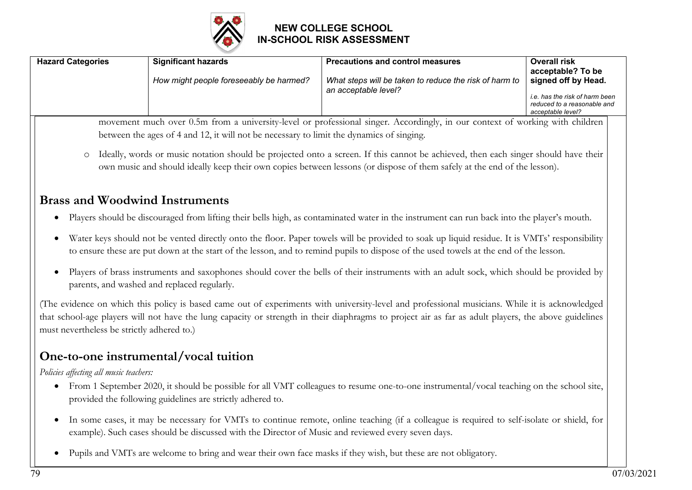

| <b>Hazard Categories</b>                   | <b>Significant hazards</b>                                                                         | <b>Precautions and control measures</b>                                                                                                                                                                                                                                                                | <b>Overall risk</b><br>acceptable? To be                                           |
|--------------------------------------------|----------------------------------------------------------------------------------------------------|--------------------------------------------------------------------------------------------------------------------------------------------------------------------------------------------------------------------------------------------------------------------------------------------------------|------------------------------------------------------------------------------------|
|                                            | How might people foreseeably be harmed?                                                            | What steps will be taken to reduce the risk of harm to                                                                                                                                                                                                                                                 | signed off by Head.                                                                |
|                                            |                                                                                                    | an acceptable level?                                                                                                                                                                                                                                                                                   | i.e. has the risk of harm been<br>reduced to a reasonable and<br>acceptable level? |
|                                            |                                                                                                    | movement much over 0.5m from a university-level or professional singer. Accordingly, in our context of working with children                                                                                                                                                                           |                                                                                    |
|                                            | between the ages of 4 and 12, it will not be necessary to limit the dynamics of singing.           |                                                                                                                                                                                                                                                                                                        |                                                                                    |
| $\circ$                                    |                                                                                                    | Ideally, words or music notation should be projected onto a screen. If this cannot be achieved, then each singer should have their<br>own music and should ideally keep their own copies between lessons (or dispose of them safely at the end of the lesson).                                         |                                                                                    |
|                                            | <b>Brass and Woodwind Instruments</b>                                                              |                                                                                                                                                                                                                                                                                                        |                                                                                    |
| $\bullet$                                  |                                                                                                    | Players should be discouraged from lifting their bells high, as contaminated water in the instrument can run back into the player's mouth.                                                                                                                                                             |                                                                                    |
|                                            |                                                                                                    | Water keys should not be vented directly onto the floor. Paper towels will be provided to soak up liquid residue. It is VMTs' responsibility<br>to ensure these are put down at the start of the lesson, and to remind pupils to dispose of the used towels at the end of the lesson.                  |                                                                                    |
| $\bullet$                                  | parents, and washed and replaced regularly.                                                        | Players of brass instruments and saxophones should cover the bells of their instruments with an adult sock, which should be provided by                                                                                                                                                                |                                                                                    |
| must nevertheless be strictly adhered to.) |                                                                                                    | (The evidence on which this policy is based came out of experiments with university-level and professional musicians. While it is acknowledged<br>that school-age players will not have the lung capacity or strength in their diaphragms to project air as far as adult players, the above guidelines |                                                                                    |
|                                            | One-to-one instrumental/vocal tuition                                                              |                                                                                                                                                                                                                                                                                                        |                                                                                    |
| Policies affecting all music teachers:     |                                                                                                    |                                                                                                                                                                                                                                                                                                        |                                                                                    |
| $\bullet$                                  | provided the following guidelines are strictly adhered to.                                         | From 1 September 2020, it should be possible for all VMT colleagues to resume one-to-one instrumental/vocal teaching on the school site,                                                                                                                                                               |                                                                                    |
| $\bullet$                                  | example). Such cases should be discussed with the Director of Music and reviewed every seven days. | In some cases, it may be necessary for VMTs to continue remote, online teaching (if a colleague is required to self-isolate or shield, for                                                                                                                                                             |                                                                                    |

• Pupils and VMTs are welcome to bring and wear their own face masks if they wish, but these are not obligatory.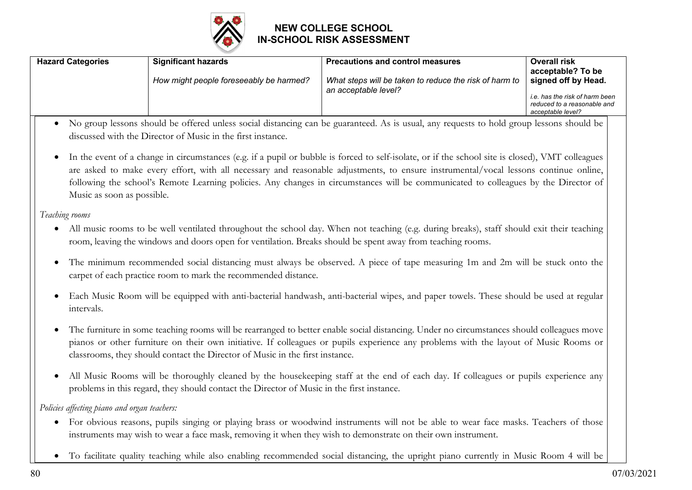

| <b>Hazard Categories</b> | <b>Significant hazards</b><br>How might people foreseeably be harmed? | <b>Precautions and control measures</b><br>What steps will be taken to reduce the risk of harm to<br>an acceptable level? | <b>Overall risk</b><br>acceptable? To be<br>signed off by Head.<br>i.e. has the risk of harm been<br>reduced to a reasonable and |
|--------------------------|-----------------------------------------------------------------------|---------------------------------------------------------------------------------------------------------------------------|----------------------------------------------------------------------------------------------------------------------------------|
|                          |                                                                       |                                                                                                                           | acceptable level?                                                                                                                |

- No group lessons should be offered unless social distancing can be guaranteed. As is usual, any requests to hold group lessons should be discussed with the Director of Music in the first instance.
- In the event of a change in circumstances (e.g. if a pupil or bubble is forced to self-isolate, or if the school site is closed), VMT colleagues are asked to make every effort, with all necessary and reasonable adjustments, to ensure instrumental/vocal lessons continue online, following the school's Remote Learning policies. Any changes in circumstances will be communicated to colleagues by the Director of Music as soon as possible.

#### *Teaching rooms*

- All music rooms to be well ventilated throughout the school day. When not teaching (e.g. during breaks), staff should exit their teaching room, leaving the windows and doors open for ventilation. Breaks should be spent away from teaching rooms.
- The minimum recommended social distancing must always be observed. A piece of tape measuring 1m and 2m will be stuck onto the carpet of each practice room to mark the recommended distance.
- Each Music Room will be equipped with anti-bacterial handwash, anti-bacterial wipes, and paper towels. These should be used at regular intervals.
- The furniture in some teaching rooms will be rearranged to better enable social distancing. Under no circumstances should colleagues move pianos or other furniture on their own initiative. If colleagues or pupils experience any problems with the layout of Music Rooms or classrooms, they should contact the Director of Music in the first instance.
- All Music Rooms will be thoroughly cleaned by the housekeeping staff at the end of each day. If colleagues or pupils experience any problems in this regard, they should contact the Director of Music in the first instance.

*Policies affecting piano and organ teachers:*

- For obvious reasons, pupils singing or playing brass or woodwind instruments will not be able to wear face masks. Teachers of those instruments may wish to wear a face mask, removing it when they wish to demonstrate on their own instrument.
- To facilitate quality teaching while also enabling recommended social distancing, the upright piano currently in Music Room 4 will be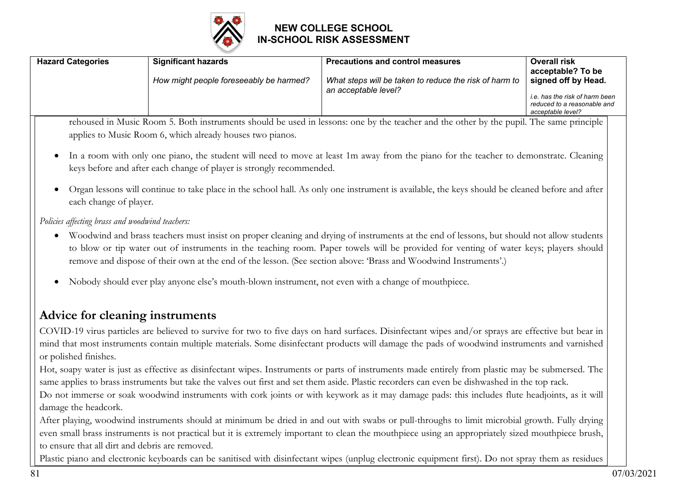

| <b>Hazard Categories</b>                        | <b>Significant hazards</b>                                                                          | <b>Precautions and control measures</b>                                                                                                                                                                                                                   | Overall risk<br>acceptable? To be                                                         |
|-------------------------------------------------|-----------------------------------------------------------------------------------------------------|-----------------------------------------------------------------------------------------------------------------------------------------------------------------------------------------------------------------------------------------------------------|-------------------------------------------------------------------------------------------|
|                                                 | How might people foreseeably be harmed?                                                             | What steps will be taken to reduce the risk of harm to<br>an acceptable level?                                                                                                                                                                            | signed off by Head.                                                                       |
|                                                 |                                                                                                     |                                                                                                                                                                                                                                                           | <i>i.e.</i> has the risk of harm been<br>reduced to a reasonable and<br>acceptable level? |
|                                                 |                                                                                                     | rehoused in Music Room 5. Both instruments should be used in lessons: one by the teacher and the other by the pupil. The same principle                                                                                                                   |                                                                                           |
|                                                 | applies to Music Room 6, which already houses two pianos.                                           |                                                                                                                                                                                                                                                           |                                                                                           |
| $\bullet$                                       | keys before and after each change of player is strongly recommended.                                | In a room with only one piano, the student will need to move at least 1m away from the piano for the teacher to demonstrate. Cleaning                                                                                                                     |                                                                                           |
| each change of player.                          |                                                                                                     | Organ lessons will continue to take place in the school hall. As only one instrument is available, the keys should be cleaned before and after                                                                                                            |                                                                                           |
| Policies affecting brass and woodwind teachers: |                                                                                                     |                                                                                                                                                                                                                                                           |                                                                                           |
| $\bullet$                                       |                                                                                                     | Woodwind and brass teachers must insist on proper cleaning and drying of instruments at the end of lessons, but should not allow students                                                                                                                 |                                                                                           |
|                                                 |                                                                                                     | to blow or tip water out of instruments in the teaching room. Paper towels will be provided for venting of water keys; players should<br>remove and dispose of their own at the end of the lesson. (See section above: 'Brass and Woodwind Instruments'.) |                                                                                           |
| $\bullet$                                       | Nobody should ever play anyone else's mouth-blown instrument, not even with a change of mouthpiece. |                                                                                                                                                                                                                                                           |                                                                                           |

# **Advice for cleaning instruments**

COVID-19 virus particles are believed to survive for two to five days on hard surfaces. Disinfectant wipes and/or sprays are effective but bear in mind that most instruments contain multiple materials. Some disinfectant products will damage the pads of woodwind instruments and varnished or polished finishes.

Hot, soapy water is just as effective as disinfectant wipes. Instruments or parts of instruments made entirely from plastic may be submersed. The same applies to brass instruments but take the valves out first and set them aside. Plastic recorders can even be dishwashed in the top rack.

Do not immerse or soak woodwind instruments with cork joints or with keywork as it may damage pads: this includes flute headjoints, as it will damage the headcork.

After playing, woodwind instruments should at minimum be dried in and out with swabs or pull-throughs to limit microbial growth. Fully drying even small brass instruments is not practical but it is extremely important to clean the mouthpiece using an appropriately sized mouthpiece brush, to ensure that all dirt and debris are removed.

Plastic piano and electronic keyboards can be sanitised with disinfectant wipes (unplug electronic equipment first). Do not spray them as residues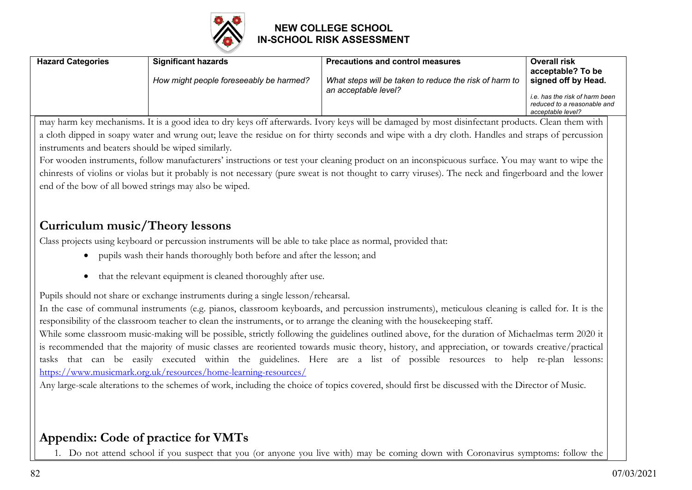

| <b>Hazard Categories</b> | <b>Significant hazards</b><br>How might people foreseeably be harmed? | <b>Precautions and control measures</b><br>What steps will be taken to reduce the risk of harm to<br>an acceptable level? | <b>Overall risk</b><br>acceptable? To be<br>signed off by Head.<br>i.e. has the risk of harm been<br>reduced to a reasonable and |
|--------------------------|-----------------------------------------------------------------------|---------------------------------------------------------------------------------------------------------------------------|----------------------------------------------------------------------------------------------------------------------------------|
|                          |                                                                       |                                                                                                                           | acceptable level?                                                                                                                |

may harm key mechanisms. It is a good idea to dry keys off afterwards. Ivory keys will be damaged by most disinfectant products. Clean them with a cloth dipped in soapy water and wrung out; leave the residue on for thirty seconds and wipe with a dry cloth. Handles and straps of percussion instruments and beaters should be wiped similarly.

For wooden instruments, follow manufacturers' instructions or test your cleaning product on an inconspicuous surface. You may want to wipe the chinrests of violins or violas but it probably is not necessary (pure sweat is not thought to carry viruses). The neck and fingerboard and the lower end of the bow of all bowed strings may also be wiped.

# **Curriculum music/Theory lessons**

Class projects using keyboard or percussion instruments will be able to take place as normal, provided that:

- pupils wash their hands thoroughly both before and after the lesson; and
- that the relevant equipment is cleaned thoroughly after use.

Pupils should not share or exchange instruments during a single lesson/rehearsal.

In the case of communal instruments (e.g. pianos, classroom keyboards, and percussion instruments), meticulous cleaning is called for. It is the responsibility of the classroom teacher to clean the instruments, or to arrange the cleaning with the housekeeping staff.

While some classroom music-making will be possible, strictly following the guidelines outlined above, for the duration of Michaelmas term 2020 it is recommended that the majority of music classes are reoriented towards music theory, history, and appreciation, or towards creative/practical tasks that can be easily executed within the guidelines. Here are a list of possible resources to help re-plan lessons: https://www.musicmark.org.uk/resources/home-learning-resources/

Any large-scale alterations to the schemes of work, including the choice of topics covered, should first be discussed with the Director of Music.

# **Appendix: Code of practice for VMTs**

1. Do not attend school if you suspect that you (or anyone you live with) may be coming down with Coronavirus symptoms: follow the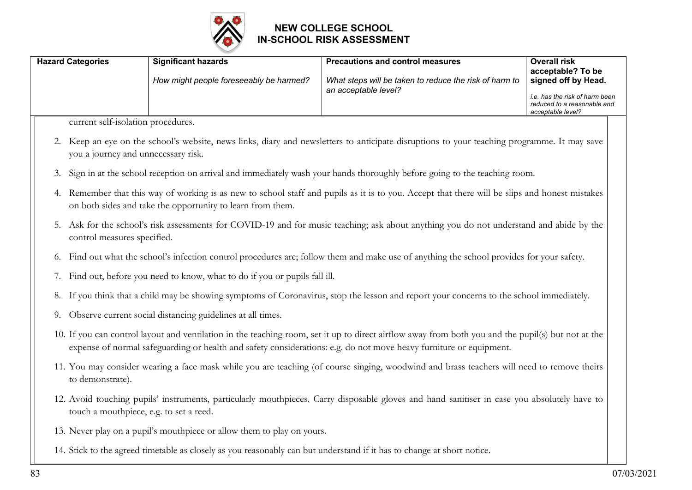

|    | <b>Hazard Categories</b>                | <b>Significant hazards</b>                                                                                             | <b>Precautions and control measures</b>                                                                                                                                                                                                                                  | <b>Overall risk</b>                                                                |
|----|-----------------------------------------|------------------------------------------------------------------------------------------------------------------------|--------------------------------------------------------------------------------------------------------------------------------------------------------------------------------------------------------------------------------------------------------------------------|------------------------------------------------------------------------------------|
|    |                                         | How might people foreseeably be harmed?                                                                                | What steps will be taken to reduce the risk of harm to                                                                                                                                                                                                                   | acceptable? To be<br>signed off by Head.                                           |
|    |                                         |                                                                                                                        | an acceptable level?                                                                                                                                                                                                                                                     | i.e. has the risk of harm been<br>reduced to a reasonable and<br>acceptable level? |
|    | current self-isolation procedures.      |                                                                                                                        |                                                                                                                                                                                                                                                                          |                                                                                    |
|    | you a journey and unnecessary risk.     |                                                                                                                        | 2. Keep an eye on the school's website, news links, diary and newsletters to anticipate disruptions to your teaching programme. It may save                                                                                                                              |                                                                                    |
| 3. |                                         |                                                                                                                        | Sign in at the school reception on arrival and immediately wash your hands thoroughly before going to the teaching room.                                                                                                                                                 |                                                                                    |
| 4. |                                         | on both sides and take the opportunity to learn from them.                                                             | Remember that this way of working is as new to school staff and pupils as it is to you. Accept that there will be slips and honest mistakes                                                                                                                              |                                                                                    |
| 5. | control measures specified.             |                                                                                                                        | Ask for the school's risk assessments for COVID-19 and for music teaching; ask about anything you do not understand and abide by the                                                                                                                                     |                                                                                    |
| 6. |                                         |                                                                                                                        | Find out what the school's infection control procedures are; follow them and make use of anything the school provides for your safety.                                                                                                                                   |                                                                                    |
| 7. |                                         | Find out, before you need to know, what to do if you or pupils fall ill.                                               |                                                                                                                                                                                                                                                                          |                                                                                    |
|    |                                         |                                                                                                                        | 8. If you think that a child may be showing symptoms of Coronavirus, stop the lesson and report your concerns to the school immediately.                                                                                                                                 |                                                                                    |
| 9. |                                         | Observe current social distancing guidelines at all times.                                                             |                                                                                                                                                                                                                                                                          |                                                                                    |
|    |                                         |                                                                                                                        | 10. If you can control layout and ventilation in the teaching room, set it up to direct airflow away from both you and the pupil(s) but not at the<br>expense of normal safeguarding or health and safety considerations: e.g. do not move heavy furniture or equipment. |                                                                                    |
|    | to demonstrate).                        |                                                                                                                        | 11. You may consider wearing a face mask while you are teaching (of course singing, woodwind and brass teachers will need to remove theirs                                                                                                                               |                                                                                    |
|    | touch a mouthpiece, e.g. to set a reed. |                                                                                                                        | 12. Avoid touching pupils' instruments, particularly mouthpieces. Carry disposable gloves and hand sanitiser in case you absolutely have to                                                                                                                              |                                                                                    |
|    |                                         | 13. Never play on a pupil's mouthpiece or allow them to play on yours.                                                 |                                                                                                                                                                                                                                                                          |                                                                                    |
|    |                                         | 14. Stick to the agreed timetable as closely as you reasonably can but understand if it has to change at short notice. |                                                                                                                                                                                                                                                                          |                                                                                    |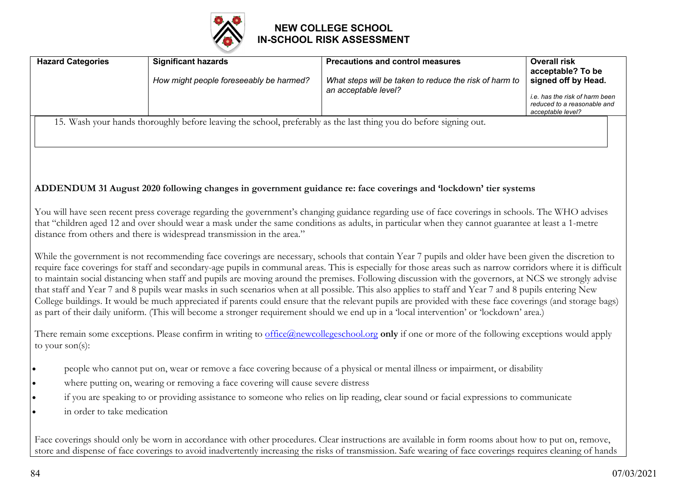

| <b>Hazard Categories</b>    | <b>Significant hazards</b>                                                                                        | <b>Precautions and control measures</b>                                                                                                                                                                                                                                                                                                                                                                                                                                                                                                                                                                                                                                                                                                                                                                                                                                                                                                              | <b>Overall risk</b>                                                                |
|-----------------------------|-------------------------------------------------------------------------------------------------------------------|------------------------------------------------------------------------------------------------------------------------------------------------------------------------------------------------------------------------------------------------------------------------------------------------------------------------------------------------------------------------------------------------------------------------------------------------------------------------------------------------------------------------------------------------------------------------------------------------------------------------------------------------------------------------------------------------------------------------------------------------------------------------------------------------------------------------------------------------------------------------------------------------------------------------------------------------------|------------------------------------------------------------------------------------|
|                             | How might people foreseeably be harmed?                                                                           | What steps will be taken to reduce the risk of harm to                                                                                                                                                                                                                                                                                                                                                                                                                                                                                                                                                                                                                                                                                                                                                                                                                                                                                               | acceptable? To be<br>signed off by Head.                                           |
|                             |                                                                                                                   | an acceptable level?                                                                                                                                                                                                                                                                                                                                                                                                                                                                                                                                                                                                                                                                                                                                                                                                                                                                                                                                 | i.e. has the risk of harm been<br>reduced to a reasonable and<br>acceptable level? |
|                             | 15. Wash your hands thoroughly before leaving the school, preferably as the last thing you do before signing out. |                                                                                                                                                                                                                                                                                                                                                                                                                                                                                                                                                                                                                                                                                                                                                                                                                                                                                                                                                      |                                                                                    |
|                             |                                                                                                                   |                                                                                                                                                                                                                                                                                                                                                                                                                                                                                                                                                                                                                                                                                                                                                                                                                                                                                                                                                      |                                                                                    |
|                             |                                                                                                                   |                                                                                                                                                                                                                                                                                                                                                                                                                                                                                                                                                                                                                                                                                                                                                                                                                                                                                                                                                      |                                                                                    |
|                             |                                                                                                                   |                                                                                                                                                                                                                                                                                                                                                                                                                                                                                                                                                                                                                                                                                                                                                                                                                                                                                                                                                      |                                                                                    |
|                             |                                                                                                                   | ADDENDUM 31 August 2020 following changes in government guidance re: face coverings and 'lockdown' tier systems                                                                                                                                                                                                                                                                                                                                                                                                                                                                                                                                                                                                                                                                                                                                                                                                                                      |                                                                                    |
|                             | distance from others and there is widespread transmission in the area."                                           | You will have seen recent press coverage regarding the government's changing guidance regarding use of face coverings in schools. The WHO advises<br>that "children aged 12 and over should wear a mask under the same conditions as adults, in particular when they cannot guarantee at least a 1-metre                                                                                                                                                                                                                                                                                                                                                                                                                                                                                                                                                                                                                                             |                                                                                    |
|                             |                                                                                                                   | While the government is not recommending face coverings are necessary, schools that contain Year 7 pupils and older have been given the discretion to<br>require face coverings for staff and secondary-age pupils in communal areas. This is especially for those areas such as narrow corridors where it is difficult<br>to maintain social distancing when staff and pupils are moving around the premises. Following discussion with the governors, at NCS we strongly advise<br>that staff and Year 7 and 8 pupils wear masks in such scenarios when at all possible. This also applies to staff and Year 7 and 8 pupils entering New<br>College buildings. It would be much appreciated if parents could ensure that the relevant pupils are provided with these face coverings (and storage bags)<br>as part of their daily uniform. (This will become a stronger requirement should we end up in a 'local intervention' or 'lockdown' area.) |                                                                                    |
| to your $son(s)$ :          |                                                                                                                   | There remain some exceptions. Please confirm in writing to office@newcollegeschool.org only if one or more of the following exceptions would apply                                                                                                                                                                                                                                                                                                                                                                                                                                                                                                                                                                                                                                                                                                                                                                                                   |                                                                                    |
| $\bullet$                   |                                                                                                                   | people who cannot put on, wear or remove a face covering because of a physical or mental illness or impairment, or disability                                                                                                                                                                                                                                                                                                                                                                                                                                                                                                                                                                                                                                                                                                                                                                                                                        |                                                                                    |
| $\bullet$                   | where putting on, wearing or removing a face covering will cause severe distress                                  |                                                                                                                                                                                                                                                                                                                                                                                                                                                                                                                                                                                                                                                                                                                                                                                                                                                                                                                                                      |                                                                                    |
| $\bullet$                   |                                                                                                                   | if you are speaking to or providing assistance to someone who relies on lip reading, clear sound or facial expressions to communicate                                                                                                                                                                                                                                                                                                                                                                                                                                                                                                                                                                                                                                                                                                                                                                                                                |                                                                                    |
| in order to take medication |                                                                                                                   |                                                                                                                                                                                                                                                                                                                                                                                                                                                                                                                                                                                                                                                                                                                                                                                                                                                                                                                                                      |                                                                                    |
|                             | $\sim$ 1 1 $\sim$ 1 $\sim$ 1                                                                                      |                                                                                                                                                                                                                                                                                                                                                                                                                                                                                                                                                                                                                                                                                                                                                                                                                                                                                                                                                      |                                                                                    |

Face coverings should only be worn in accordance with other procedures. Clear instructions are available in form rooms about how to put on, remove, store and dispense of face coverings to avoid inadvertently increasing the risks of transmission. Safe wearing of face coverings requires cleaning of hands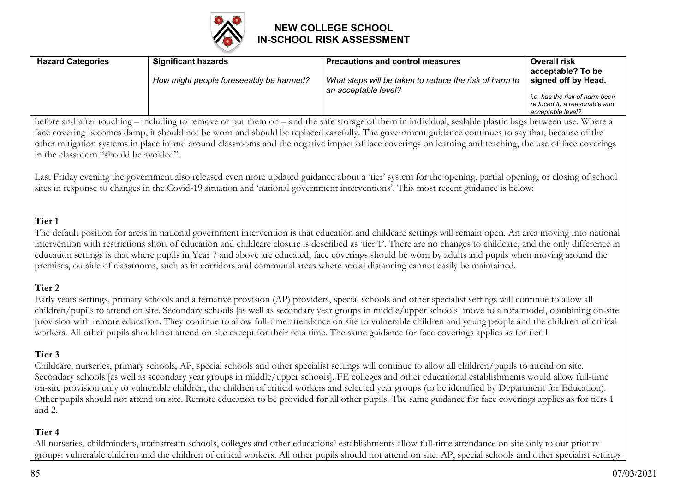

| <b>Hazard Categories</b> | <b>Significant hazards</b>              | <b>Precautions and control measures</b>                                        | <b>Overall risk</b>                                                                |
|--------------------------|-----------------------------------------|--------------------------------------------------------------------------------|------------------------------------------------------------------------------------|
|                          | How might people foreseeably be harmed? | What steps will be taken to reduce the risk of harm to<br>an acceptable level? | acceptable? To be<br>signed off by Head.                                           |
|                          |                                         |                                                                                | i.e. has the risk of harm been<br>reduced to a reasonable and<br>acceptable level? |

before and after touching – including to remove or put them on – and the safe storage of them in individual, sealable plastic bags between use. Where a face covering becomes damp, it should not be worn and should be replaced carefully. The government guidance continues to say that, because of the other mitigation systems in place in and around classrooms and the negative impact of face coverings on learning and teaching, the use of face coverings in the classroom "should be avoided".

Last Friday evening the government also released even more updated guidance about a 'tier' system for the opening, partial opening, or closing of school sites in response to changes in the Covid-19 situation and 'national government interventions'. This most recent guidance is below:

#### **Tier 1**

The default position for areas in national government intervention is that education and childcare settings will remain open. An area moving into national intervention with restrictions short of education and childcare closure is described as 'tier 1'. There are no changes to childcare, and the only difference in education settings is that where pupils in Year 7 and above are educated, face coverings should be worn by adults and pupils when moving around the premises, outside of classrooms, such as in corridors and communal areas where social distancing cannot easily be maintained.

#### **Tier 2**

Early years settings, primary schools and alternative provision (AP) providers, special schools and other specialist settings will continue to allow all children/pupils to attend on site. Secondary schools [as well as secondary year groups in middle/upper schools] move to a rota model, combining on-site provision with remote education. They continue to allow full-time attendance on site to vulnerable children and young people and the children of critical workers. All other pupils should not attend on site except for their rota time. The same guidance for face coverings applies as for tier 1

### **Tier 3**

Childcare, nurseries, primary schools, AP, special schools and other specialist settings will continue to allow all children/pupils to attend on site. Secondary schools [as well as secondary year groups in middle/upper schools], FE colleges and other educational establishments would allow full-time on-site provision only to vulnerable children, the children of critical workers and selected year groups (to be identified by Department for Education). Other pupils should not attend on site. Remote education to be provided for all other pupils. The same guidance for face coverings applies as for tiers 1 and 2.

#### **Tier 4**

All nurseries, childminders, mainstream schools, colleges and other educational establishments allow full-time attendance on site only to our priority groups: vulnerable children and the children of critical workers. All other pupils should not attend on site. AP, special schools and other specialist settings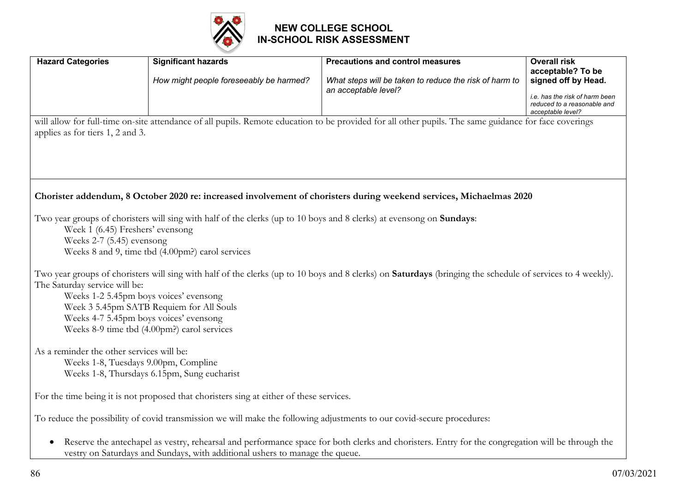

| <b>Hazard Categories</b>                                                                  | <b>Significant hazards</b>                                                                                                   | <b>Precautions and control measures</b>                                                                                                                           | <b>Overall risk</b><br>acceptable? To be                                           |
|-------------------------------------------------------------------------------------------|------------------------------------------------------------------------------------------------------------------------------|-------------------------------------------------------------------------------------------------------------------------------------------------------------------|------------------------------------------------------------------------------------|
|                                                                                           | How might people foreseeably be harmed?                                                                                      | What steps will be taken to reduce the risk of harm to                                                                                                            | signed off by Head.                                                                |
|                                                                                           |                                                                                                                              | an acceptable level?                                                                                                                                              | i.e. has the risk of harm been<br>reduced to a reasonable and<br>acceptable level? |
|                                                                                           |                                                                                                                              | will allow for full-time on-site attendance of all pupils. Remote education to be provided for all other pupils. The same guidance for face coverings             |                                                                                    |
| applies as for tiers 1, 2 and 3.                                                          |                                                                                                                              |                                                                                                                                                                   |                                                                                    |
|                                                                                           |                                                                                                                              |                                                                                                                                                                   |                                                                                    |
|                                                                                           |                                                                                                                              |                                                                                                                                                                   |                                                                                    |
|                                                                                           |                                                                                                                              |                                                                                                                                                                   |                                                                                    |
|                                                                                           |                                                                                                                              | Chorister addendum, 8 October 2020 re: increased involvement of choristers during weekend services, Michaelmas 2020                                               |                                                                                    |
|                                                                                           |                                                                                                                              |                                                                                                                                                                   |                                                                                    |
|                                                                                           | Two year groups of choristers will sing with half of the clerks (up to 10 boys and 8 clerks) at evensong on <b>Sundays</b> : |                                                                                                                                                                   |                                                                                    |
| Week 1 (6.45) Freshers' evensong<br>Weeks $2-7$ (5.45) evensong                           |                                                                                                                              |                                                                                                                                                                   |                                                                                    |
|                                                                                           | Weeks 8 and 9, time tbd (4.00pm?) carol services                                                                             |                                                                                                                                                                   |                                                                                    |
|                                                                                           |                                                                                                                              |                                                                                                                                                                   |                                                                                    |
| The Saturday service will be:                                                             |                                                                                                                              | Two year groups of choristers will sing with half of the clerks (up to 10 boys and 8 clerks) on <b>Saturdays</b> (bringing the schedule of services to 4 weekly). |                                                                                    |
|                                                                                           | Weeks 1-2 5.45pm boys voices' evensong                                                                                       |                                                                                                                                                                   |                                                                                    |
|                                                                                           | Week 3 5.45pm SATB Requiem for All Souls                                                                                     |                                                                                                                                                                   |                                                                                    |
|                                                                                           | Weeks 4-7 5.45pm boys voices' evensong                                                                                       |                                                                                                                                                                   |                                                                                    |
|                                                                                           | Weeks 8-9 time tbd (4.00pm?) carol services                                                                                  |                                                                                                                                                                   |                                                                                    |
| As a reminder the other services will be:                                                 |                                                                                                                              |                                                                                                                                                                   |                                                                                    |
|                                                                                           | Weeks 1-8, Tuesdays 9.00pm, Compline                                                                                         |                                                                                                                                                                   |                                                                                    |
|                                                                                           | Weeks 1-8, Thursdays 6.15pm, Sung eucharist                                                                                  |                                                                                                                                                                   |                                                                                    |
|                                                                                           | For the time being it is not proposed that choristers sing at either of these services.                                      |                                                                                                                                                                   |                                                                                    |
|                                                                                           | To reduce the possibility of covid transmission we will make the following adjustments to our covid-secure procedures:       |                                                                                                                                                                   |                                                                                    |
| $\bullet$<br>vestry on Saturdays and Sundays, with additional ushers to manage the queue. |                                                                                                                              | Reserve the antechapel as vestry, rehearsal and performance space for both clerks and choristers. Entry for the congregation will be through the                  |                                                                                    |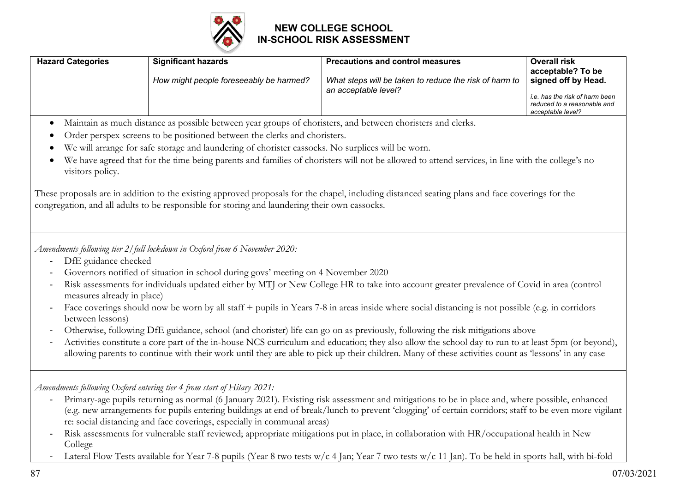

| <b>Hazard Categories</b> | <b>Significant hazards</b>              | <b>Precautions and control measures</b>                                        | <b>Overall risk</b><br>acceptable? To be                                                                  |
|--------------------------|-----------------------------------------|--------------------------------------------------------------------------------|-----------------------------------------------------------------------------------------------------------|
|                          | How might people foreseeably be harmed? | What steps will be taken to reduce the risk of harm to<br>an acceptable level? | signed off by Head.<br>i.e. has the risk of harm been<br>reduced to a reasonable and<br>acceptable level? |

- Maintain as much distance as possible between year groups of choristers, and between choristers and clerks.
- Order perspex screens to be positioned between the clerks and choristers.
- We will arrange for safe storage and laundering of chorister cassocks. No surplices will be worn.
- We have agreed that for the time being parents and families of choristers will not be allowed to attend services, in line with the college's no visitors policy.

These proposals are in addition to the existing approved proposals for the chapel, including distanced seating plans and face coverings for the congregation, and all adults to be responsible for storing and laundering their own cassocks.

*Amendments following tier 2/full lockdown in Oxford from 6 November 2020:*

- DfE guidance checked
- Governors notified of situation in school during govs' meeting on 4 November 2020
- Risk assessments for individuals updated either by MTJ or New College HR to take into account greater prevalence of Covid in area (control measures already in place)
- Face coverings should now be worn by all staff + pupils in Years 7-8 in areas inside where social distancing is not possible (e.g. in corridors between lessons)
- Otherwise, following DfE guidance, school (and chorister) life can go on as previously, following the risk mitigations above
- Activities constitute a core part of the in-house NCS curriculum and education; they also allow the school day to run to at least 5pm (or beyond), allowing parents to continue with their work until they are able to pick up their children. Many of these activities count as 'lessons' in any case

*Amendments following Oxford entering tier 4 from start of Hilary 2021:*

- Primary-age pupils returning as normal (6 January 2021). Existing risk assessment and mitigations to be in place and, where possible, enhanced (e.g. new arrangements for pupils entering buildings at end of break/lunch to prevent 'clogging' of certain corridors; staff to be even more vigilant re: social distancing and face coverings, especially in communal areas)
- Risk assessments for vulnerable staff reviewed; appropriate mitigations put in place, in collaboration with HR/occupational health in New College
- Lateral Flow Tests available for Year 7-8 pupils (Year 8 two tests w/c 4 Jan; Year 7 two tests w/c 11 Jan). To be held in sports hall, with bi-fold